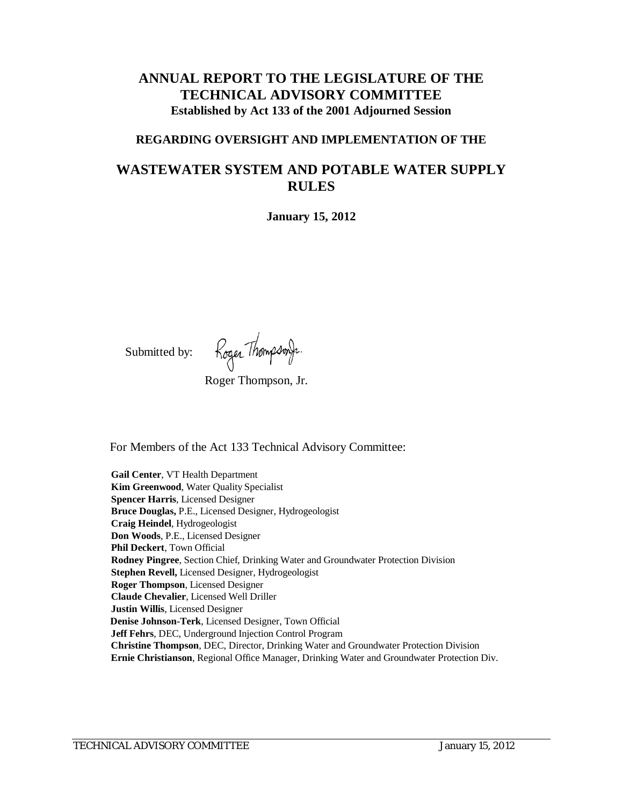# **ANNUAL REPORT TO THE LEGISLATURE OF THE TECHNICAL ADVISORY COMMITTEE Established by Act 133 of the 2001 Adjourned Session**

#### **REGARDING OVERSIGHT AND IMPLEMENTATION OF THE**

# **WASTEWATER SYSTEM AND POTABLE WATER SUPPLY RULES**

**January 15, 2012**

Submitted by:

Roger ThompsonJr.

Roger Thompson, Jr.

For Members of the Act 133 Technical Advisory Committee:

**Gail Center**, VT Health Department **Kim Greenwood**, Water Quality Specialist **Spencer Harris**, Licensed Designer **Bruce Douglas,** P.E., Licensed Designer, Hydrogeologist **Craig Heindel**, Hydrogeologist **Don Woods**, P.E., Licensed Designer **Phil Deckert**, Town Official **Rodney Pingree**, Section Chief, Drinking Water and Groundwater Protection Division **Stephen Revell,** Licensed Designer, Hydrogeologist **Roger Thompson**, Licensed Designer **Claude Chevalier**, Licensed Well Driller **Justin Willis**, Licensed Designer **Denise Johnson-Terk**, Licensed Designer, Town Official **Jeff Fehrs**, DEC, Underground Injection Control Program **Christine Thompson**, DEC, Director, Drinking Water and Groundwater Protection Division **Ernie Christianson**, Regional Office Manager, Drinking Water and Groundwater Protection Div.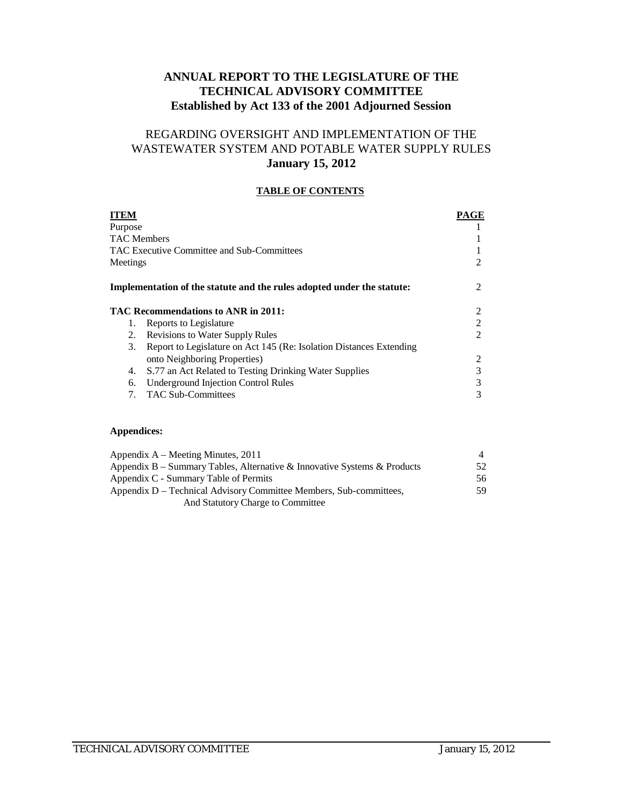## **ANNUAL REPORT TO THE LEGISLATURE OF THE TECHNICAL ADVISORY COMMITTEE Established by Act 133 of the 2001 Adjourned Session**

## REGARDING OVERSIGHT AND IMPLEMENTATION OF THE WASTEWATER SYSTEM AND POTABLE WATER SUPPLY RULES **January 15, 2012**

#### **TABLE OF CONTENTS**

| <b>ITEM</b>        |                                                                        | PAGE |
|--------------------|------------------------------------------------------------------------|------|
| Purpose            |                                                                        |      |
| <b>TAC Members</b> |                                                                        |      |
|                    | TAC Executive Committee and Sub-Committees                             |      |
| Meetings           |                                                                        | 2    |
|                    | Implementation of the statute and the rules adopted under the statute: | 2    |
|                    | TAC Recommendations to ANR in 2011:                                    | 2    |
| 1.                 | Reports to Legislature                                                 | 2    |
| 2.                 | Revisions to Water Supply Rules                                        | 2    |
| 3.                 | Report to Legislature on Act 145 (Re: Isolation Distances Extending    |      |
|                    | onto Neighboring Properties)                                           | 2    |
| 4.                 | S.77 an Act Related to Testing Drinking Water Supplies                 | 3    |
| 6.                 | <b>Underground Injection Control Rules</b>                             | 3    |
| 7.                 | <b>TAC Sub-Committees</b>                                              | 3    |

#### **Appendices:**

| Appendix $A$ – Meeting Minutes, 2011                                     |     |
|--------------------------------------------------------------------------|-----|
| Appendix B – Summary Tables, Alternative & Innovative Systems & Products | 52. |
| Appendix C - Summary Table of Permits                                    | 56  |
| Appendix D – Technical Advisory Committee Members, Sub-committees,       | 59. |
| And Statutory Charge to Committee                                        |     |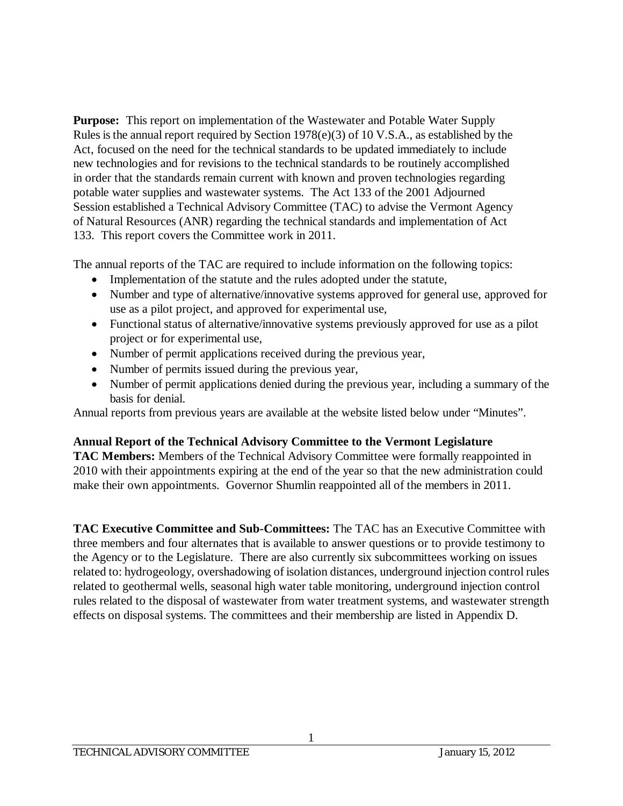**Purpose:** This report on implementation of the Wastewater and Potable Water Supply Rules is the annual report required by Section 1978(e)(3) of 10 V.S.A., as established by the Act, focused on the need for the technical standards to be updated immediately to include new technologies and for revisions to the technical standards to be routinely accomplished in order that the standards remain current with known and proven technologies regarding potable water supplies and wastewater systems. The Act 133 of the 2001 Adjourned Session established a Technical Advisory Committee (TAC) to advise the Vermont Agency of Natural Resources (ANR) regarding the technical standards and implementation of Act 133. This report covers the Committee work in 2011.

The annual reports of the TAC are required to include information on the following topics:

- Implementation of the statute and the rules adopted under the statute,
- Number and type of alternative/innovative systems approved for general use, approved for use as a pilot project, and approved for experimental use,
- Functional status of alternative/innovative systems previously approved for use as a pilot project or for experimental use,
- Number of permit applications received during the previous year,
- Number of permits issued during the previous year,
- Number of permit applications denied during the previous year, including a summary of the basis for denial.

Annual reports from previous years are available at the website listed below under "Minutes".

# **Annual Report of the Technical Advisory Committee to the Vermont Legislature**

**TAC Members:** Members of the Technical Advisory Committee were formally reappointed in 2010 with their appointments expiring at the end of the year so that the new administration could make their own appointments. Governor Shumlin reappointed all of the members in 2011.

**TAC Executive Committee and Sub-Committees:** The TAC has an Executive Committee with three members and four alternates that is available to answer questions or to provide testimony to the Agency or to the Legislature. There are also currently six subcommittees working on issues related to: hydrogeology, overshadowing of isolation distances, underground injection control rules related to geothermal wells, seasonal high water table monitoring, underground injection control rules related to the disposal of wastewater from water treatment systems, and wastewater strength effects on disposal systems. The committees and their membership are listed in Appendix D.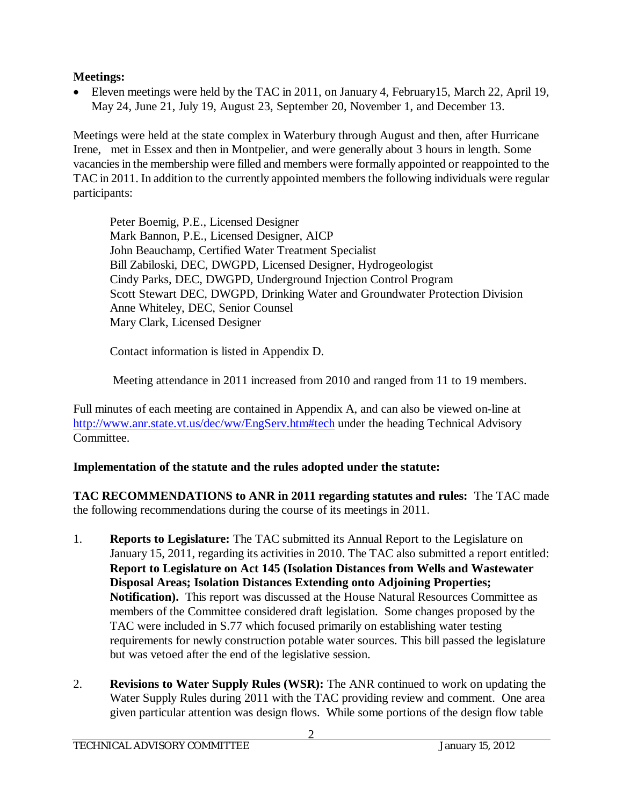# **Meetings:**

• Eleven meetings were held by the TAC in 2011, on January 4, February 15, March 22, April 19, May 24, June 21, July 19, August 23, September 20, November 1, and December 13.

Meetings were held at the state complex in Waterbury through August and then, after Hurricane Irene, met in Essex and then in Montpelier, and were generally about 3 hours in length. Some vacancies in the membership were filled and members were formally appointed or reappointed to the TAC in 2011. In addition to the currently appointed members the following individuals were regular participants:

Peter Boemig, P.E., Licensed Designer Mark Bannon, P.E., Licensed Designer, AICP John Beauchamp, Certified Water Treatment Specialist Bill Zabiloski, DEC, DWGPD, Licensed Designer, Hydrogeologist Cindy Parks, DEC, DWGPD, Underground Injection Control Program Scott Stewart DEC, DWGPD, Drinking Water and Groundwater Protection Division Anne Whiteley, DEC, Senior Counsel Mary Clark, Licensed Designer

Contact information is listed in Appendix D.

Meeting attendance in 2011 increased from 2010 and ranged from 11 to 19 members.

Full minutes of each meeting are contained in Appendix A, and can also be viewed on-line at <http://www.anr.state.vt.us/dec/ww/EngServ.htm#tech> under the heading Technical Advisory Committee.

# **Implementation of the statute and the rules adopted under the statute:**

**TAC RECOMMENDATIONS to ANR in 2011 regarding statutes and rules:** The TAC made the following recommendations during the course of its meetings in 2011.

- 1. **Reports to Legislature:** The TAC submitted its Annual Report to the Legislature on January 15, 2011, regarding its activities in 2010. The TAC also submitted a report entitled: **Report to Legislature on Act 145 (Isolation Distances from Wells and Wastewater Disposal Areas; Isolation Distances Extending onto Adjoining Properties; Notification).** This report was discussed at the House Natural Resources Committee as members of the Committee considered draft legislation. Some changes proposed by the TAC were included in S.77 which focused primarily on establishing water testing requirements for newly construction potable water sources. This bill passed the legislature but was vetoed after the end of the legislative session.
- 2. **Revisions to Water Supply Rules (WSR):** The ANR continued to work on updating the Water Supply Rules during 2011 with the TAC providing review and comment. One area given particular attention was design flows. While some portions of the design flow table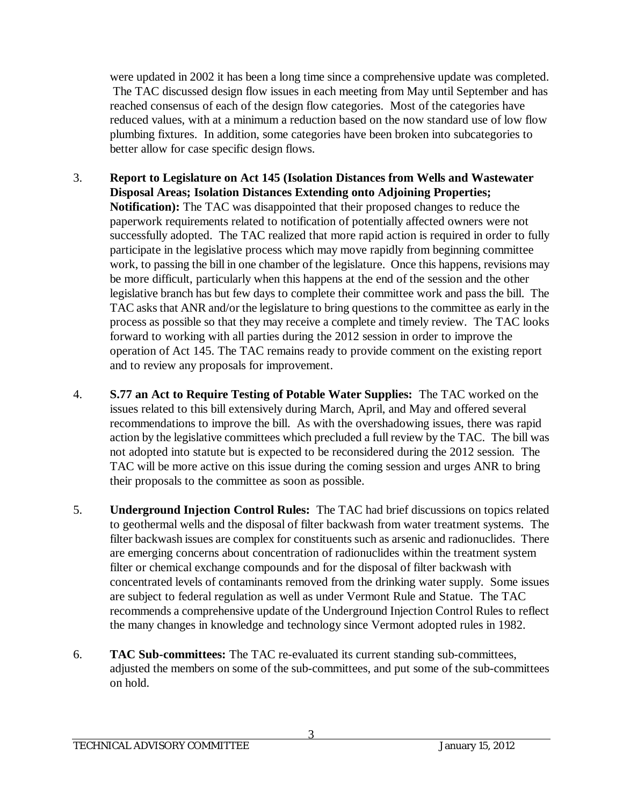were updated in 2002 it has been a long time since a comprehensive update was completed. The TAC discussed design flow issues in each meeting from May until September and has reached consensus of each of the design flow categories. Most of the categories have reduced values, with at a minimum a reduction based on the now standard use of low flow plumbing fixtures. In addition, some categories have been broken into subcategories to better allow for case specific design flows.

- 3. **Report to Legislature on Act 145 (Isolation Distances from Wells and Wastewater Disposal Areas; Isolation Distances Extending onto Adjoining Properties; Notification):** The TAC was disappointed that their proposed changes to reduce the paperwork requirements related to notification of potentially affected owners were not successfully adopted. The TAC realized that more rapid action is required in order to fully participate in the legislative process which may move rapidly from beginning committee work, to passing the bill in one chamber of the legislature. Once this happens, revisions may be more difficult, particularly when this happens at the end of the session and the other legislative branch has but few days to complete their committee work and pass the bill. The TAC asks that ANR and/or the legislature to bring questions to the committee as early in the process as possible so that they may receive a complete and timely review. The TAC looks forward to working with all parties during the 2012 session in order to improve the operation of Act 145. The TAC remains ready to provide comment on the existing report and to review any proposals for improvement.
- 4. **S.77 an Act to Require Testing of Potable Water Supplies:** The TAC worked on the issues related to this bill extensively during March, April, and May and offered several recommendations to improve the bill. As with the overshadowing issues, there was rapid action by the legislative committees which precluded a full review by the TAC. The bill was not adopted into statute but is expected to be reconsidered during the 2012 session. The TAC will be more active on this issue during the coming session and urges ANR to bring their proposals to the committee as soon as possible.
- 5. **Underground Injection Control Rules:** The TAC had brief discussions on topics related to geothermal wells and the disposal of filter backwash from water treatment systems. The filter backwash issues are complex for constituents such as arsenic and radionuclides. There are emerging concerns about concentration of radionuclides within the treatment system filter or chemical exchange compounds and for the disposal of filter backwash with concentrated levels of contaminants removed from the drinking water supply. Some issues are subject to federal regulation as well as under Vermont Rule and Statue. The TAC recommends a comprehensive update of the Underground Injection Control Rules to reflect the many changes in knowledge and technology since Vermont adopted rules in 1982.
- 6. **TAC Sub-committees:** The TAC re-evaluated its current standing sub-committees, adjusted the members on some of the sub-committees, and put some of the sub-committees on hold.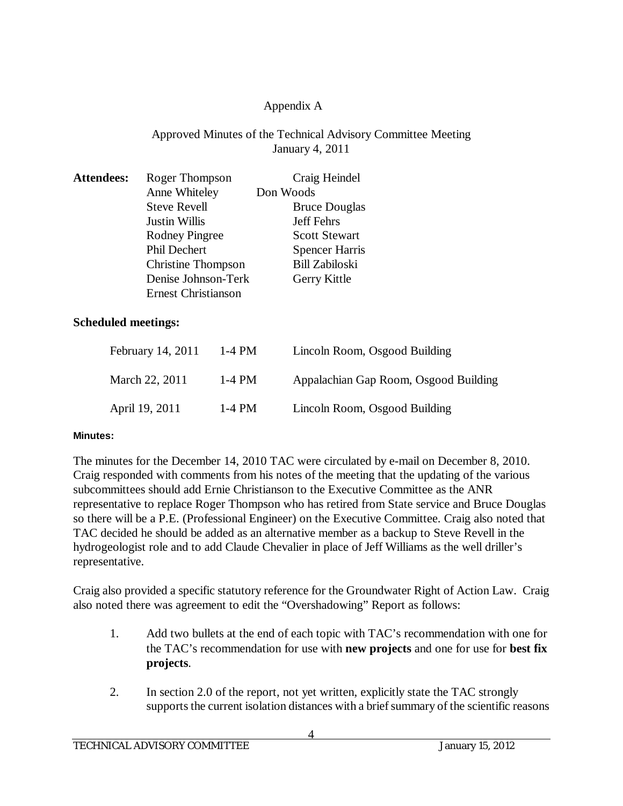# Appendix A

## Approved Minutes of the Technical Advisory Committee Meeting January 4, 2011

| <b>Attendees:</b> | Roger Thompson             | Craig Heindel         |
|-------------------|----------------------------|-----------------------|
|                   | Anne Whiteley              | Don Woods             |
|                   | <b>Steve Revell</b>        | <b>Bruce Douglas</b>  |
|                   | <b>Justin Willis</b>       | <b>Jeff Fehrs</b>     |
|                   | <b>Rodney Pingree</b>      | <b>Scott Stewart</b>  |
|                   | <b>Phil Dechert</b>        | <b>Spencer Harris</b> |
|                   | <b>Christine Thompson</b>  | <b>Bill Zabiloski</b> |
|                   | Denise Johnson-Terk        | Gerry Kittle          |
|                   | <b>Ernest Christianson</b> |                       |

#### **Scheduled meetings:**

| February 14, 2011 | $1-4$ PM | Lincoln Room, Osgood Building         |
|-------------------|----------|---------------------------------------|
| March 22, 2011    | $1-4$ PM | Appalachian Gap Room, Osgood Building |
| April 19, 2011    | 1-4 PM   | Lincoln Room, Osgood Building         |

#### **Minutes:**

The minutes for the December 14, 2010 TAC were circulated by e-mail on December 8, 2010. Craig responded with comments from his notes of the meeting that the updating of the various subcommittees should add Ernie Christianson to the Executive Committee as the ANR representative to replace Roger Thompson who has retired from State service and Bruce Douglas so there will be a P.E. (Professional Engineer) on the Executive Committee. Craig also noted that TAC decided he should be added as an alternative member as a backup to Steve Revell in the hydrogeologist role and to add Claude Chevalier in place of Jeff Williams as the well driller's representative.

Craig also provided a specific statutory reference for the Groundwater Right of Action Law. Craig also noted there was agreement to edit the "Overshadowing" Report as follows:

- 1. Add two bullets at the end of each topic with TAC's recommendation with one for the TAC's recommendation for use with **new projects** and one for use for **best fix projects**.
- 2. In section 2.0 of the report, not yet written, explicitly state the TAC strongly supports the current isolation distances with a brief summary of the scientific reasons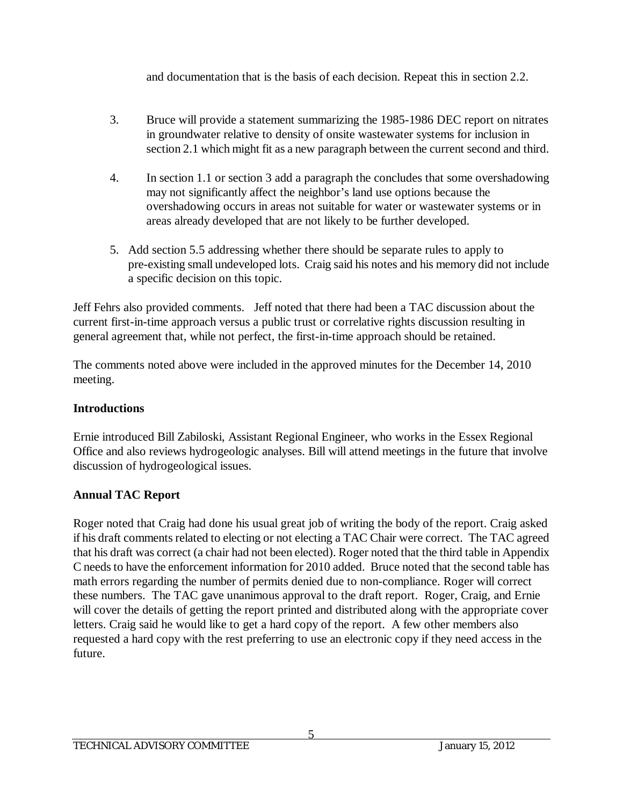and documentation that is the basis of each decision. Repeat this in section 2.2.

- 3. Bruce will provide a statement summarizing the 1985-1986 DEC report on nitrates in groundwater relative to density of onsite wastewater systems for inclusion in section 2.1 which might fit as a new paragraph between the current second and third.
- 4. In section 1.1 or section 3 add a paragraph the concludes that some overshadowing may not significantly affect the neighbor's land use options because the overshadowing occurs in areas not suitable for water or wastewater systems or in areas already developed that are not likely to be further developed.
- 5. Add section 5.5 addressing whether there should be separate rules to apply to pre-existing small undeveloped lots. Craig said his notes and his memory did not include a specific decision on this topic.

Jeff Fehrs also provided comments. Jeff noted that there had been a TAC discussion about the current first-in-time approach versus a public trust or correlative rights discussion resulting in general agreement that, while not perfect, the first-in-time approach should be retained.

The comments noted above were included in the approved minutes for the December 14, 2010 meeting.

# **Introductions**

Ernie introduced Bill Zabiloski, Assistant Regional Engineer, who works in the Essex Regional Office and also reviews hydrogeologic analyses. Bill will attend meetings in the future that involve discussion of hydrogeological issues.

# **Annual TAC Report**

Roger noted that Craig had done his usual great job of writing the body of the report. Craig asked if his draft comments related to electing or not electing a TAC Chair were correct. The TAC agreed that his draft was correct (a chair had not been elected). Roger noted that the third table in Appendix C needs to have the enforcement information for 2010 added. Bruce noted that the second table has math errors regarding the number of permits denied due to non-compliance. Roger will correct these numbers. The TAC gave unanimous approval to the draft report. Roger, Craig, and Ernie will cover the details of getting the report printed and distributed along with the appropriate cover letters. Craig said he would like to get a hard copy of the report. A few other members also requested a hard copy with the rest preferring to use an electronic copy if they need access in the future.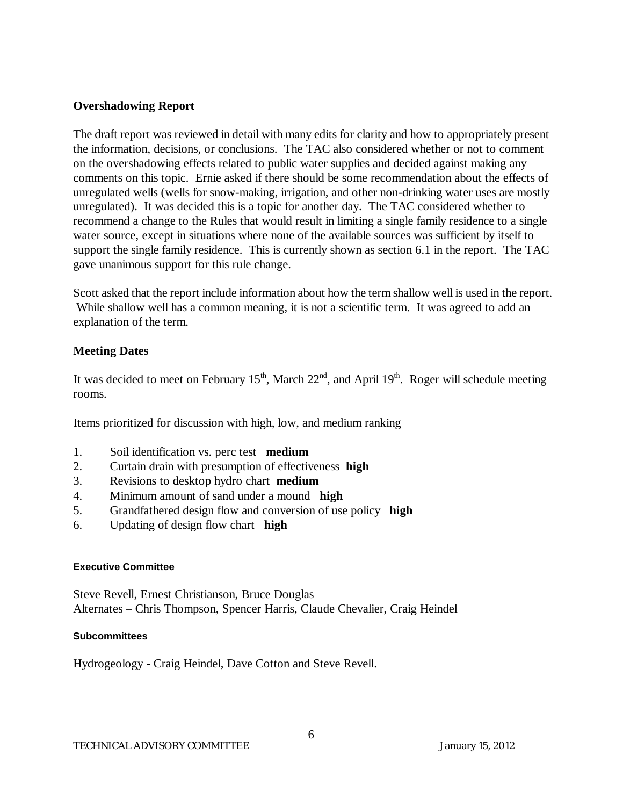#### **Overshadowing Report**

The draft report was reviewed in detail with many edits for clarity and how to appropriately present the information, decisions, or conclusions. The TAC also considered whether or not to comment on the overshadowing effects related to public water supplies and decided against making any comments on this topic. Ernie asked if there should be some recommendation about the effects of unregulated wells (wells for snow-making, irrigation, and other non-drinking water uses are mostly unregulated). It was decided this is a topic for another day. The TAC considered whether to recommend a change to the Rules that would result in limiting a single family residence to a single water source, except in situations where none of the available sources was sufficient by itself to support the single family residence. This is currently shown as section 6.1 in the report. The TAC gave unanimous support for this rule change.

Scott asked that the report include information about how the term shallow well is used in the report. While shallow well has a common meaning, it is not a scientific term. It was agreed to add an explanation of the term.

## **Meeting Dates**

It was decided to meet on February  $15<sup>th</sup>$ , March  $22<sup>nd</sup>$ , and April  $19<sup>th</sup>$ . Roger will schedule meeting rooms.

Items prioritized for discussion with high, low, and medium ranking

- 1. Soil identification vs. perc test **medium**
- 2. Curtain drain with presumption of effectiveness **high**
- 3. Revisions to desktop hydro chart **medium**
- 4. Minimum amount of sand under a mound **high**
- 5. Grandfathered design flow and conversion of use policy **high**
- 6. Updating of design flow chart **high**

#### **Executive Committee**

Steve Revell, Ernest Christianson, Bruce Douglas Alternates – Chris Thompson, Spencer Harris, Claude Chevalier, Craig Heindel

#### **Subcommittees**

Hydrogeology - Craig Heindel, Dave Cotton and Steve Revell.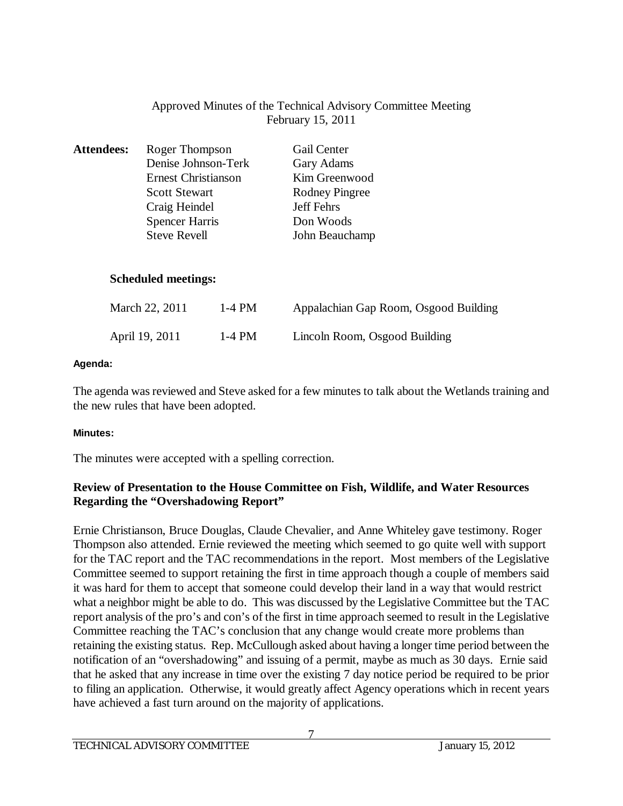## Approved Minutes of the Technical Advisory Committee Meeting February 15, 2011

| <b>Attendees:</b> | Roger Thompson             | Gail Center    |
|-------------------|----------------------------|----------------|
|                   | Denise Johnson-Terk        | Gary Adams     |
|                   | <b>Ernest Christianson</b> | Kim Greenwood  |
|                   | <b>Scott Stewart</b>       | Rodney Pingree |
|                   | Craig Heindel              | Jeff Fehrs     |
|                   | <b>Spencer Harris</b>      | Don Woods      |
|                   | <b>Steve Revell</b>        | John Beauchamp |

#### **Scheduled meetings:**

| March 22, 2011 | 1-4 PM | Appalachian Gap Room, Osgood Building |
|----------------|--------|---------------------------------------|
| April 19, 2011 | 1-4 PM | Lincoln Room, Osgood Building         |

#### **Agenda:**

The agenda was reviewed and Steve asked for a few minutes to talk about the Wetlands training and the new rules that have been adopted.

#### **Minutes:**

The minutes were accepted with a spelling correction.

## **Review of Presentation to the House Committee on Fish, Wildlife, and Water Resources Regarding the "Overshadowing Report"**

Ernie Christianson, Bruce Douglas, Claude Chevalier, and Anne Whiteley gave testimony. Roger Thompson also attended. Ernie reviewed the meeting which seemed to go quite well with support for the TAC report and the TAC recommendations in the report. Most members of the Legislative Committee seemed to support retaining the first in time approach though a couple of members said it was hard for them to accept that someone could develop their land in a way that would restrict what a neighbor might be able to do. This was discussed by the Legislative Committee but the TAC report analysis of the pro's and con's of the first in time approach seemed to result in the Legislative Committee reaching the TAC's conclusion that any change would create more problems than retaining the existing status. Rep. McCullough asked about having a longer time period between the notification of an "overshadowing" and issuing of a permit, maybe as much as 30 days. Ernie said that he asked that any increase in time over the existing 7 day notice period be required to be prior to filing an application. Otherwise, it would greatly affect Agency operations which in recent years have achieved a fast turn around on the majority of applications.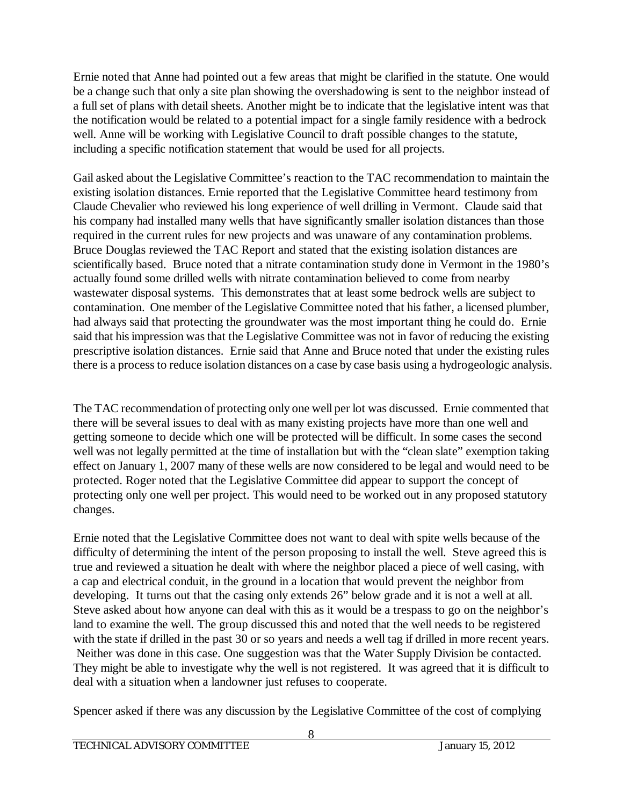Ernie noted that Anne had pointed out a few areas that might be clarified in the statute. One would be a change such that only a site plan showing the overshadowing is sent to the neighbor instead of a full set of plans with detail sheets. Another might be to indicate that the legislative intent was that the notification would be related to a potential impact for a single family residence with a bedrock well. Anne will be working with Legislative Council to draft possible changes to the statute, including a specific notification statement that would be used for all projects.

Gail asked about the Legislative Committee's reaction to the TAC recommendation to maintain the existing isolation distances. Ernie reported that the Legislative Committee heard testimony from Claude Chevalier who reviewed his long experience of well drilling in Vermont. Claude said that his company had installed many wells that have significantly smaller isolation distances than those required in the current rules for new projects and was unaware of any contamination problems. Bruce Douglas reviewed the TAC Report and stated that the existing isolation distances are scientifically based. Bruce noted that a nitrate contamination study done in Vermont in the 1980's actually found some drilled wells with nitrate contamination believed to come from nearby wastewater disposal systems. This demonstrates that at least some bedrock wells are subject to contamination. One member of the Legislative Committee noted that his father, a licensed plumber, had always said that protecting the groundwater was the most important thing he could do. Ernie said that his impression was that the Legislative Committee was not in favor of reducing the existing prescriptive isolation distances. Ernie said that Anne and Bruce noted that under the existing rules there is a process to reduce isolation distances on a case by case basis using a hydrogeologic analysis.

The TAC recommendation of protecting only one well per lot was discussed. Ernie commented that there will be several issues to deal with as many existing projects have more than one well and getting someone to decide which one will be protected will be difficult. In some cases the second well was not legally permitted at the time of installation but with the "clean slate" exemption taking effect on January 1, 2007 many of these wells are now considered to be legal and would need to be protected. Roger noted that the Legislative Committee did appear to support the concept of protecting only one well per project. This would need to be worked out in any proposed statutory changes.

Ernie noted that the Legislative Committee does not want to deal with spite wells because of the difficulty of determining the intent of the person proposing to install the well. Steve agreed this is true and reviewed a situation he dealt with where the neighbor placed a piece of well casing, with a cap and electrical conduit, in the ground in a location that would prevent the neighbor from developing. It turns out that the casing only extends 26" below grade and it is not a well at all. Steve asked about how anyone can deal with this as it would be a trespass to go on the neighbor's land to examine the well. The group discussed this and noted that the well needs to be registered with the state if drilled in the past 30 or so years and needs a well tag if drilled in more recent years. Neither was done in this case. One suggestion was that the Water Supply Division be contacted. They might be able to investigate why the well is not registered. It was agreed that it is difficult to deal with a situation when a landowner just refuses to cooperate.

Spencer asked if there was any discussion by the Legislative Committee of the cost of complying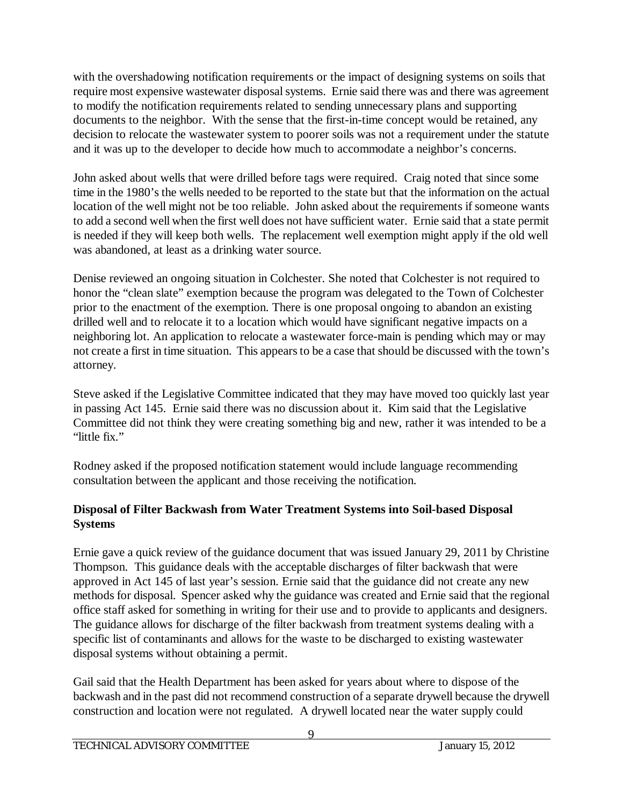with the overshadowing notification requirements or the impact of designing systems on soils that require most expensive wastewater disposal systems. Ernie said there was and there was agreement to modify the notification requirements related to sending unnecessary plans and supporting documents to the neighbor. With the sense that the first-in-time concept would be retained, any decision to relocate the wastewater system to poorer soils was not a requirement under the statute and it was up to the developer to decide how much to accommodate a neighbor's concerns.

John asked about wells that were drilled before tags were required. Craig noted that since some time in the 1980's the wells needed to be reported to the state but that the information on the actual location of the well might not be too reliable. John asked about the requirements if someone wants to add a second well when the first well does not have sufficient water. Ernie said that a state permit is needed if they will keep both wells. The replacement well exemption might apply if the old well was abandoned, at least as a drinking water source.

Denise reviewed an ongoing situation in Colchester. She noted that Colchester is not required to honor the "clean slate" exemption because the program was delegated to the Town of Colchester prior to the enactment of the exemption. There is one proposal ongoing to abandon an existing drilled well and to relocate it to a location which would have significant negative impacts on a neighboring lot. An application to relocate a wastewater force-main is pending which may or may not create a first in time situation. This appears to be a case that should be discussed with the town's attorney.

Steve asked if the Legislative Committee indicated that they may have moved too quickly last year in passing Act 145. Ernie said there was no discussion about it. Kim said that the Legislative Committee did not think they were creating something big and new, rather it was intended to be a "little fix."

Rodney asked if the proposed notification statement would include language recommending consultation between the applicant and those receiving the notification.

# **Disposal of Filter Backwash from Water Treatment Systems into Soil-based Disposal Systems**

Ernie gave a quick review of the guidance document that was issued January 29, 2011 by Christine Thompson. This guidance deals with the acceptable discharges of filter backwash that were approved in Act 145 of last year's session. Ernie said that the guidance did not create any new methods for disposal. Spencer asked why the guidance was created and Ernie said that the regional office staff asked for something in writing for their use and to provide to applicants and designers. The guidance allows for discharge of the filter backwash from treatment systems dealing with a specific list of contaminants and allows for the waste to be discharged to existing wastewater disposal systems without obtaining a permit.

Gail said that the Health Department has been asked for years about where to dispose of the backwash and in the past did not recommend construction of a separate drywell because the drywell construction and location were not regulated. A drywell located near the water supply could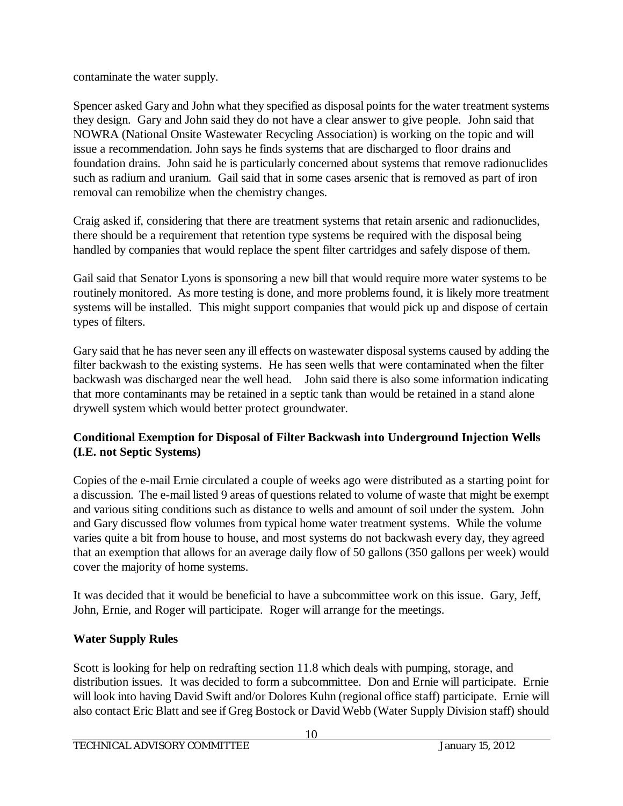contaminate the water supply.

Spencer asked Gary and John what they specified as disposal points for the water treatment systems they design. Gary and John said they do not have a clear answer to give people. John said that NOWRA (National Onsite Wastewater Recycling Association) is working on the topic and will issue a recommendation. John says he finds systems that are discharged to floor drains and foundation drains. John said he is particularly concerned about systems that remove radionuclides such as radium and uranium. Gail said that in some cases arsenic that is removed as part of iron removal can remobilize when the chemistry changes.

Craig asked if, considering that there are treatment systems that retain arsenic and radionuclides, there should be a requirement that retention type systems be required with the disposal being handled by companies that would replace the spent filter cartridges and safely dispose of them.

Gail said that Senator Lyons is sponsoring a new bill that would require more water systems to be routinely monitored. As more testing is done, and more problems found, it is likely more treatment systems will be installed. This might support companies that would pick up and dispose of certain types of filters.

Gary said that he has never seen any ill effects on wastewater disposal systems caused by adding the filter backwash to the existing systems. He has seen wells that were contaminated when the filter backwash was discharged near the well head. John said there is also some information indicating that more contaminants may be retained in a septic tank than would be retained in a stand alone drywell system which would better protect groundwater.

# **Conditional Exemption for Disposal of Filter Backwash into Underground Injection Wells (I.E. not Septic Systems)**

Copies of the e-mail Ernie circulated a couple of weeks ago were distributed as a starting point for a discussion. The e-mail listed 9 areas of questions related to volume of waste that might be exempt and various siting conditions such as distance to wells and amount of soil under the system. John and Gary discussed flow volumes from typical home water treatment systems. While the volume varies quite a bit from house to house, and most systems do not backwash every day, they agreed that an exemption that allows for an average daily flow of 50 gallons (350 gallons per week) would cover the majority of home systems.

It was decided that it would be beneficial to have a subcommittee work on this issue. Gary, Jeff, John, Ernie, and Roger will participate. Roger will arrange for the meetings.

# **Water Supply Rules**

Scott is looking for help on redrafting section 11.8 which deals with pumping, storage, and distribution issues. It was decided to form a subcommittee. Don and Ernie will participate. Ernie will look into having David Swift and/or Dolores Kuhn (regional office staff) participate. Ernie will also contact Eric Blatt and see if Greg Bostock or David Webb (Water Supply Division staff) should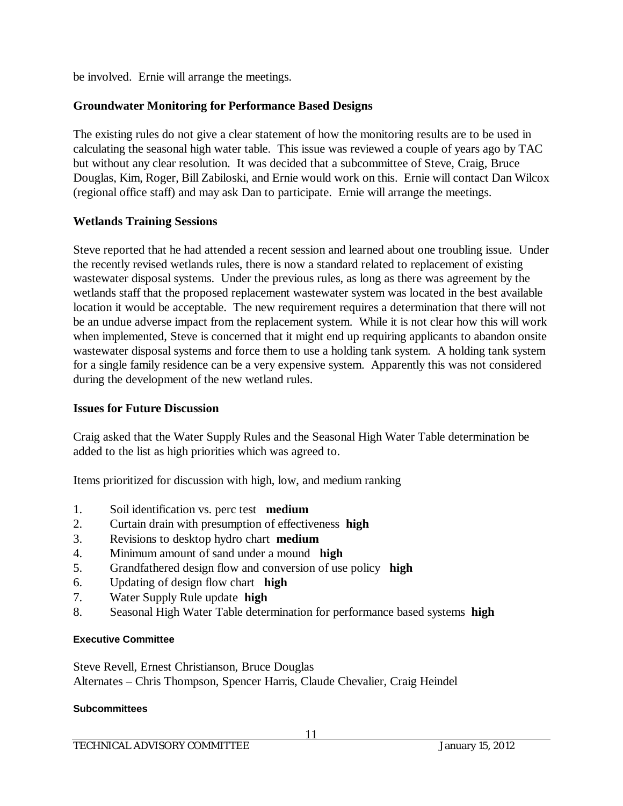be involved. Ernie will arrange the meetings.

## **Groundwater Monitoring for Performance Based Designs**

The existing rules do not give a clear statement of how the monitoring results are to be used in calculating the seasonal high water table. This issue was reviewed a couple of years ago by TAC but without any clear resolution. It was decided that a subcommittee of Steve, Craig, Bruce Douglas, Kim, Roger, Bill Zabiloski, and Ernie would work on this. Ernie will contact Dan Wilcox (regional office staff) and may ask Dan to participate. Ernie will arrange the meetings.

## **Wetlands Training Sessions**

Steve reported that he had attended a recent session and learned about one troubling issue. Under the recently revised wetlands rules, there is now a standard related to replacement of existing wastewater disposal systems. Under the previous rules, as long as there was agreement by the wetlands staff that the proposed replacement wastewater system was located in the best available location it would be acceptable. The new requirement requires a determination that there will not be an undue adverse impact from the replacement system. While it is not clear how this will work when implemented, Steve is concerned that it might end up requiring applicants to abandon onsite wastewater disposal systems and force them to use a holding tank system. A holding tank system for a single family residence can be a very expensive system. Apparently this was not considered during the development of the new wetland rules.

## **Issues for Future Discussion**

Craig asked that the Water Supply Rules and the Seasonal High Water Table determination be added to the list as high priorities which was agreed to.

Items prioritized for discussion with high, low, and medium ranking

- 1. Soil identification vs. perc test **medium**
- 2. Curtain drain with presumption of effectiveness **high**
- 3. Revisions to desktop hydro chart **medium**
- 4. Minimum amount of sand under a mound **high**
- 5. Grandfathered design flow and conversion of use policy **high**
- 6. Updating of design flow chart **high**
- 7. Water Supply Rule update **high**
- 8. Seasonal High Water Table determination for performance based systems **high**

## **Executive Committee**

Steve Revell, Ernest Christianson, Bruce Douglas Alternates – Chris Thompson, Spencer Harris, Claude Chevalier, Craig Heindel

#### **Subcommittees**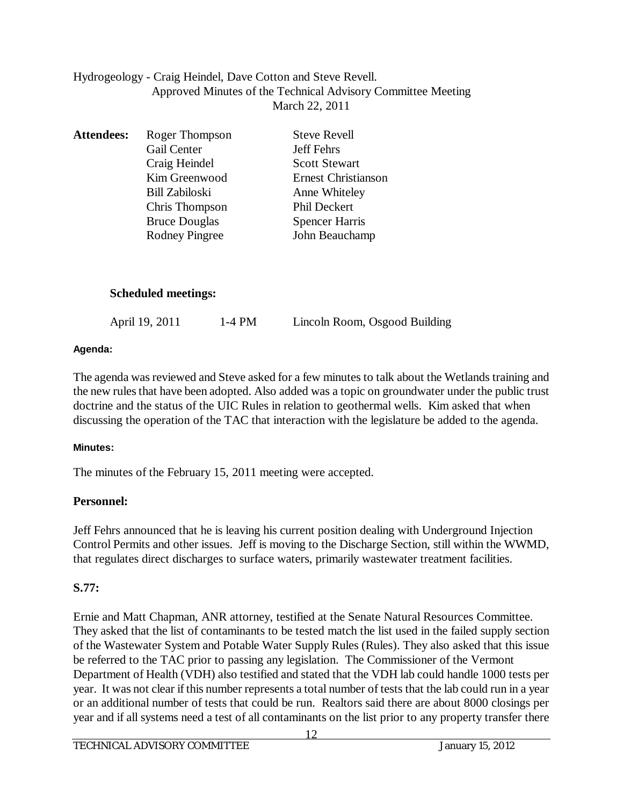## Hydrogeology - Craig Heindel, Dave Cotton and Steve Revell. Approved Minutes of the Technical Advisory Committee Meeting March 22, 2011

| <b>Attendees:</b> | Roger Thompson        | <b>Steve Revell</b>        |
|-------------------|-----------------------|----------------------------|
|                   | Gail Center           | <b>Jeff Fehrs</b>          |
|                   | Craig Heindel         | <b>Scott Stewart</b>       |
|                   | Kim Greenwood         | <b>Ernest Christianson</b> |
|                   | <b>Bill Zabiloski</b> | Anne Whiteley              |
|                   | Chris Thompson        | Phil Deckert               |
|                   | <b>Bruce Douglas</b>  | <b>Spencer Harris</b>      |
|                   | <b>Rodney Pingree</b> | John Beauchamp             |
|                   |                       |                            |

## **Scheduled meetings:**

| April 19, 2011 | $1-4$ PM | Lincoln Room, Osgood Building |
|----------------|----------|-------------------------------|
|                |          |                               |

#### **Agenda:**

The agenda was reviewed and Steve asked for a few minutes to talk about the Wetlands training and the new rules that have been adopted. Also added was a topic on groundwater under the public trust doctrine and the status of the UIC Rules in relation to geothermal wells. Kim asked that when discussing the operation of the TAC that interaction with the legislature be added to the agenda.

## **Minutes:**

The minutes of the February 15, 2011 meeting were accepted.

# **Personnel:**

Jeff Fehrs announced that he is leaving his current position dealing with Underground Injection Control Permits and other issues. Jeff is moving to the Discharge Section, still within the WWMD, that regulates direct discharges to surface waters, primarily wastewater treatment facilities.

# **S.77:**

Ernie and Matt Chapman, ANR attorney, testified at the Senate Natural Resources Committee. They asked that the list of contaminants to be tested match the list used in the failed supply section of the Wastewater System and Potable Water Supply Rules (Rules). They also asked that this issue be referred to the TAC prior to passing any legislation. The Commissioner of the Vermont Department of Health (VDH) also testified and stated that the VDH lab could handle 1000 tests per year. It was not clear if this number represents a total number of tests that the lab could run in a year or an additional number of tests that could be run. Realtors said there are about 8000 closings per year and if all systems need a test of all contaminants on the list prior to any property transfer there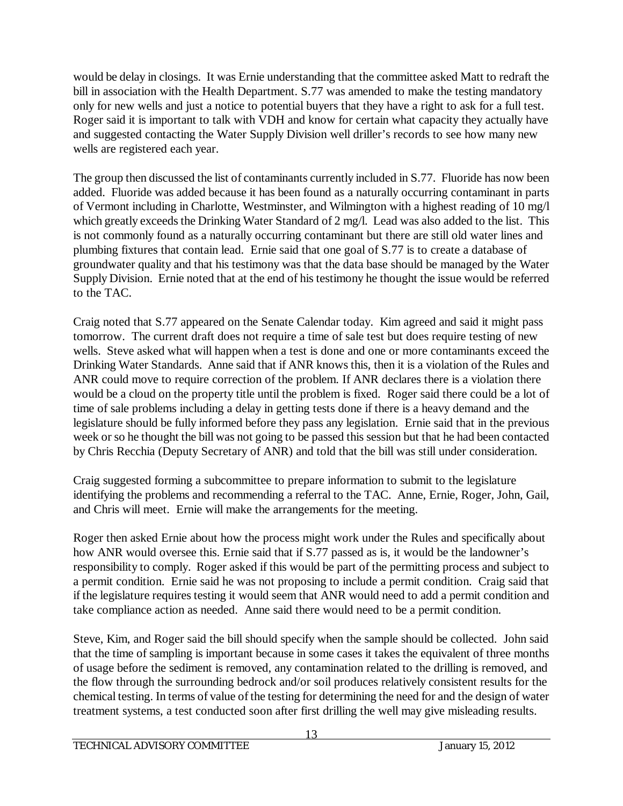would be delay in closings. It was Ernie understanding that the committee asked Matt to redraft the bill in association with the Health Department. S.77 was amended to make the testing mandatory only for new wells and just a notice to potential buyers that they have a right to ask for a full test. Roger said it is important to talk with VDH and know for certain what capacity they actually have and suggested contacting the Water Supply Division well driller's records to see how many new wells are registered each year.

The group then discussed the list of contaminants currently included in S.77. Fluoride has now been added. Fluoride was added because it has been found as a naturally occurring contaminant in parts of Vermont including in Charlotte, Westminster, and Wilmington with a highest reading of 10 mg/l which greatly exceeds the Drinking Water Standard of 2 mg/l. Lead was also added to the list. This is not commonly found as a naturally occurring contaminant but there are still old water lines and plumbing fixtures that contain lead. Ernie said that one goal of S.77 is to create a database of groundwater quality and that his testimony was that the data base should be managed by the Water Supply Division. Ernie noted that at the end of his testimony he thought the issue would be referred to the TAC.

Craig noted that S.77 appeared on the Senate Calendar today. Kim agreed and said it might pass tomorrow. The current draft does not require a time of sale test but does require testing of new wells. Steve asked what will happen when a test is done and one or more contaminants exceed the Drinking Water Standards. Anne said that if ANR knows this, then it is a violation of the Rules and ANR could move to require correction of the problem. If ANR declares there is a violation there would be a cloud on the property title until the problem is fixed. Roger said there could be a lot of time of sale problems including a delay in getting tests done if there is a heavy demand and the legislature should be fully informed before they pass any legislation. Ernie said that in the previous week or so he thought the bill was not going to be passed this session but that he had been contacted by Chris Recchia (Deputy Secretary of ANR) and told that the bill was still under consideration.

Craig suggested forming a subcommittee to prepare information to submit to the legislature identifying the problems and recommending a referral to the TAC. Anne, Ernie, Roger, John, Gail, and Chris will meet. Ernie will make the arrangements for the meeting.

Roger then asked Ernie about how the process might work under the Rules and specifically about how ANR would oversee this. Ernie said that if S.77 passed as is, it would be the landowner's responsibility to comply. Roger asked if this would be part of the permitting process and subject to a permit condition. Ernie said he was not proposing to include a permit condition. Craig said that if the legislature requires testing it would seem that ANR would need to add a permit condition and take compliance action as needed. Anne said there would need to be a permit condition.

Steve, Kim, and Roger said the bill should specify when the sample should be collected. John said that the time of sampling is important because in some cases it takes the equivalent of three months of usage before the sediment is removed, any contamination related to the drilling is removed, and the flow through the surrounding bedrock and/or soil produces relatively consistent results for the chemical testing. In terms of value of the testing for determining the need for and the design of water treatment systems, a test conducted soon after first drilling the well may give misleading results.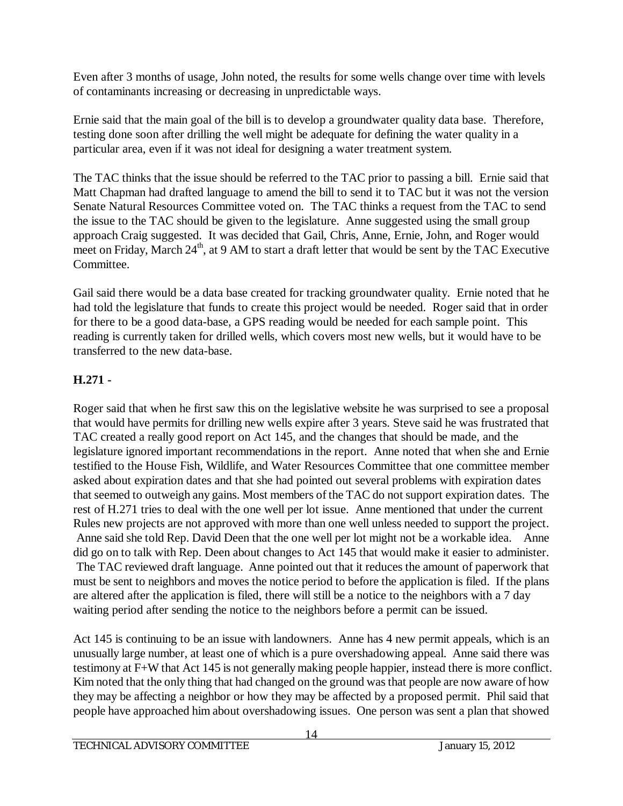Even after 3 months of usage, John noted, the results for some wells change over time with levels of contaminants increasing or decreasing in unpredictable ways.

Ernie said that the main goal of the bill is to develop a groundwater quality data base. Therefore, testing done soon after drilling the well might be adequate for defining the water quality in a particular area, even if it was not ideal for designing a water treatment system.

The TAC thinks that the issue should be referred to the TAC prior to passing a bill. Ernie said that Matt Chapman had drafted language to amend the bill to send it to TAC but it was not the version Senate Natural Resources Committee voted on. The TAC thinks a request from the TAC to send the issue to the TAC should be given to the legislature. Anne suggested using the small group approach Craig suggested. It was decided that Gail, Chris, Anne, Ernie, John, and Roger would meet on Friday, March 24<sup>th</sup>, at 9 AM to start a draft letter that would be sent by the TAC Executive Committee.

Gail said there would be a data base created for tracking groundwater quality. Ernie noted that he had told the legislature that funds to create this project would be needed. Roger said that in order for there to be a good data-base, a GPS reading would be needed for each sample point. This reading is currently taken for drilled wells, which covers most new wells, but it would have to be transferred to the new data-base.

# **H.271 -**

Roger said that when he first saw this on the legislative website he was surprised to see a proposal that would have permits for drilling new wells expire after 3 years. Steve said he was frustrated that TAC created a really good report on Act 145, and the changes that should be made, and the legislature ignored important recommendations in the report. Anne noted that when she and Ernie testified to the House Fish, Wildlife, and Water Resources Committee that one committee member asked about expiration dates and that she had pointed out several problems with expiration dates that seemed to outweigh any gains. Most members of the TAC do not support expiration dates. The rest of H.271 tries to deal with the one well per lot issue. Anne mentioned that under the current Rules new projects are not approved with more than one well unless needed to support the project. Anne said she told Rep. David Deen that the one well per lot might not be a workable idea. Anne did go on to talk with Rep. Deen about changes to Act 145 that would make it easier to administer. The TAC reviewed draft language. Anne pointed out that it reduces the amount of paperwork that must be sent to neighbors and moves the notice period to before the application is filed. If the plans are altered after the application is filed, there will still be a notice to the neighbors with a 7 day waiting period after sending the notice to the neighbors before a permit can be issued.

Act 145 is continuing to be an issue with landowners. Anne has 4 new permit appeals, which is an unusually large number, at least one of which is a pure overshadowing appeal. Anne said there was testimony at F+W that Act 145 is not generally making people happier, instead there is more conflict. Kim noted that the only thing that had changed on the ground was that people are now aware of how they may be affecting a neighbor or how they may be affected by a proposed permit. Phil said that people have approached him about overshadowing issues. One person was sent a plan that showed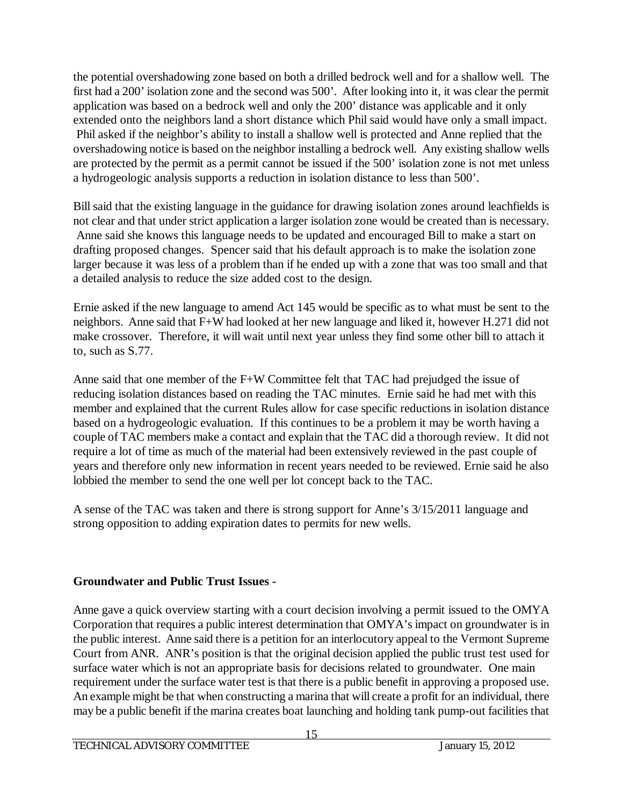the potential overshadowing zone based on both a drilled bedrock well and for a shallow well. The first had a 200' isolation zone and the second was 500'. After looking into it, it was clear the permit application was based on a bedrock well and only the 200' distance was applicable and it only extended onto the neighbors land a short distance which Phil said would have only a small impact. Phil asked if the neighbor's ability to install a shallow well is protected and Anne replied that the overshadowing notice is based on the neighbor installing a bedrock well. Any existing shallow wells are protected by the permit as a permit cannot be issued if the 500' isolation zone is not met unless a hydrogeologic analysis supports a reduction in isolation distance to less than 500'.

Bill said that the existing language in the guidance for drawing isolation zones around leachfields is not clear and that under strict application a larger isolation zone would be created than is necessary. Anne said she knows this language needs to be updated and encouraged Bill to make a start on drafting proposed changes. Spencer said that his default approach is to make the isolation zone larger because it was less of a problem than if he ended up with a zone that was too small and that a detailed analysis to reduce the size added cost to the design.

Ernie asked if the new language to amend Act 145 would be specific as to what must be sent to the neighbors. Anne said that F+W had looked at her new language and liked it, however H.271 did not make crossover. Therefore, it will wait until next year unless they find some other bill to attach it to, such as S.77.

Anne said that one member of the F+W Committee felt that TAC had prejudged the issue of reducing isolation distances based on reading the TAC minutes. Ernie said he had met with this member and explained that the current Rules allow for case specific reductions in isolation distance based on a hydrogeologic evaluation. If this continues to be a problem it may be worth having a couple of TAC members make a contact and explain that the TAC did a thorough review. It did not require a lot of time as much of the material had been extensively reviewed in the past couple of years and therefore only new information in recent years needed to be reviewed. Ernie said he also lobbied the member to send the one well per lot concept back to the TAC.

A sense of the TAC was taken and there is strong support for Anne's 3/15/2011 language and strong opposition to adding expiration dates to permits for new wells.

# **Groundwater and Public Trust Issues -**

Anne gave a quick overview starting with a court decision involving a permit issued to the OMYA Corporation that requires a public interest determination that OMYA's impact on groundwater is in the public interest. Anne said there is a petition for an interlocutory appeal to the Vermont Supreme Court from ANR. ANR's position is that the original decision applied the public trust test used for surface water which is not an appropriate basis for decisions related to groundwater. One main requirement under the surface water test is that there is a public benefit in approving a proposed use. An example might be that when constructing a marina that will create a profit for an individual, there may be a public benefit if the marina creates boat launching and holding tank pump-out facilities that

15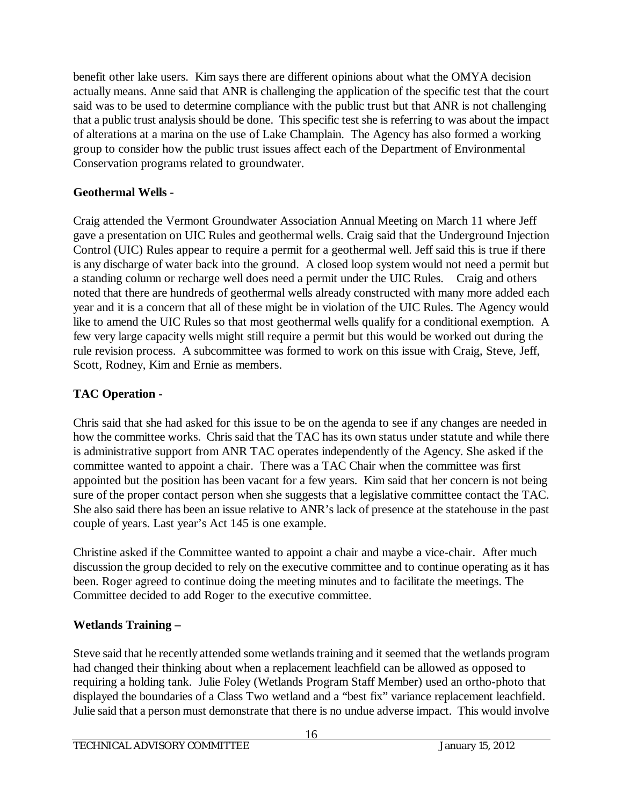benefit other lake users. Kim says there are different opinions about what the OMYA decision actually means. Anne said that ANR is challenging the application of the specific test that the court said was to be used to determine compliance with the public trust but that ANR is not challenging that a public trust analysis should be done. This specific test she is referring to was about the impact of alterations at a marina on the use of Lake Champlain. The Agency has also formed a working group to consider how the public trust issues affect each of the Department of Environmental Conservation programs related to groundwater.

# **Geothermal Wells -**

Craig attended the Vermont Groundwater Association Annual Meeting on March 11 where Jeff gave a presentation on UIC Rules and geothermal wells. Craig said that the Underground Injection Control (UIC) Rules appear to require a permit for a geothermal well. Jeff said this is true if there is any discharge of water back into the ground. A closed loop system would not need a permit but a standing column or recharge well does need a permit under the UIC Rules. Craig and others noted that there are hundreds of geothermal wells already constructed with many more added each year and it is a concern that all of these might be in violation of the UIC Rules. The Agency would like to amend the UIC Rules so that most geothermal wells qualify for a conditional exemption. A few very large capacity wells might still require a permit but this would be worked out during the rule revision process. A subcommittee was formed to work on this issue with Craig, Steve, Jeff, Scott, Rodney, Kim and Ernie as members.

# **TAC Operation -**

Chris said that she had asked for this issue to be on the agenda to see if any changes are needed in how the committee works. Chris said that the TAC has its own status under statute and while there is administrative support from ANR TAC operates independently of the Agency. She asked if the committee wanted to appoint a chair. There was a TAC Chair when the committee was first appointed but the position has been vacant for a few years. Kim said that her concern is not being sure of the proper contact person when she suggests that a legislative committee contact the TAC. She also said there has been an issue relative to ANR's lack of presence at the statehouse in the past couple of years. Last year's Act 145 is one example.

Christine asked if the Committee wanted to appoint a chair and maybe a vice-chair. After much discussion the group decided to rely on the executive committee and to continue operating as it has been. Roger agreed to continue doing the meeting minutes and to facilitate the meetings. The Committee decided to add Roger to the executive committee.

# **Wetlands Training –**

Steve said that he recently attended some wetlands training and it seemed that the wetlands program had changed their thinking about when a replacement leachfield can be allowed as opposed to requiring a holding tank. Julie Foley (Wetlands Program Staff Member) used an ortho-photo that displayed the boundaries of a Class Two wetland and a "best fix" variance replacement leachfield. Julie said that a person must demonstrate that there is no undue adverse impact. This would involve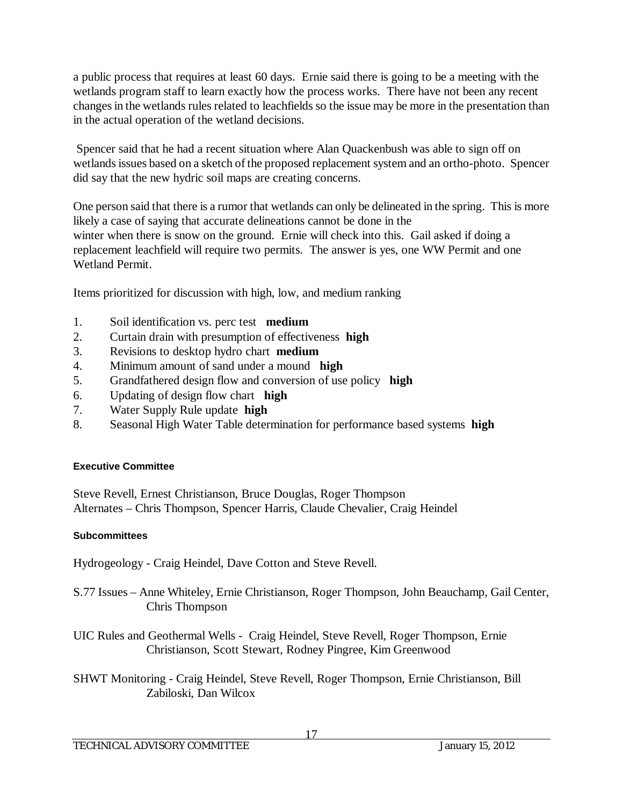a public process that requires at least 60 days. Ernie said there is going to be a meeting with the wetlands program staff to learn exactly how the process works. There have not been any recent changes in the wetlands rules related to leachfields so the issue may be more in the presentation than in the actual operation of the wetland decisions.

Spencer said that he had a recent situation where Alan Quackenbush was able to sign off on wetlands issues based on a sketch of the proposed replacement system and an ortho-photo. Spencer did say that the new hydric soil maps are creating concerns.

One person said that there is a rumor that wetlands can only be delineated in the spring. This is more likely a case of saying that accurate delineations cannot be done in the winter when there is snow on the ground. Ernie will check into this. Gail asked if doing a replacement leachfield will require two permits. The answer is yes, one WW Permit and one Wetland Permit.

Items prioritized for discussion with high, low, and medium ranking

- 1. Soil identification vs. perc test **medium**
- 2. Curtain drain with presumption of effectiveness **high**
- 3. Revisions to desktop hydro chart **medium**
- 4. Minimum amount of sand under a mound **high**
- 5. Grandfathered design flow and conversion of use policy **high**
- 6. Updating of design flow chart **high**
- 7. Water Supply Rule update **high**
- 8. Seasonal High Water Table determination for performance based systems **high**

#### **Executive Committee**

Steve Revell, Ernest Christianson, Bruce Douglas, Roger Thompson Alternates – Chris Thompson, Spencer Harris, Claude Chevalier, Craig Heindel

#### **Subcommittees**

Hydrogeology - Craig Heindel, Dave Cotton and Steve Revell.

- S.77 Issues Anne Whiteley, Ernie Christianson, Roger Thompson, John Beauchamp, Gail Center, Chris Thompson
- UIC Rules and Geothermal Wells Craig Heindel, Steve Revell, Roger Thompson, Ernie Christianson, Scott Stewart, Rodney Pingree, Kim Greenwood
- SHWT Monitoring Craig Heindel, Steve Revell, Roger Thompson, Ernie Christianson, Bill Zabiloski, Dan Wilcox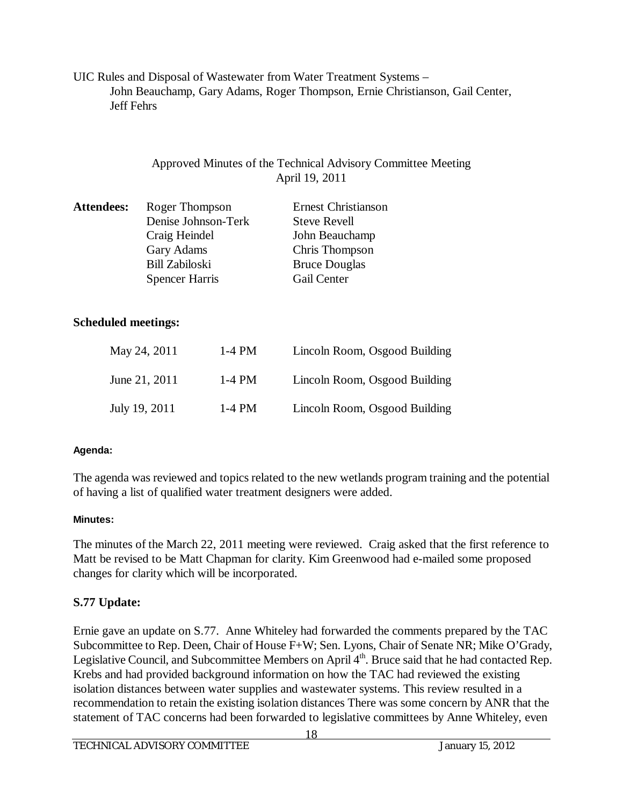UIC Rules and Disposal of Wastewater from Water Treatment Systems – John Beauchamp, Gary Adams, Roger Thompson, Ernie Christianson, Gail Center, Jeff Fehrs

## Approved Minutes of the Technical Advisory Committee Meeting April 19, 2011

| Roger Thompson        | <b>Ernest Christianson</b> |
|-----------------------|----------------------------|
| Denise Johnson-Terk   | <b>Steve Revell</b>        |
| Craig Heindel         | John Beauchamp             |
| Gary Adams            | Chris Thompson             |
| <b>Bill Zabiloski</b> | <b>Bruce Douglas</b>       |
| <b>Spencer Harris</b> | Gail Center                |
|                       |                            |

## **Scheduled meetings:**

| May 24, 2011  | 1-4 PM | Lincoln Room, Osgood Building |
|---------------|--------|-------------------------------|
| June 21, 2011 | 1-4 PM | Lincoln Room, Osgood Building |
| July 19, 2011 | 1-4 PM | Lincoln Room, Osgood Building |

## **Agenda:**

The agenda was reviewed and topics related to the new wetlands program training and the potential of having a list of qualified water treatment designers were added.

## **Minutes:**

The minutes of the March 22, 2011 meeting were reviewed. Craig asked that the first reference to Matt be revised to be Matt Chapman for clarity. Kim Greenwood had e-mailed some proposed changes for clarity which will be incorporated.

# **S.77 Update:**

Ernie gave an update on S.77. Anne Whiteley had forwarded the comments prepared by the TAC Subcommittee to Rep. Deen, Chair of House F+W; Sen. Lyons, Chair of Senate NR; Mike O'Grady, Legislative Council, and Subcommittee Members on April 4<sup>th</sup>. Bruce said that he had contacted Rep. Krebs and had provided background information on how the TAC had reviewed the existing isolation distances between water supplies and wastewater systems. This review resulted in a recommendation to retain the existing isolation distances There was some concern by ANR that the statement of TAC concerns had been forwarded to legislative committees by Anne Whiteley, even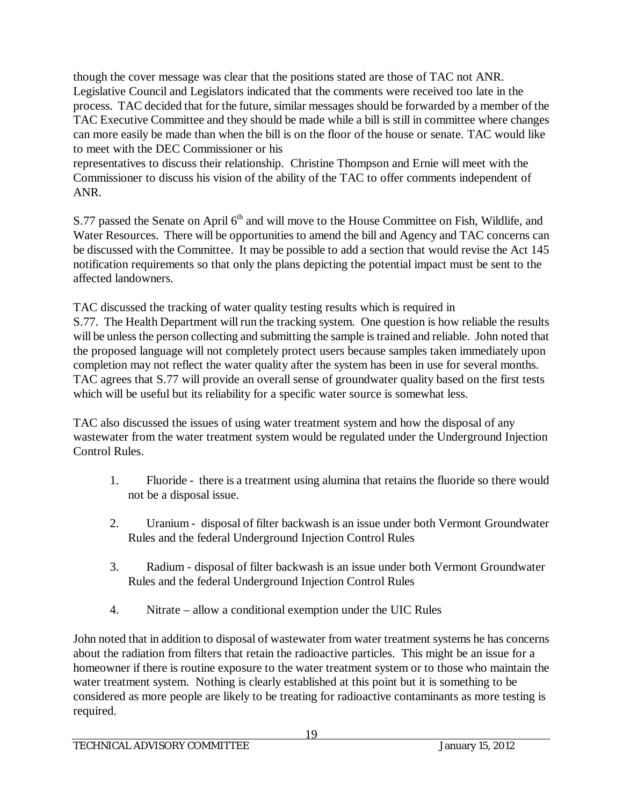though the cover message was clear that the positions stated are those of TAC not ANR. Legislative Council and Legislators indicated that the comments were received too late in the process. TAC decided that for the future, similar messages should be forwarded by a member of the TAC Executive Committee and they should be made while a bill is still in committee where changes can more easily be made than when the bill is on the floor of the house or senate. TAC would like to meet with the DEC Commissioner or his

representatives to discuss their relationship. Christine Thompson and Ernie will meet with the Commissioner to discuss his vision of the ability of the TAC to offer comments independent of ANR.

S.77 passed the Senate on April 6<sup>th</sup> and will move to the House Committee on Fish, Wildlife, and Water Resources. There will be opportunities to amend the bill and Agency and TAC concerns can be discussed with the Committee. It may be possible to add a section that would revise the Act 145 notification requirements so that only the plans depicting the potential impact must be sent to the affected landowners.

TAC discussed the tracking of water quality testing results which is required in

S.77. The Health Department will run the tracking system. One question is how reliable the results will be unless the person collecting and submitting the sample is trained and reliable. John noted that the proposed language will not completely protect users because samples taken immediately upon completion may not reflect the water quality after the system has been in use for several months. TAC agrees that S.77 will provide an overall sense of groundwater quality based on the first tests which will be useful but its reliability for a specific water source is somewhat less.

TAC also discussed the issues of using water treatment system and how the disposal of any wastewater from the water treatment system would be regulated under the Underground Injection Control Rules.

- 1. Fluoride there is a treatment using alumina that retains the fluoride so there would not be a disposal issue.
- 2. Uranium disposal of filter backwash is an issue under both Vermont Groundwater Rules and the federal Underground Injection Control Rules
- 3. Radium disposal of filter backwash is an issue under both Vermont Groundwater Rules and the federal Underground Injection Control Rules
- 4. Nitrate allow a conditional exemption under the UIC Rules

John noted that in addition to disposal of wastewater from water treatment systems he has concerns about the radiation from filters that retain the radioactive particles. This might be an issue for a homeowner if there is routine exposure to the water treatment system or to those who maintain the water treatment system. Nothing is clearly established at this point but it is something to be considered as more people are likely to be treating for radioactive contaminants as more testing is required.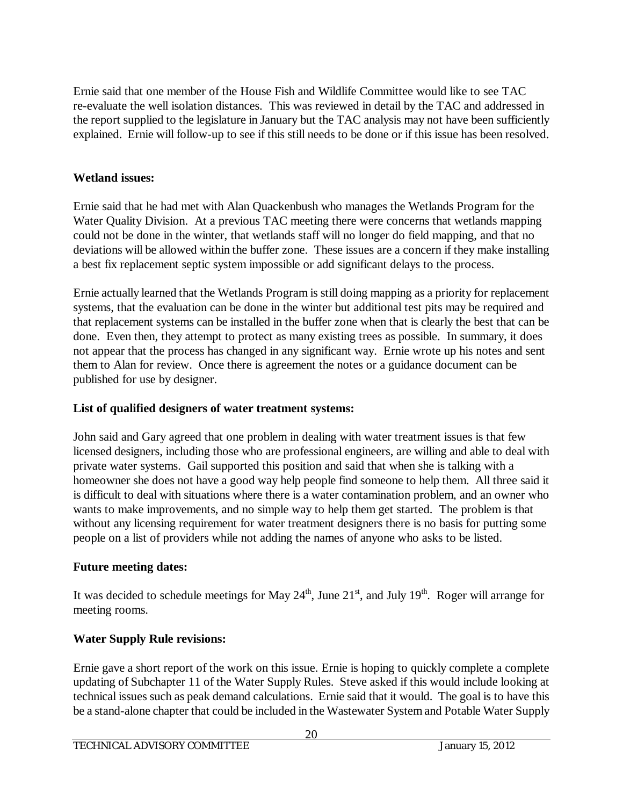Ernie said that one member of the House Fish and Wildlife Committee would like to see TAC re-evaluate the well isolation distances. This was reviewed in detail by the TAC and addressed in the report supplied to the legislature in January but the TAC analysis may not have been sufficiently explained. Ernie will follow-up to see if this still needs to be done or if this issue has been resolved.

# **Wetland issues:**

Ernie said that he had met with Alan Quackenbush who manages the Wetlands Program for the Water Quality Division. At a previous TAC meeting there were concerns that wetlands mapping could not be done in the winter, that wetlands staff will no longer do field mapping, and that no deviations will be allowed within the buffer zone. These issues are a concern if they make installing a best fix replacement septic system impossible or add significant delays to the process.

Ernie actually learned that the Wetlands Program is still doing mapping as a priority for replacement systems, that the evaluation can be done in the winter but additional test pits may be required and that replacement systems can be installed in the buffer zone when that is clearly the best that can be done. Even then, they attempt to protect as many existing trees as possible. In summary, it does not appear that the process has changed in any significant way. Ernie wrote up his notes and sent them to Alan for review. Once there is agreement the notes or a guidance document can be published for use by designer.

# **List of qualified designers of water treatment systems:**

John said and Gary agreed that one problem in dealing with water treatment issues is that few licensed designers, including those who are professional engineers, are willing and able to deal with private water systems. Gail supported this position and said that when she is talking with a homeowner she does not have a good way help people find someone to help them. All three said it is difficult to deal with situations where there is a water contamination problem, and an owner who wants to make improvements, and no simple way to help them get started. The problem is that without any licensing requirement for water treatment designers there is no basis for putting some people on a list of providers while not adding the names of anyone who asks to be listed.

# **Future meeting dates:**

It was decided to schedule meetings for May  $24<sup>th</sup>$ , June  $21<sup>st</sup>$ , and July  $19<sup>th</sup>$ . Roger will arrange for meeting rooms.

# **Water Supply Rule revisions:**

Ernie gave a short report of the work on this issue. Ernie is hoping to quickly complete a complete updating of Subchapter 11 of the Water Supply Rules. Steve asked if this would include looking at technical issues such as peak demand calculations. Ernie said that it would. The goal is to have this be a stand-alone chapter that could be included in the Wastewater System and Potable Water Supply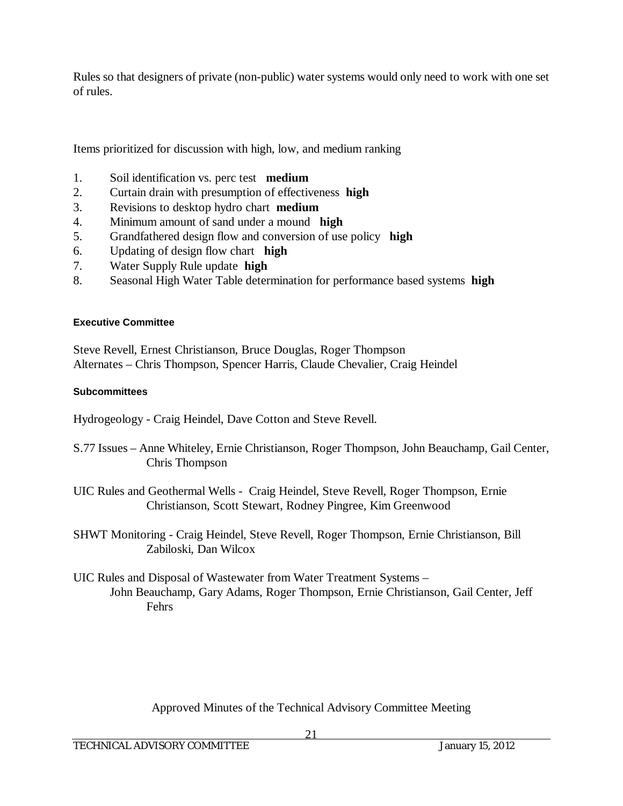Rules so that designers of private (non-public) water systems would only need to work with one set of rules.

Items prioritized for discussion with high, low, and medium ranking

- 1. Soil identification vs. perc test **medium**
- 2. Curtain drain with presumption of effectiveness **high**
- 3. Revisions to desktop hydro chart **medium**
- 4. Minimum amount of sand under a mound **high**
- 5. Grandfathered design flow and conversion of use policy **high**
- 6. Updating of design flow chart **high**
- 7. Water Supply Rule update **high**
- 8. Seasonal High Water Table determination for performance based systems **high**

#### **Executive Committee**

Steve Revell, Ernest Christianson, Bruce Douglas, Roger Thompson Alternates – Chris Thompson, Spencer Harris, Claude Chevalier, Craig Heindel

#### **Subcommittees**

Hydrogeology - Craig Heindel, Dave Cotton and Steve Revell.

- S.77 Issues Anne Whiteley, Ernie Christianson, Roger Thompson, John Beauchamp, Gail Center, Chris Thompson
- UIC Rules and Geothermal Wells Craig Heindel, Steve Revell, Roger Thompson, Ernie Christianson, Scott Stewart, Rodney Pingree, Kim Greenwood
- SHWT Monitoring Craig Heindel, Steve Revell, Roger Thompson, Ernie Christianson, Bill Zabiloski, Dan Wilcox
- UIC Rules and Disposal of Wastewater from Water Treatment Systems John Beauchamp, Gary Adams, Roger Thompson, Ernie Christianson, Gail Center, Jeff Fehrs

Approved Minutes of the Technical Advisory Committee Meeting

21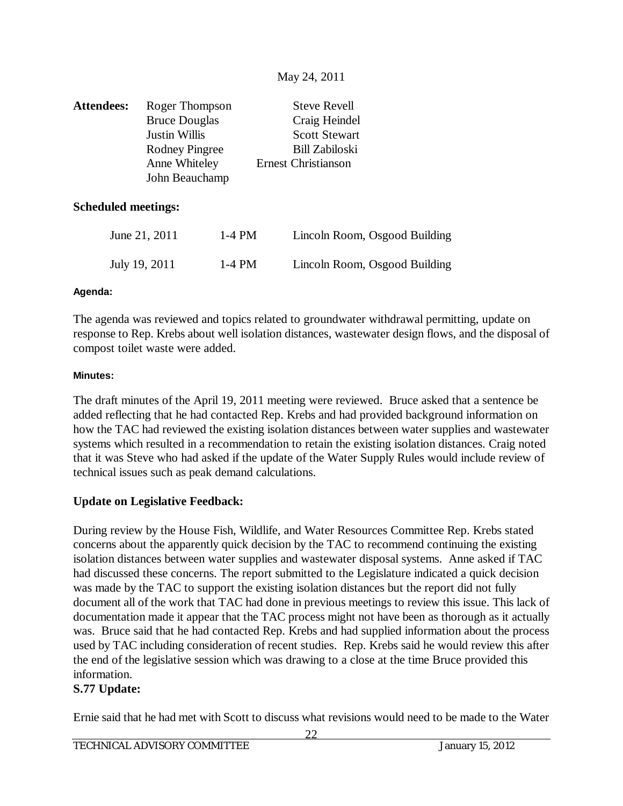| <b>Attendees:</b> | Roger Thompson        | <b>Steve Revell</b>        |
|-------------------|-----------------------|----------------------------|
|                   | <b>Bruce Douglas</b>  | Craig Heindel              |
|                   | <b>Justin Willis</b>  | <b>Scott Stewart</b>       |
|                   | <b>Rodney Pingree</b> | <b>Bill Zabiloski</b>      |
|                   | Anne Whiteley         | <b>Ernest Christianson</b> |
|                   | John Beauchamp        |                            |

#### **Scheduled meetings:**

| June 21, 2011 | 1-4 PM | Lincoln Room, Osgood Building |
|---------------|--------|-------------------------------|
| July 19, 2011 | 1-4 PM | Lincoln Room, Osgood Building |

#### **Agenda:**

The agenda was reviewed and topics related to groundwater withdrawal permitting, update on response to Rep. Krebs about well isolation distances, wastewater design flows, and the disposal of compost toilet waste were added.

#### **Minutes:**

The draft minutes of the April 19, 2011 meeting were reviewed. Bruce asked that a sentence be added reflecting that he had contacted Rep. Krebs and had provided background information on how the TAC had reviewed the existing isolation distances between water supplies and wastewater systems which resulted in a recommendation to retain the existing isolation distances. Craig noted that it was Steve who had asked if the update of the Water Supply Rules would include review of technical issues such as peak demand calculations.

## **Update on Legislative Feedback:**

During review by the House Fish, Wildlife, and Water Resources Committee Rep. Krebs stated concerns about the apparently quick decision by the TAC to recommend continuing the existing isolation distances between water supplies and wastewater disposal systems. Anne asked if TAC had discussed these concerns. The report submitted to the Legislature indicated a quick decision was made by the TAC to support the existing isolation distances but the report did not fully document all of the work that TAC had done in previous meetings to review this issue. This lack of documentation made it appear that the TAC process might not have been as thorough as it actually was. Bruce said that he had contacted Rep. Krebs and had supplied information about the process used by TAC including consideration of recent studies. Rep. Krebs said he would review this after the end of the legislative session which was drawing to a close at the time Bruce provided this information.

## **S.77 Update:**

Ernie said that he had met with Scott to discuss what revisions would need to be made to the Water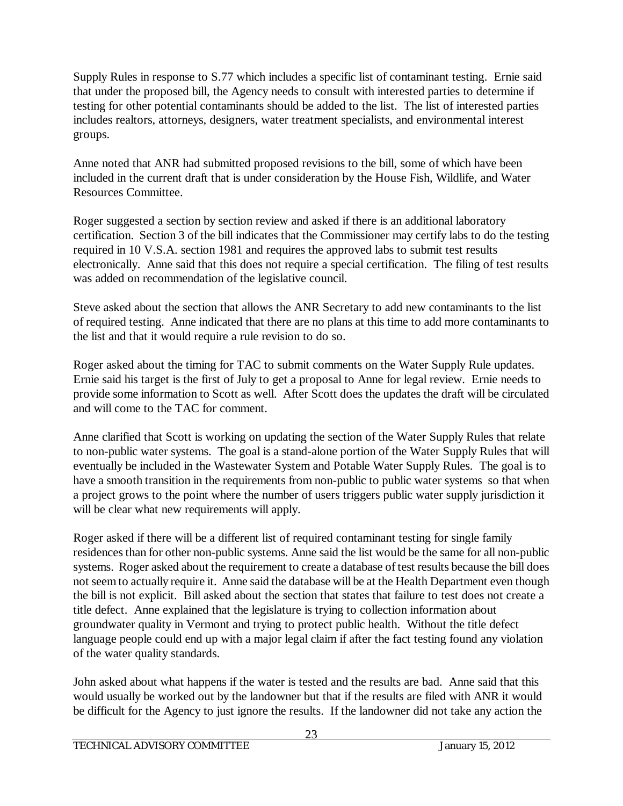Supply Rules in response to S.77 which includes a specific list of contaminant testing. Ernie said that under the proposed bill, the Agency needs to consult with interested parties to determine if testing for other potential contaminants should be added to the list. The list of interested parties includes realtors, attorneys, designers, water treatment specialists, and environmental interest groups.

Anne noted that ANR had submitted proposed revisions to the bill, some of which have been included in the current draft that is under consideration by the House Fish, Wildlife, and Water Resources Committee.

Roger suggested a section by section review and asked if there is an additional laboratory certification. Section 3 of the bill indicates that the Commissioner may certify labs to do the testing required in 10 V.S.A. section 1981 and requires the approved labs to submit test results electronically. Anne said that this does not require a special certification. The filing of test results was added on recommendation of the legislative council.

Steve asked about the section that allows the ANR Secretary to add new contaminants to the list of required testing. Anne indicated that there are no plans at this time to add more contaminants to the list and that it would require a rule revision to do so.

Roger asked about the timing for TAC to submit comments on the Water Supply Rule updates. Ernie said his target is the first of July to get a proposal to Anne for legal review. Ernie needs to provide some information to Scott as well. After Scott does the updates the draft will be circulated and will come to the TAC for comment.

Anne clarified that Scott is working on updating the section of the Water Supply Rules that relate to non-public water systems. The goal is a stand-alone portion of the Water Supply Rules that will eventually be included in the Wastewater System and Potable Water Supply Rules. The goal is to have a smooth transition in the requirements from non-public to public water systems so that when a project grows to the point where the number of users triggers public water supply jurisdiction it will be clear what new requirements will apply.

Roger asked if there will be a different list of required contaminant testing for single family residences than for other non-public systems. Anne said the list would be the same for all non-public systems. Roger asked about the requirement to create a database of test results because the bill does not seem to actually require it. Anne said the database will be at the Health Department even though the bill is not explicit. Bill asked about the section that states that failure to test does not create a title defect. Anne explained that the legislature is trying to collection information about groundwater quality in Vermont and trying to protect public health. Without the title defect language people could end up with a major legal claim if after the fact testing found any violation of the water quality standards.

John asked about what happens if the water is tested and the results are bad. Anne said that this would usually be worked out by the landowner but that if the results are filed with ANR it would be difficult for the Agency to just ignore the results. If the landowner did not take any action the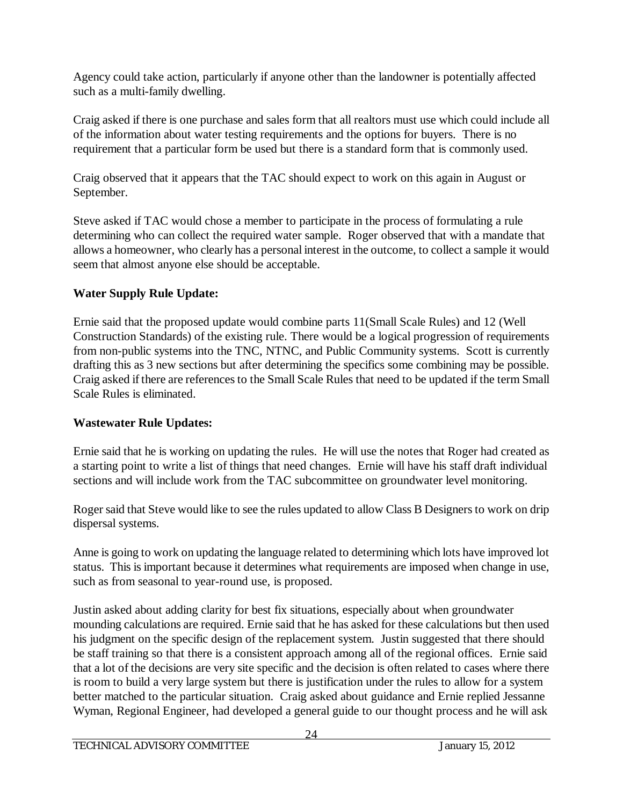Agency could take action, particularly if anyone other than the landowner is potentially affected such as a multi-family dwelling.

Craig asked if there is one purchase and sales form that all realtors must use which could include all of the information about water testing requirements and the options for buyers. There is no requirement that a particular form be used but there is a standard form that is commonly used.

Craig observed that it appears that the TAC should expect to work on this again in August or September.

Steve asked if TAC would chose a member to participate in the process of formulating a rule determining who can collect the required water sample. Roger observed that with a mandate that allows a homeowner, who clearly has a personal interest in the outcome, to collect a sample it would seem that almost anyone else should be acceptable.

# **Water Supply Rule Update:**

Ernie said that the proposed update would combine parts 11(Small Scale Rules) and 12 (Well Construction Standards) of the existing rule. There would be a logical progression of requirements from non-public systems into the TNC, NTNC, and Public Community systems. Scott is currently drafting this as 3 new sections but after determining the specifics some combining may be possible. Craig asked if there are references to the Small Scale Rules that need to be updated if the term Small Scale Rules is eliminated.

# **Wastewater Rule Updates:**

Ernie said that he is working on updating the rules. He will use the notes that Roger had created as a starting point to write a list of things that need changes. Ernie will have his staff draft individual sections and will include work from the TAC subcommittee on groundwater level monitoring.

Roger said that Steve would like to see the rules updated to allow Class B Designers to work on drip dispersal systems.

Anne is going to work on updating the language related to determining which lots have improved lot status. This is important because it determines what requirements are imposed when change in use, such as from seasonal to year-round use, is proposed.

Justin asked about adding clarity for best fix situations, especially about when groundwater mounding calculations are required. Ernie said that he has asked for these calculations but then used his judgment on the specific design of the replacement system. Justin suggested that there should be staff training so that there is a consistent approach among all of the regional offices. Ernie said that a lot of the decisions are very site specific and the decision is often related to cases where there is room to build a very large system but there is justification under the rules to allow for a system better matched to the particular situation. Craig asked about guidance and Ernie replied Jessanne Wyman, Regional Engineer, had developed a general guide to our thought process and he will ask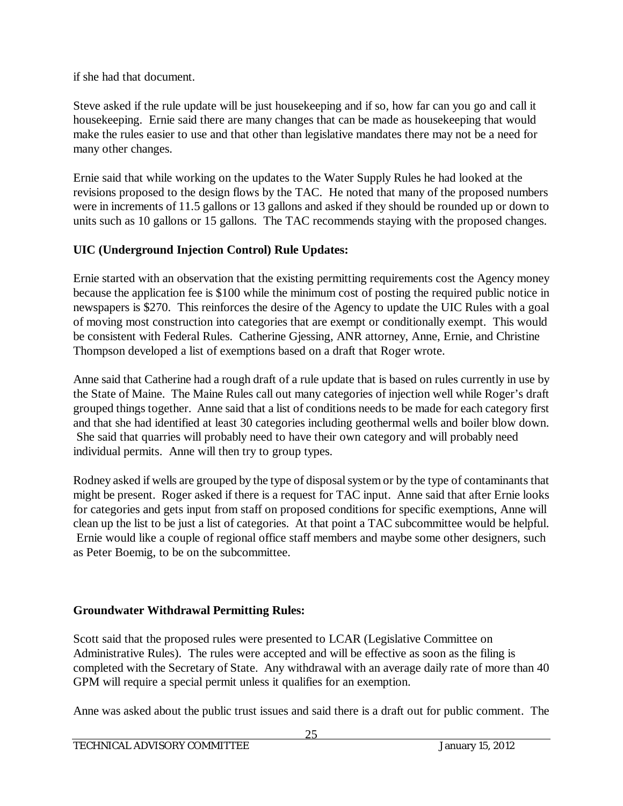if she had that document.

Steve asked if the rule update will be just housekeeping and if so, how far can you go and call it housekeeping. Ernie said there are many changes that can be made as housekeeping that would make the rules easier to use and that other than legislative mandates there may not be a need for many other changes.

Ernie said that while working on the updates to the Water Supply Rules he had looked at the revisions proposed to the design flows by the TAC. He noted that many of the proposed numbers were in increments of 11.5 gallons or 13 gallons and asked if they should be rounded up or down to units such as 10 gallons or 15 gallons. The TAC recommends staying with the proposed changes.

# **UIC (Underground Injection Control) Rule Updates:**

Ernie started with an observation that the existing permitting requirements cost the Agency money because the application fee is \$100 while the minimum cost of posting the required public notice in newspapers is \$270. This reinforces the desire of the Agency to update the UIC Rules with a goal of moving most construction into categories that are exempt or conditionally exempt. This would be consistent with Federal Rules. Catherine Gjessing, ANR attorney, Anne, Ernie, and Christine Thompson developed a list of exemptions based on a draft that Roger wrote.

Anne said that Catherine had a rough draft of a rule update that is based on rules currently in use by the State of Maine. The Maine Rules call out many categories of injection well while Roger's draft grouped things together. Anne said that a list of conditions needs to be made for each category first and that she had identified at least 30 categories including geothermal wells and boiler blow down. She said that quarries will probably need to have their own category and will probably need individual permits. Anne will then try to group types.

Rodney asked if wells are grouped by the type of disposal system or by the type of contaminants that might be present. Roger asked if there is a request for TAC input. Anne said that after Ernie looks for categories and gets input from staff on proposed conditions for specific exemptions, Anne will clean up the list to be just a list of categories. At that point a TAC subcommittee would be helpful. Ernie would like a couple of regional office staff members and maybe some other designers, such as Peter Boemig, to be on the subcommittee.

# **Groundwater Withdrawal Permitting Rules:**

Scott said that the proposed rules were presented to LCAR (Legislative Committee on Administrative Rules). The rules were accepted and will be effective as soon as the filing is completed with the Secretary of State. Any withdrawal with an average daily rate of more than 40 GPM will require a special permit unless it qualifies for an exemption.

Anne was asked about the public trust issues and said there is a draft out for public comment. The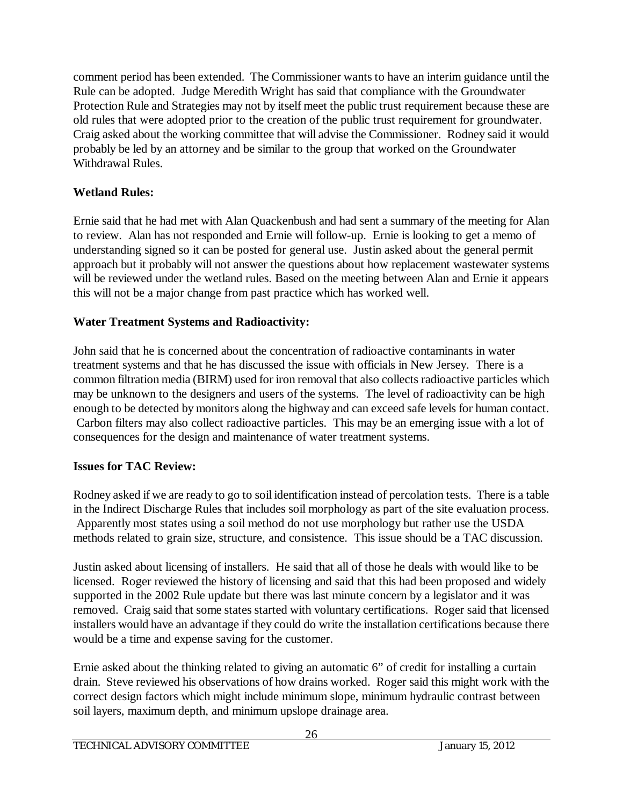comment period has been extended. The Commissioner wants to have an interim guidance until the Rule can be adopted. Judge Meredith Wright has said that compliance with the Groundwater Protection Rule and Strategies may not by itself meet the public trust requirement because these are old rules that were adopted prior to the creation of the public trust requirement for groundwater. Craig asked about the working committee that will advise the Commissioner. Rodney said it would probably be led by an attorney and be similar to the group that worked on the Groundwater Withdrawal Rules.

# **Wetland Rules:**

Ernie said that he had met with Alan Quackenbush and had sent a summary of the meeting for Alan to review. Alan has not responded and Ernie will follow-up. Ernie is looking to get a memo of understanding signed so it can be posted for general use. Justin asked about the general permit approach but it probably will not answer the questions about how replacement wastewater systems will be reviewed under the wetland rules. Based on the meeting between Alan and Ernie it appears this will not be a major change from past practice which has worked well.

# **Water Treatment Systems and Radioactivity:**

John said that he is concerned about the concentration of radioactive contaminants in water treatment systems and that he has discussed the issue with officials in New Jersey. There is a common filtration media (BIRM) used for iron removal that also collects radioactive particles which may be unknown to the designers and users of the systems. The level of radioactivity can be high enough to be detected by monitors along the highway and can exceed safe levels for human contact. Carbon filters may also collect radioactive particles. This may be an emerging issue with a lot of consequences for the design and maintenance of water treatment systems.

# **Issues for TAC Review:**

Rodney asked if we are ready to go to soil identification instead of percolation tests. There is a table in the Indirect Discharge Rules that includes soil morphology as part of the site evaluation process. Apparently most states using a soil method do not use morphology but rather use the USDA methods related to grain size, structure, and consistence. This issue should be a TAC discussion.

Justin asked about licensing of installers. He said that all of those he deals with would like to be licensed. Roger reviewed the history of licensing and said that this had been proposed and widely supported in the 2002 Rule update but there was last minute concern by a legislator and it was removed. Craig said that some states started with voluntary certifications. Roger said that licensed installers would have an advantage if they could do write the installation certifications because there would be a time and expense saving for the customer.

Ernie asked about the thinking related to giving an automatic 6" of credit for installing a curtain drain. Steve reviewed his observations of how drains worked. Roger said this might work with the correct design factors which might include minimum slope, minimum hydraulic contrast between soil layers, maximum depth, and minimum upslope drainage area.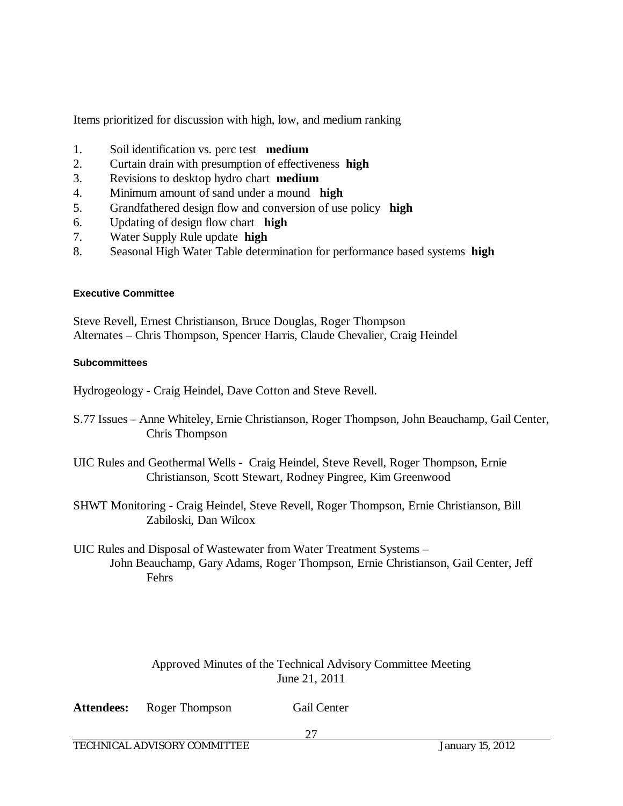Items prioritized for discussion with high, low, and medium ranking

- 1. Soil identification vs. perc test **medium**
- 2. Curtain drain with presumption of effectiveness **high**
- 3. Revisions to desktop hydro chart **medium**
- 4. Minimum amount of sand under a mound **high**
- 5. Grandfathered design flow and conversion of use policy **high**
- 6. Updating of design flow chart **high**
- 7. Water Supply Rule update **high**
- 8. Seasonal High Water Table determination for performance based systems **high**

#### **Executive Committee**

Steve Revell, Ernest Christianson, Bruce Douglas, Roger Thompson Alternates – Chris Thompson, Spencer Harris, Claude Chevalier, Craig Heindel

#### **Subcommittees**

Hydrogeology - Craig Heindel, Dave Cotton and Steve Revell.

- S.77 Issues Anne Whiteley, Ernie Christianson, Roger Thompson, John Beauchamp, Gail Center, Chris Thompson
- UIC Rules and Geothermal Wells Craig Heindel, Steve Revell, Roger Thompson, Ernie Christianson, Scott Stewart, Rodney Pingree, Kim Greenwood
- SHWT Monitoring Craig Heindel, Steve Revell, Roger Thompson, Ernie Christianson, Bill Zabiloski, Dan Wilcox
- UIC Rules and Disposal of Wastewater from Water Treatment Systems John Beauchamp, Gary Adams, Roger Thompson, Ernie Christianson, Gail Center, Jeff Fehrs

## Approved Minutes of the Technical Advisory Committee Meeting June 21, 2011

| <b>Gail Center</b> |
|--------------------|
|                    |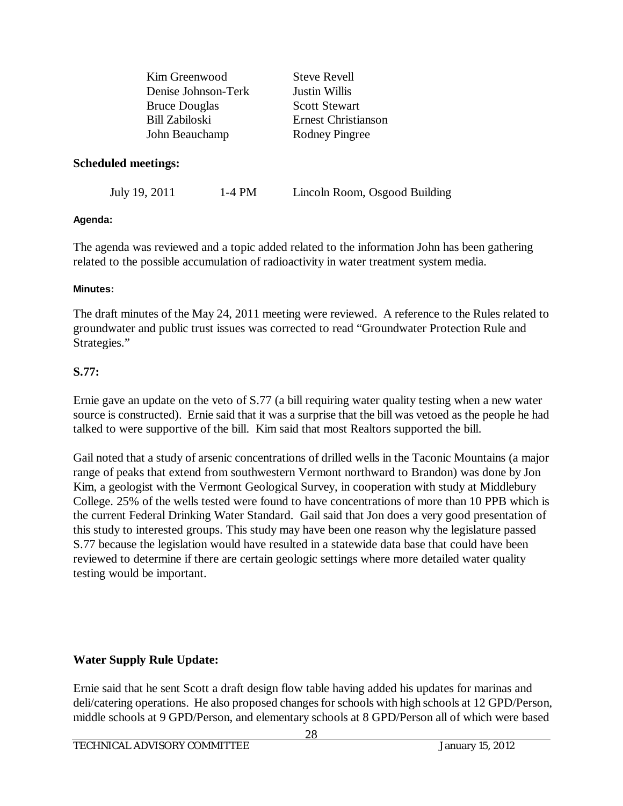| Kim Greenwood        | <b>Steve Revell</b>        |
|----------------------|----------------------------|
| Denise Johnson-Terk  | <b>Justin Willis</b>       |
| <b>Bruce Douglas</b> | <b>Scott Stewart</b>       |
| Bill Zabiloski       | <b>Ernest Christianson</b> |
| John Beauchamp       | <b>Rodney Pingree</b>      |
|                      |                            |

#### **Scheduled meetings:**

July 19, 2011 1-4 PM Lincoln Room, Osgood Building

#### **Agenda:**

The agenda was reviewed and a topic added related to the information John has been gathering related to the possible accumulation of radioactivity in water treatment system media.

#### **Minutes:**

The draft minutes of the May 24, 2011 meeting were reviewed. A reference to the Rules related to groundwater and public trust issues was corrected to read "Groundwater Protection Rule and Strategies."

#### **S.77:**

Ernie gave an update on the veto of S.77 (a bill requiring water quality testing when a new water source is constructed). Ernie said that it was a surprise that the bill was vetoed as the people he had talked to were supportive of the bill. Kim said that most Realtors supported the bill.

Gail noted that a study of arsenic concentrations of drilled wells in the Taconic Mountains (a major range of peaks that extend from southwestern Vermont northward to Brandon) was done by Jon Kim, a geologist with the Vermont Geological Survey, in cooperation with study at Middlebury College. 25% of the wells tested were found to have concentrations of more than 10 PPB which is the current Federal Drinking Water Standard. Gail said that Jon does a very good presentation of this study to interested groups. This study may have been one reason why the legislature passed S.77 because the legislation would have resulted in a statewide data base that could have been reviewed to determine if there are certain geologic settings where more detailed water quality testing would be important.

## **Water Supply Rule Update:**

Ernie said that he sent Scott a draft design flow table having added his updates for marinas and deli/catering operations. He also proposed changes for schools with high schools at 12 GPD/Person, middle schools at 9 GPD/Person, and elementary schools at 8 GPD/Person all of which were based

28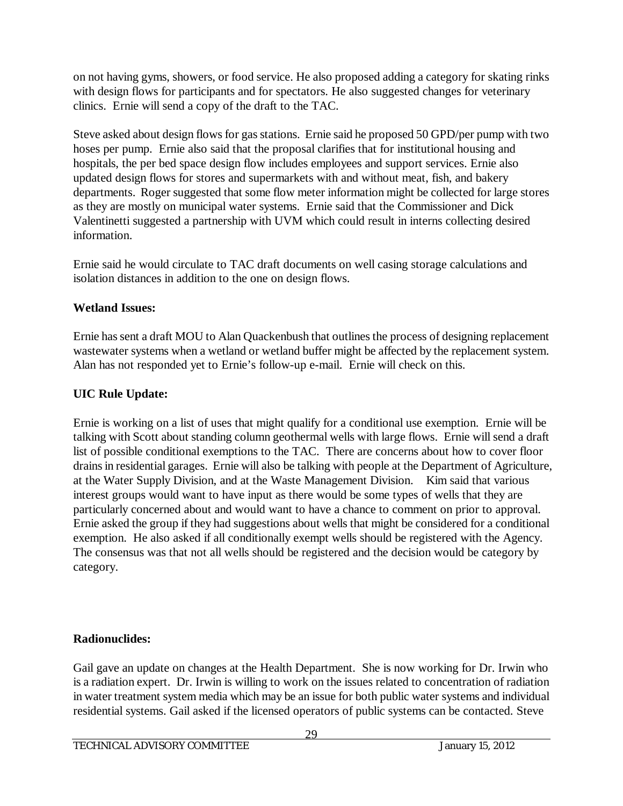on not having gyms, showers, or food service. He also proposed adding a category for skating rinks with design flows for participants and for spectators. He also suggested changes for veterinary clinics. Ernie will send a copy of the draft to the TAC.

Steve asked about design flows for gas stations. Ernie said he proposed 50 GPD/per pump with two hoses per pump. Ernie also said that the proposal clarifies that for institutional housing and hospitals, the per bed space design flow includes employees and support services. Ernie also updated design flows for stores and supermarkets with and without meat, fish, and bakery departments. Roger suggested that some flow meter information might be collected for large stores as they are mostly on municipal water systems. Ernie said that the Commissioner and Dick Valentinetti suggested a partnership with UVM which could result in interns collecting desired information.

Ernie said he would circulate to TAC draft documents on well casing storage calculations and isolation distances in addition to the one on design flows.

# **Wetland Issues:**

Ernie has sent a draft MOU to Alan Quackenbush that outlines the process of designing replacement wastewater systems when a wetland or wetland buffer might be affected by the replacement system. Alan has not responded yet to Ernie's follow-up e-mail. Ernie will check on this.

# **UIC Rule Update:**

Ernie is working on a list of uses that might qualify for a conditional use exemption. Ernie will be talking with Scott about standing column geothermal wells with large flows. Ernie will send a draft list of possible conditional exemptions to the TAC. There are concerns about how to cover floor drains in residential garages. Ernie will also be talking with people at the Department of Agriculture, at the Water Supply Division, and at the Waste Management Division. Kim said that various interest groups would want to have input as there would be some types of wells that they are particularly concerned about and would want to have a chance to comment on prior to approval. Ernie asked the group if they had suggestions about wells that might be considered for a conditional exemption. He also asked if all conditionally exempt wells should be registered with the Agency. The consensus was that not all wells should be registered and the decision would be category by category.

# **Radionuclides:**

Gail gave an update on changes at the Health Department. She is now working for Dr. Irwin who is a radiation expert. Dr. Irwin is willing to work on the issues related to concentration of radiation in water treatment system media which may be an issue for both public water systems and individual residential systems. Gail asked if the licensed operators of public systems can be contacted. Steve

29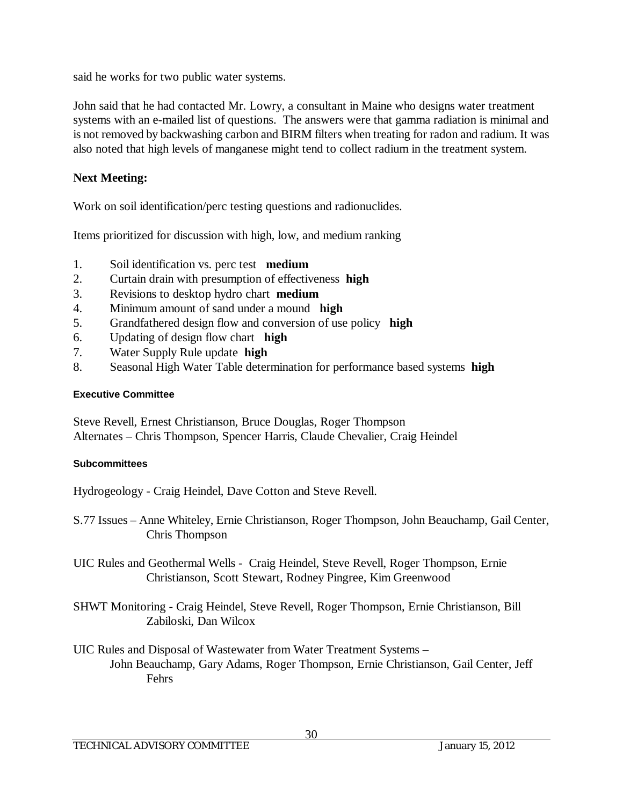said he works for two public water systems.

John said that he had contacted Mr. Lowry, a consultant in Maine who designs water treatment systems with an e-mailed list of questions. The answers were that gamma radiation is minimal and is not removed by backwashing carbon and BIRM filters when treating for radon and radium. It was also noted that high levels of manganese might tend to collect radium in the treatment system.

## **Next Meeting:**

Work on soil identification/perc testing questions and radionuclides.

Items prioritized for discussion with high, low, and medium ranking

- 1. Soil identification vs. perc test **medium**
- 2. Curtain drain with presumption of effectiveness **high**
- 3. Revisions to desktop hydro chart **medium**
- 4. Minimum amount of sand under a mound **high**
- 5. Grandfathered design flow and conversion of use policy **high**
- 6. Updating of design flow chart **high**
- 7. Water Supply Rule update **high**
- 8. Seasonal High Water Table determination for performance based systems **high**

## **Executive Committee**

Steve Revell, Ernest Christianson, Bruce Douglas, Roger Thompson Alternates – Chris Thompson, Spencer Harris, Claude Chevalier, Craig Heindel

## **Subcommittees**

Hydrogeology - Craig Heindel, Dave Cotton and Steve Revell.

- S.77 Issues Anne Whiteley, Ernie Christianson, Roger Thompson, John Beauchamp, Gail Center, Chris Thompson
- UIC Rules and Geothermal Wells Craig Heindel, Steve Revell, Roger Thompson, Ernie Christianson, Scott Stewart, Rodney Pingree, Kim Greenwood
- SHWT Monitoring Craig Heindel, Steve Revell, Roger Thompson, Ernie Christianson, Bill Zabiloski, Dan Wilcox
- UIC Rules and Disposal of Wastewater from Water Treatment Systems John Beauchamp, Gary Adams, Roger Thompson, Ernie Christianson, Gail Center, Jeff Fehrs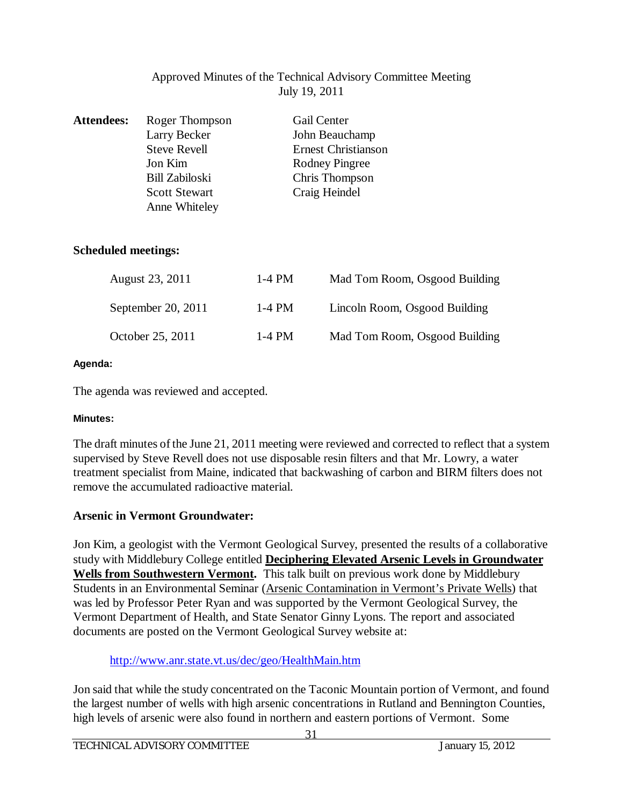## Approved Minutes of the Technical Advisory Committee Meeting July 19, 2011

| <b>Attendees:</b>          | Roger Thompson       |          | <b>Gail Center</b>            |
|----------------------------|----------------------|----------|-------------------------------|
|                            | Larry Becker         |          | John Beauchamp                |
|                            | <b>Steve Revell</b>  |          | <b>Ernest Christianson</b>    |
|                            | Jon Kim              |          | Rodney Pingree                |
|                            | Bill Zabiloski       |          | Chris Thompson                |
|                            | <b>Scott Stewart</b> |          | Craig Heindel                 |
|                            | Anne Whiteley        |          |                               |
|                            |                      |          |                               |
|                            |                      |          |                               |
| <b>Scheduled meetings:</b> |                      |          |                               |
|                            |                      |          |                               |
|                            | August 23, 2011      | $1-4$ PM | Mad Tom Room, Osgood Building |
|                            |                      |          |                               |
|                            | September 20, 2011   | $1-4$ PM | Lincoln Room, Osgood Building |
|                            |                      |          |                               |

#### **Agenda:**

The agenda was reviewed and accepted.

#### **Minutes:**

The draft minutes of the June 21, 2011 meeting were reviewed and corrected to reflect that a system supervised by Steve Revell does not use disposable resin filters and that Mr. Lowry, a water treatment specialist from Maine, indicated that backwashing of carbon and BIRM filters does not remove the accumulated radioactive material.

October 25, 2011 1-4 PM Mad Tom Room, Osgood Building

## **Arsenic in Vermont Groundwater:**

Jon Kim, a geologist with the Vermont Geological Survey, presented the results of a collaborative study with Middlebury College entitled **Deciphering Elevated Arsenic Levels in Groundwater Wells from Southwestern Vermont.** This talk built on previous work done by Middlebury Students in an Environmental Seminar (Arsenic Contamination in Vermont's Private Wells) that was led by Professor Peter Ryan and was supported by the Vermont Geological Survey, the Vermont Department of Health, and State Senator Ginny Lyons. The report and associated documents are posted on the Vermont Geological Survey website at:

## <http://www.anr.state.vt.us/dec/geo/HealthMain.htm>

Jon said that while the study concentrated on the Taconic Mountain portion of Vermont, and found the largest number of wells with high arsenic concentrations in Rutland and Bennington Counties, high levels of arsenic were also found in northern and eastern portions of Vermont. Some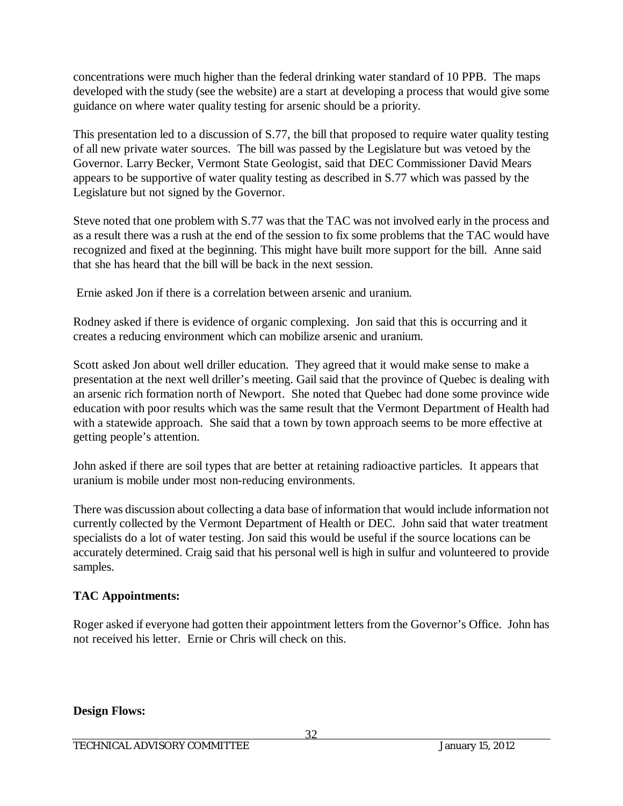concentrations were much higher than the federal drinking water standard of 10 PPB. The maps developed with the study (see the website) are a start at developing a process that would give some guidance on where water quality testing for arsenic should be a priority.

This presentation led to a discussion of S.77, the bill that proposed to require water quality testing of all new private water sources. The bill was passed by the Legislature but was vetoed by the Governor. Larry Becker, Vermont State Geologist, said that DEC Commissioner David Mears appears to be supportive of water quality testing as described in S.77 which was passed by the Legislature but not signed by the Governor.

Steve noted that one problem with S.77 was that the TAC was not involved early in the process and as a result there was a rush at the end of the session to fix some problems that the TAC would have recognized and fixed at the beginning. This might have built more support for the bill. Anne said that she has heard that the bill will be back in the next session.

Ernie asked Jon if there is a correlation between arsenic and uranium.

Rodney asked if there is evidence of organic complexing. Jon said that this is occurring and it creates a reducing environment which can mobilize arsenic and uranium.

Scott asked Jon about well driller education. They agreed that it would make sense to make a presentation at the next well driller's meeting. Gail said that the province of Quebec is dealing with an arsenic rich formation north of Newport. She noted that Quebec had done some province wide education with poor results which was the same result that the Vermont Department of Health had with a statewide approach. She said that a town by town approach seems to be more effective at getting people's attention.

John asked if there are soil types that are better at retaining radioactive particles. It appears that uranium is mobile under most non-reducing environments.

There was discussion about collecting a data base of information that would include information not currently collected by the Vermont Department of Health or DEC. John said that water treatment specialists do a lot of water testing. Jon said this would be useful if the source locations can be accurately determined. Craig said that his personal well is high in sulfur and volunteered to provide samples.

# **TAC Appointments:**

Roger asked if everyone had gotten their appointment letters from the Governor's Office. John has not received his letter. Ernie or Chris will check on this.

## **Design Flows:**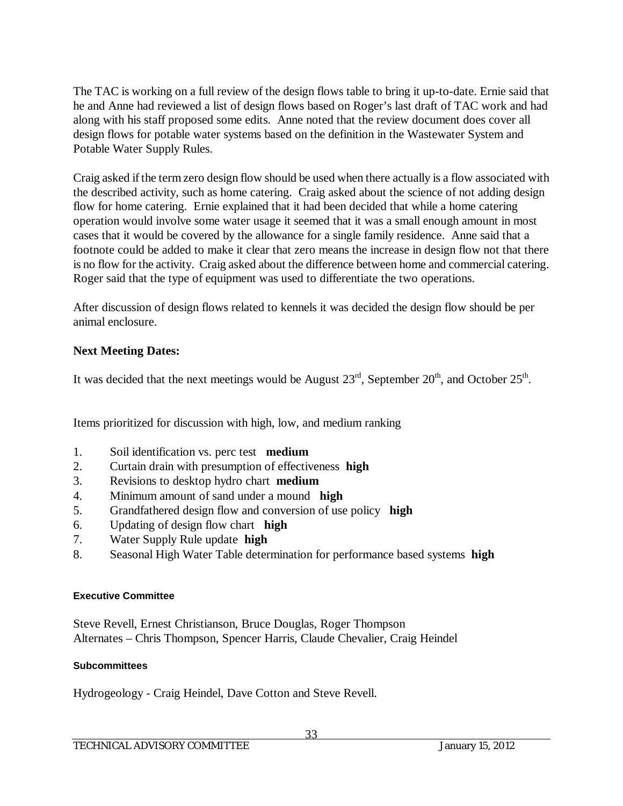The TAC is working on a full review of the design flows table to bring it up-to-date. Ernie said that he and Anne had reviewed a list of design flows based on Roger's last draft of TAC work and had along with his staff proposed some edits. Anne noted that the review document does cover all design flows for potable water systems based on the definition in the Wastewater System and Potable Water Supply Rules.

Craig asked if the term zero design flow should be used when there actually is a flow associated with the described activity, such as home catering. Craig asked about the science of not adding design flow for home catering. Ernie explained that it had been decided that while a home catering operation would involve some water usage it seemed that it was a small enough amount in most cases that it would be covered by the allowance for a single family residence. Anne said that a footnote could be added to make it clear that zero means the increase in design flow not that there is no flow for the activity. Craig asked about the difference between home and commercial catering. Roger said that the type of equipment was used to differentiate the two operations.

After discussion of design flows related to kennels it was decided the design flow should be per animal enclosure.

# **Next Meeting Dates:**

It was decided that the next meetings would be August  $23<sup>rd</sup>$ , September  $20<sup>th</sup>$ , and October  $25<sup>th</sup>$ .

Items prioritized for discussion with high, low, and medium ranking

- 1. Soil identification vs. perc test **medium**
- 2. Curtain drain with presumption of effectiveness **high**
- 3. Revisions to desktop hydro chart **medium**
- 4. Minimum amount of sand under a mound **high**
- 5. Grandfathered design flow and conversion of use policy **high**
- 6. Updating of design flow chart **high**
- 7. Water Supply Rule update **high**
- 8. Seasonal High Water Table determination for performance based systems **high**

## **Executive Committee**

Steve Revell, Ernest Christianson, Bruce Douglas, Roger Thompson Alternates – Chris Thompson, Spencer Harris, Claude Chevalier, Craig Heindel

## **Subcommittees**

Hydrogeology - Craig Heindel, Dave Cotton and Steve Revell.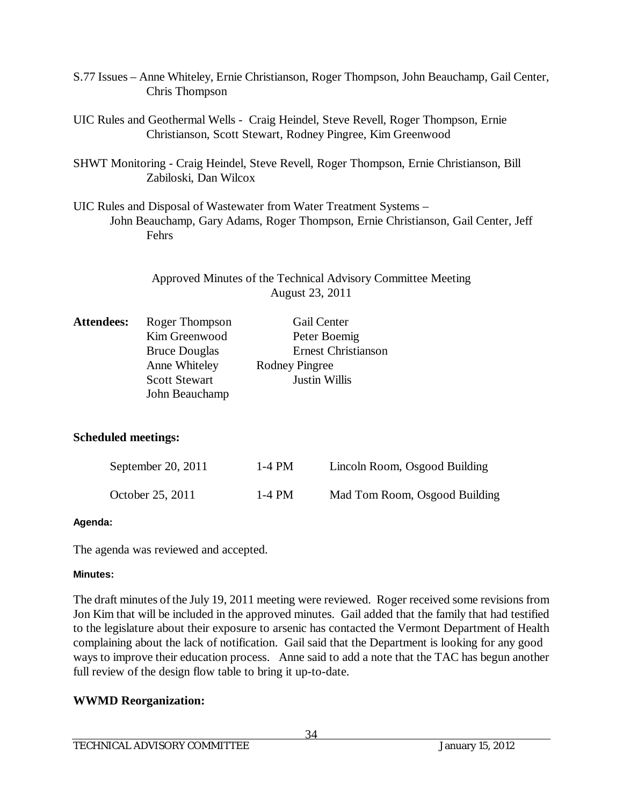- S.77 Issues Anne Whiteley, Ernie Christianson, Roger Thompson, John Beauchamp, Gail Center, Chris Thompson
- UIC Rules and Geothermal Wells Craig Heindel, Steve Revell, Roger Thompson, Ernie Christianson, Scott Stewart, Rodney Pingree, Kim Greenwood
- SHWT Monitoring Craig Heindel, Steve Revell, Roger Thompson, Ernie Christianson, Bill Zabiloski, Dan Wilcox
- UIC Rules and Disposal of Wastewater from Water Treatment Systems John Beauchamp, Gary Adams, Roger Thompson, Ernie Christianson, Gail Center, Jeff Fehrs

Approved Minutes of the Technical Advisory Committee Meeting August 23, 2011

| <b>Attendees:</b> | Roger Thompson       | Gail Center                |
|-------------------|----------------------|----------------------------|
|                   | Kim Greenwood        | Peter Boemig               |
|                   | <b>Bruce Douglas</b> | <b>Ernest Christianson</b> |
|                   | Anne Whiteley        | <b>Rodney Pingree</b>      |
|                   | <b>Scott Stewart</b> | Justin Willis              |
|                   | John Beauchamp       |                            |

## **Scheduled meetings:**

| September 20, 2011 | 1-4 PM | Lincoln Room, Osgood Building |
|--------------------|--------|-------------------------------|
| October 25, 2011   | 1-4 PM | Mad Tom Room, Osgood Building |

#### **Agenda:**

The agenda was reviewed and accepted.

#### **Minutes:**

The draft minutes of the July 19, 2011 meeting were reviewed. Roger received some revisions from Jon Kim that will be included in the approved minutes. Gail added that the family that had testified to the legislature about their exposure to arsenic has contacted the Vermont Department of Health complaining about the lack of notification. Gail said that the Department is looking for any good ways to improve their education process. Anne said to add a note that the TAC has begun another full review of the design flow table to bring it up-to-date.

## **WWMD Reorganization:**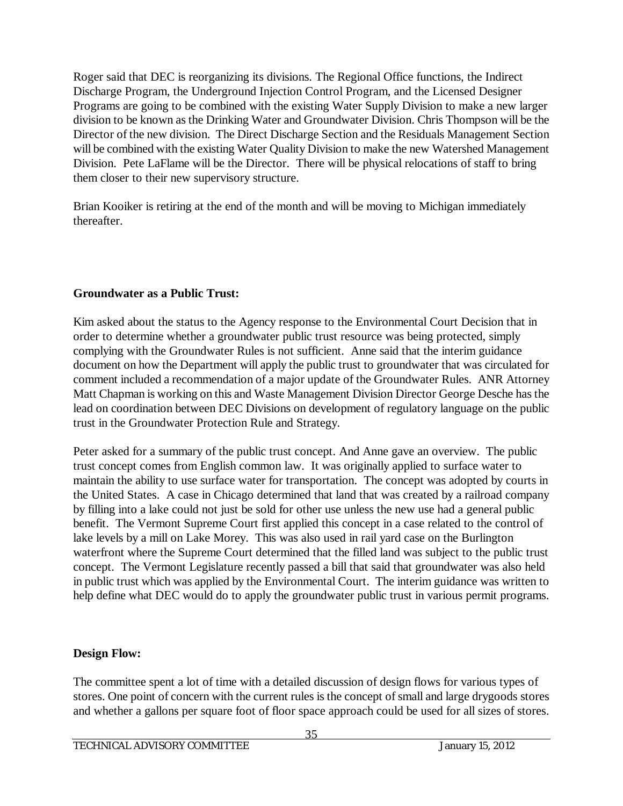Roger said that DEC is reorganizing its divisions. The Regional Office functions, the Indirect Discharge Program, the Underground Injection Control Program, and the Licensed Designer Programs are going to be combined with the existing Water Supply Division to make a new larger division to be known as the Drinking Water and Groundwater Division. Chris Thompson will be the Director of the new division. The Direct Discharge Section and the Residuals Management Section will be combined with the existing Water Quality Division to make the new Watershed Management Division. Pete LaFlame will be the Director. There will be physical relocations of staff to bring them closer to their new supervisory structure.

Brian Kooiker is retiring at the end of the month and will be moving to Michigan immediately thereafter.

## **Groundwater as a Public Trust:**

Kim asked about the status to the Agency response to the Environmental Court Decision that in order to determine whether a groundwater public trust resource was being protected, simply complying with the Groundwater Rules is not sufficient. Anne said that the interim guidance document on how the Department will apply the public trust to groundwater that was circulated for comment included a recommendation of a major update of the Groundwater Rules. ANR Attorney Matt Chapman is working on this and Waste Management Division Director George Desche has the lead on coordination between DEC Divisions on development of regulatory language on the public trust in the Groundwater Protection Rule and Strategy.

Peter asked for a summary of the public trust concept. And Anne gave an overview. The public trust concept comes from English common law. It was originally applied to surface water to maintain the ability to use surface water for transportation. The concept was adopted by courts in the United States. A case in Chicago determined that land that was created by a railroad company by filling into a lake could not just be sold for other use unless the new use had a general public benefit. The Vermont Supreme Court first applied this concept in a case related to the control of lake levels by a mill on Lake Morey. This was also used in rail yard case on the Burlington waterfront where the Supreme Court determined that the filled land was subject to the public trust concept. The Vermont Legislature recently passed a bill that said that groundwater was also held in public trust which was applied by the Environmental Court. The interim guidance was written to help define what DEC would do to apply the groundwater public trust in various permit programs.

## **Design Flow:**

The committee spent a lot of time with a detailed discussion of design flows for various types of stores. One point of concern with the current rules is the concept of small and large drygoods stores and whether a gallons per square foot of floor space approach could be used for all sizes of stores.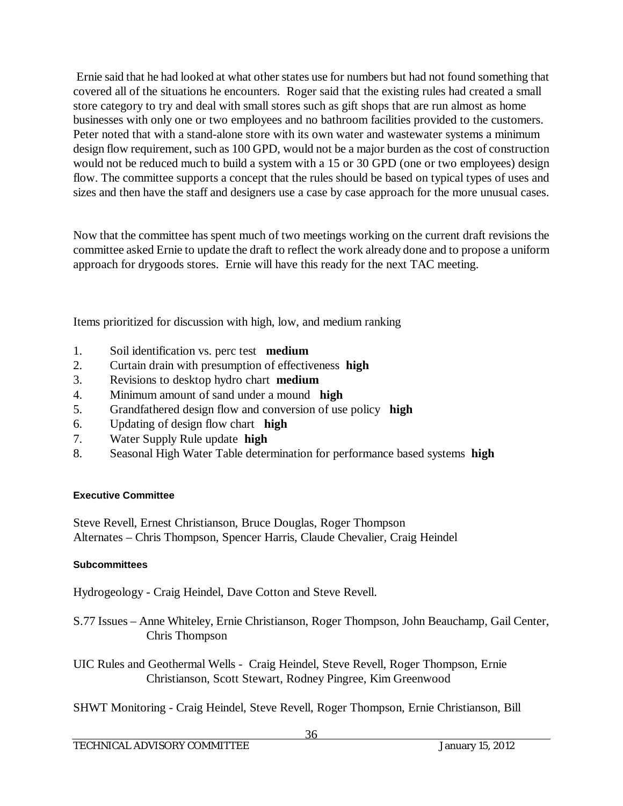Ernie said that he had looked at what other states use for numbers but had not found something that covered all of the situations he encounters. Roger said that the existing rules had created a small store category to try and deal with small stores such as gift shops that are run almost as home businesses with only one or two employees and no bathroom facilities provided to the customers. Peter noted that with a stand-alone store with its own water and wastewater systems a minimum design flow requirement, such as 100 GPD, would not be a major burden as the cost of construction would not be reduced much to build a system with a 15 or 30 GPD (one or two employees) design flow. The committee supports a concept that the rules should be based on typical types of uses and sizes and then have the staff and designers use a case by case approach for the more unusual cases.

Now that the committee has spent much of two meetings working on the current draft revisions the committee asked Ernie to update the draft to reflect the work already done and to propose a uniform approach for drygoods stores. Ernie will have this ready for the next TAC meeting.

Items prioritized for discussion with high, low, and medium ranking

- 1. Soil identification vs. perc test **medium**
- 2. Curtain drain with presumption of effectiveness **high**
- 3. Revisions to desktop hydro chart **medium**
- 4. Minimum amount of sand under a mound **high**
- 5. Grandfathered design flow and conversion of use policy **high**
- 6. Updating of design flow chart **high**
- 7. Water Supply Rule update **high**
- 8. Seasonal High Water Table determination for performance based systems **high**

#### **Executive Committee**

Steve Revell, Ernest Christianson, Bruce Douglas, Roger Thompson Alternates – Chris Thompson, Spencer Harris, Claude Chevalier, Craig Heindel

#### **Subcommittees**

Hydrogeology - Craig Heindel, Dave Cotton and Steve Revell.

- S.77 Issues Anne Whiteley, Ernie Christianson, Roger Thompson, John Beauchamp, Gail Center, Chris Thompson
- UIC Rules and Geothermal Wells Craig Heindel, Steve Revell, Roger Thompson, Ernie Christianson, Scott Stewart, Rodney Pingree, Kim Greenwood
- SHWT Monitoring Craig Heindel, Steve Revell, Roger Thompson, Ernie Christianson, Bill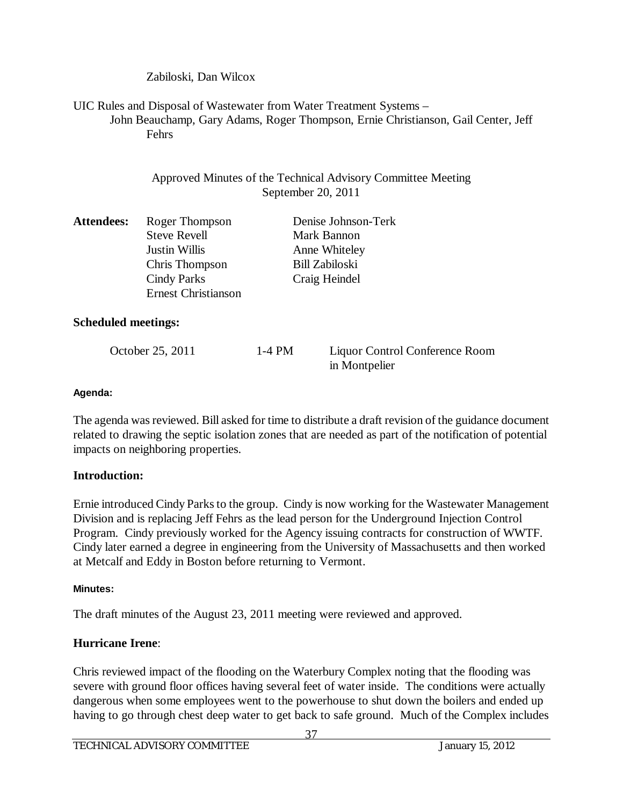Zabiloski, Dan Wilcox

UIC Rules and Disposal of Wastewater from Water Treatment Systems – John Beauchamp, Gary Adams, Roger Thompson, Ernie Christianson, Gail Center, Jeff Fehrs

> Approved Minutes of the Technical Advisory Committee Meeting September 20, 2011

| <b>Attendees:</b> | Roger Thompson             | Denise Johnson-Terk   |
|-------------------|----------------------------|-----------------------|
|                   | <b>Steve Revell</b>        | Mark Bannon           |
|                   | Justin Willis              | Anne Whiteley         |
|                   | Chris Thompson             | <b>Bill Zabiloski</b> |
|                   | <b>Cindy Parks</b>         | Craig Heindel         |
|                   | <b>Ernest Christianson</b> |                       |

## **Scheduled meetings:**

| October 25, 2011 | $1-4$ PM | Liquor Control Conference Room |
|------------------|----------|--------------------------------|
|------------------|----------|--------------------------------|

in Montpelier

## **Agenda:**

The agenda was reviewed. Bill asked for time to distribute a draft revision of the guidance document related to drawing the septic isolation zones that are needed as part of the notification of potential impacts on neighboring properties.

# **Introduction:**

Ernie introduced Cindy Parks to the group. Cindy is now working for the Wastewater Management Division and is replacing Jeff Fehrs as the lead person for the Underground Injection Control Program. Cindy previously worked for the Agency issuing contracts for construction of WWTF. Cindy later earned a degree in engineering from the University of Massachusetts and then worked at Metcalf and Eddy in Boston before returning to Vermont.

## **Minutes:**

The draft minutes of the August 23, 2011 meeting were reviewed and approved.

# **Hurricane Irene**:

Chris reviewed impact of the flooding on the Waterbury Complex noting that the flooding was severe with ground floor offices having several feet of water inside. The conditions were actually dangerous when some employees went to the powerhouse to shut down the boilers and ended up having to go through chest deep water to get back to safe ground. Much of the Complex includes

37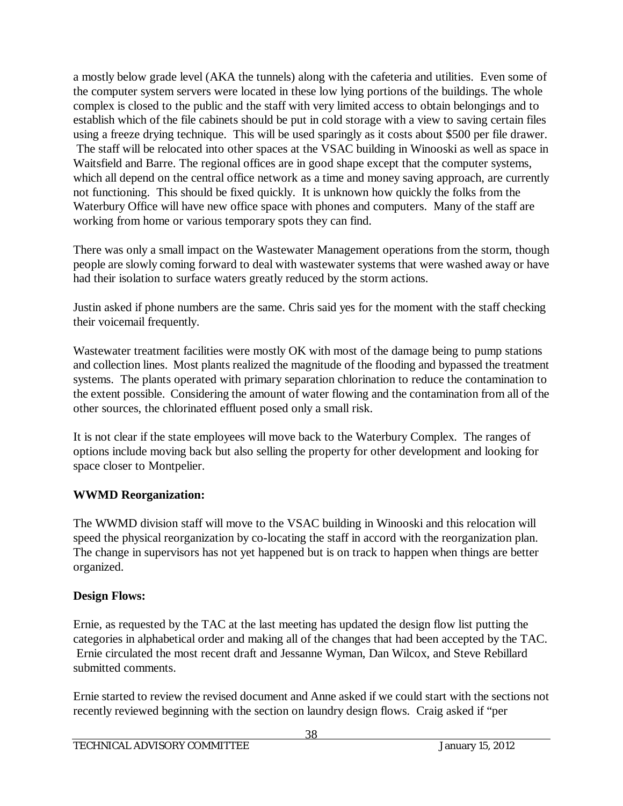a mostly below grade level (AKA the tunnels) along with the cafeteria and utilities. Even some of the computer system servers were located in these low lying portions of the buildings. The whole complex is closed to the public and the staff with very limited access to obtain belongings and to establish which of the file cabinets should be put in cold storage with a view to saving certain files using a freeze drying technique. This will be used sparingly as it costs about \$500 per file drawer. The staff will be relocated into other spaces at the VSAC building in Winooski as well as space in Waitsfield and Barre. The regional offices are in good shape except that the computer systems, which all depend on the central office network as a time and money saving approach, are currently not functioning. This should be fixed quickly. It is unknown how quickly the folks from the Waterbury Office will have new office space with phones and computers. Many of the staff are working from home or various temporary spots they can find.

There was only a small impact on the Wastewater Management operations from the storm, though people are slowly coming forward to deal with wastewater systems that were washed away or have had their isolation to surface waters greatly reduced by the storm actions.

Justin asked if phone numbers are the same. Chris said yes for the moment with the staff checking their voicemail frequently.

Wastewater treatment facilities were mostly OK with most of the damage being to pump stations and collection lines. Most plants realized the magnitude of the flooding and bypassed the treatment systems. The plants operated with primary separation chlorination to reduce the contamination to the extent possible. Considering the amount of water flowing and the contamination from all of the other sources, the chlorinated effluent posed only a small risk.

It is not clear if the state employees will move back to the Waterbury Complex. The ranges of options include moving back but also selling the property for other development and looking for space closer to Montpelier.

# **WWMD Reorganization:**

The WWMD division staff will move to the VSAC building in Winooski and this relocation will speed the physical reorganization by co-locating the staff in accord with the reorganization plan. The change in supervisors has not yet happened but is on track to happen when things are better organized.

# **Design Flows:**

Ernie, as requested by the TAC at the last meeting has updated the design flow list putting the categories in alphabetical order and making all of the changes that had been accepted by the TAC. Ernie circulated the most recent draft and Jessanne Wyman, Dan Wilcox, and Steve Rebillard submitted comments.

Ernie started to review the revised document and Anne asked if we could start with the sections not recently reviewed beginning with the section on laundry design flows. Craig asked if "per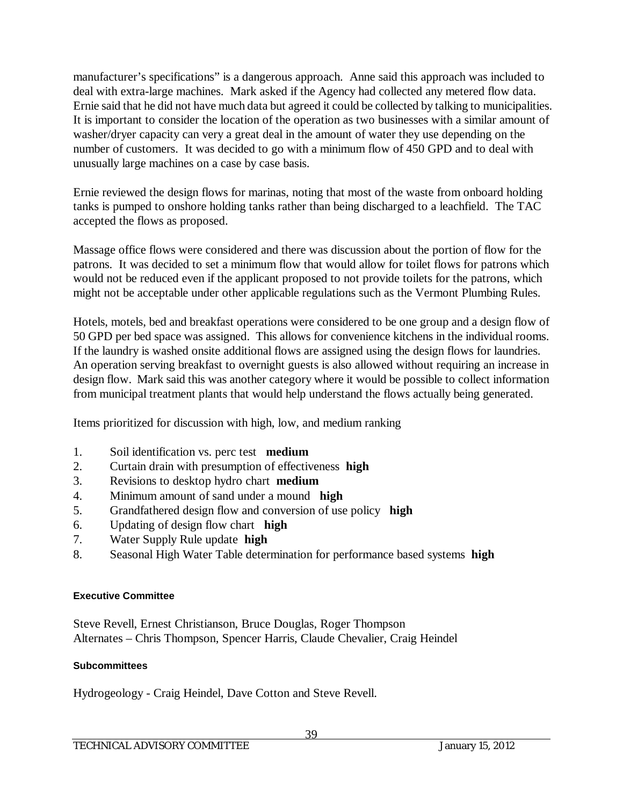manufacturer's specifications" is a dangerous approach. Anne said this approach was included to deal with extra-large machines. Mark asked if the Agency had collected any metered flow data. Ernie said that he did not have much data but agreed it could be collected by talking to municipalities. It is important to consider the location of the operation as two businesses with a similar amount of washer/dryer capacity can very a great deal in the amount of water they use depending on the number of customers. It was decided to go with a minimum flow of 450 GPD and to deal with unusually large machines on a case by case basis.

Ernie reviewed the design flows for marinas, noting that most of the waste from onboard holding tanks is pumped to onshore holding tanks rather than being discharged to a leachfield. The TAC accepted the flows as proposed.

Massage office flows were considered and there was discussion about the portion of flow for the patrons. It was decided to set a minimum flow that would allow for toilet flows for patrons which would not be reduced even if the applicant proposed to not provide toilets for the patrons, which might not be acceptable under other applicable regulations such as the Vermont Plumbing Rules.

Hotels, motels, bed and breakfast operations were considered to be one group and a design flow of 50 GPD per bed space was assigned. This allows for convenience kitchens in the individual rooms. If the laundry is washed onsite additional flows are assigned using the design flows for laundries. An operation serving breakfast to overnight guests is also allowed without requiring an increase in design flow. Mark said this was another category where it would be possible to collect information from municipal treatment plants that would help understand the flows actually being generated.

Items prioritized for discussion with high, low, and medium ranking

- 1. Soil identification vs. perc test **medium**
- 2. Curtain drain with presumption of effectiveness **high**
- 3. Revisions to desktop hydro chart **medium**
- 4. Minimum amount of sand under a mound **high**
- 5. Grandfathered design flow and conversion of use policy **high**
- 6. Updating of design flow chart **high**
- 7. Water Supply Rule update **high**
- 8. Seasonal High Water Table determination for performance based systems **high**

## **Executive Committee**

Steve Revell, Ernest Christianson, Bruce Douglas, Roger Thompson Alternates – Chris Thompson, Spencer Harris, Claude Chevalier, Craig Heindel

## **Subcommittees**

Hydrogeology - Craig Heindel, Dave Cotton and Steve Revell.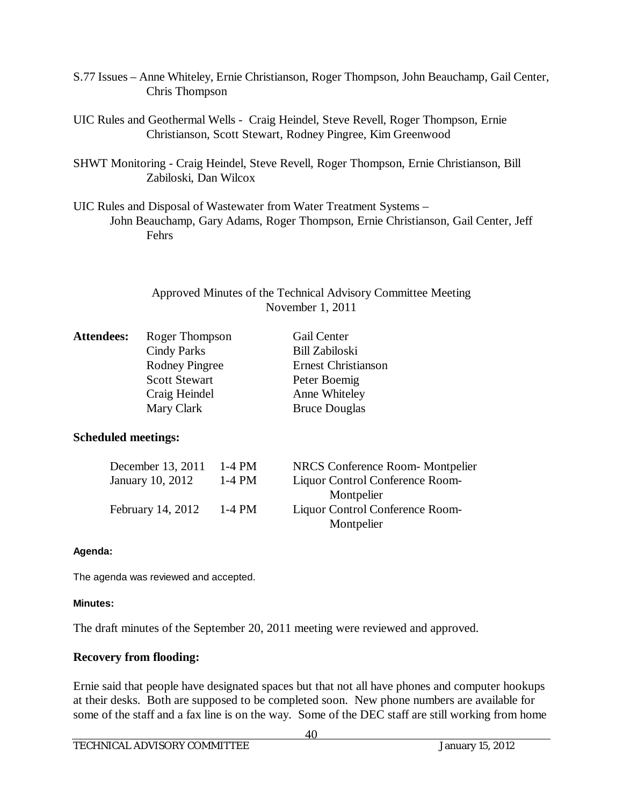- S.77 Issues Anne Whiteley, Ernie Christianson, Roger Thompson, John Beauchamp, Gail Center, Chris Thompson
- UIC Rules and Geothermal Wells Craig Heindel, Steve Revell, Roger Thompson, Ernie Christianson, Scott Stewart, Rodney Pingree, Kim Greenwood
- SHWT Monitoring Craig Heindel, Steve Revell, Roger Thompson, Ernie Christianson, Bill Zabiloski, Dan Wilcox
- UIC Rules and Disposal of Wastewater from Water Treatment Systems John Beauchamp, Gary Adams, Roger Thompson, Ernie Christianson, Gail Center, Jeff Fehrs

| Approved Minutes of the Technical Advisory Committee Meeting |
|--------------------------------------------------------------|
| November $1, 2011$                                           |

| <b>Attendees:</b> | Roger Thompson        | <b>Gail Center</b>         |
|-------------------|-----------------------|----------------------------|
|                   | <b>Cindy Parks</b>    | <b>Bill Zabiloski</b>      |
|                   | <b>Rodney Pingree</b> | <b>Ernest Christianson</b> |
|                   | <b>Scott Stewart</b>  | Peter Boemig               |
|                   | Craig Heindel         | Anne Whiteley              |
|                   | Mary Clark            | <b>Bruce Douglas</b>       |
|                   |                       |                            |

## **Scheduled meetings:**

| December 13, 2011 | 1-4 PM   | NRCS Conference Room-Montpelier |
|-------------------|----------|---------------------------------|
| January 10, 2012  | $1-4$ PM | Liquor Control Conference Room- |
|                   |          | Montpelier                      |
| February 14, 2012 | $1-4$ PM | Liquor Control Conference Room- |
|                   |          | Montpelier                      |

#### **Agenda:**

The agenda was reviewed and accepted.

## **Minutes:**

The draft minutes of the September 20, 2011 meeting were reviewed and approved.

## **Recovery from flooding:**

Ernie said that people have designated spaces but that not all have phones and computer hookups at their desks. Both are supposed to be completed soon. New phone numbers are available for some of the staff and a fax line is on the way. Some of the DEC staff are still working from home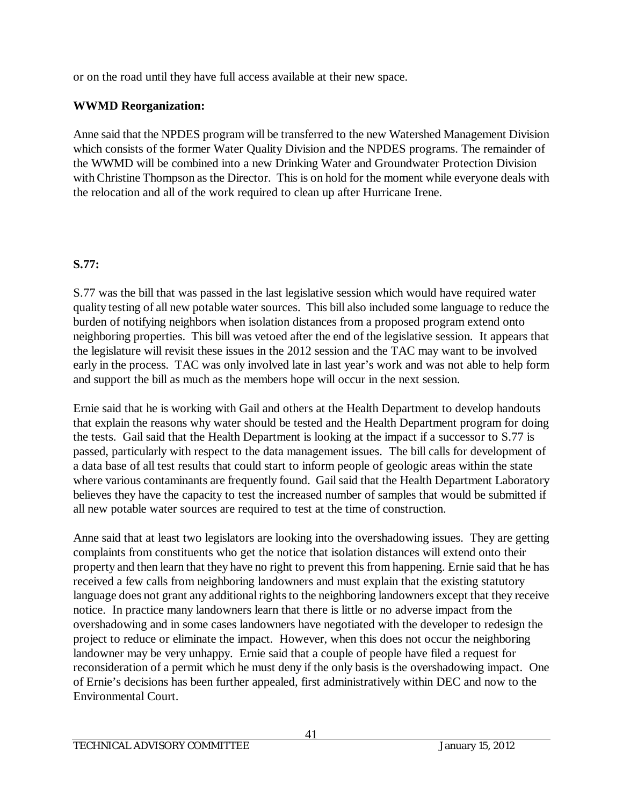or on the road until they have full access available at their new space.

# **WWMD Reorganization:**

Anne said that the NPDES program will be transferred to the new Watershed Management Division which consists of the former Water Quality Division and the NPDES programs. The remainder of the WWMD will be combined into a new Drinking Water and Groundwater Protection Division with Christine Thompson as the Director. This is on hold for the moment while everyone deals with the relocation and all of the work required to clean up after Hurricane Irene.

# **S.77:**

S.77 was the bill that was passed in the last legislative session which would have required water quality testing of all new potable water sources. This bill also included some language to reduce the burden of notifying neighbors when isolation distances from a proposed program extend onto neighboring properties. This bill was vetoed after the end of the legislative session. It appears that the legislature will revisit these issues in the 2012 session and the TAC may want to be involved early in the process. TAC was only involved late in last year's work and was not able to help form and support the bill as much as the members hope will occur in the next session.

Ernie said that he is working with Gail and others at the Health Department to develop handouts that explain the reasons why water should be tested and the Health Department program for doing the tests. Gail said that the Health Department is looking at the impact if a successor to S.77 is passed, particularly with respect to the data management issues. The bill calls for development of a data base of all test results that could start to inform people of geologic areas within the state where various contaminants are frequently found. Gail said that the Health Department Laboratory believes they have the capacity to test the increased number of samples that would be submitted if all new potable water sources are required to test at the time of construction.

Anne said that at least two legislators are looking into the overshadowing issues. They are getting complaints from constituents who get the notice that isolation distances will extend onto their property and then learn that they have no right to prevent this from happening. Ernie said that he has received a few calls from neighboring landowners and must explain that the existing statutory language does not grant any additional rights to the neighboring landowners except that they receive notice. In practice many landowners learn that there is little or no adverse impact from the overshadowing and in some cases landowners have negotiated with the developer to redesign the project to reduce or eliminate the impact. However, when this does not occur the neighboring landowner may be very unhappy. Ernie said that a couple of people have filed a request for reconsideration of a permit which he must deny if the only basis is the overshadowing impact. One of Ernie's decisions has been further appealed, first administratively within DEC and now to the Environmental Court.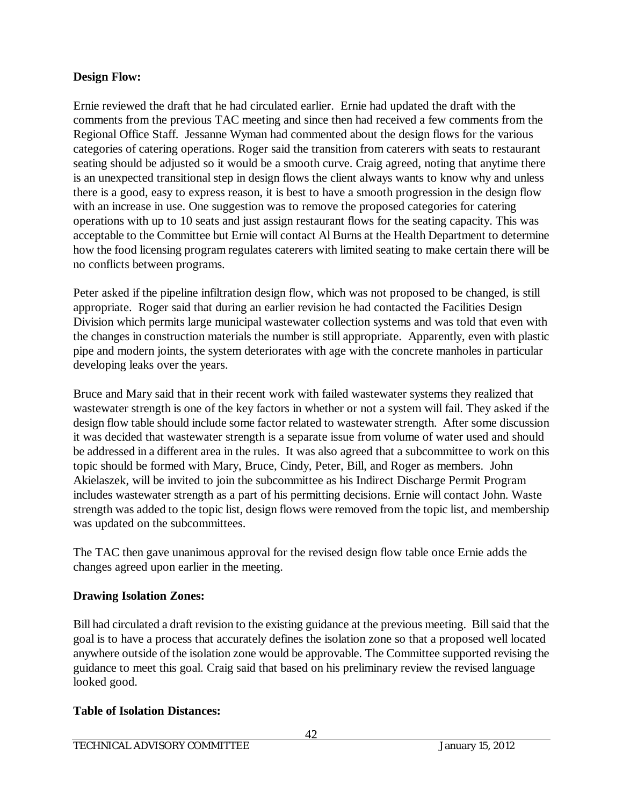## **Design Flow:**

Ernie reviewed the draft that he had circulated earlier. Ernie had updated the draft with the comments from the previous TAC meeting and since then had received a few comments from the Regional Office Staff. Jessanne Wyman had commented about the design flows for the various categories of catering operations. Roger said the transition from caterers with seats to restaurant seating should be adjusted so it would be a smooth curve. Craig agreed, noting that anytime there is an unexpected transitional step in design flows the client always wants to know why and unless there is a good, easy to express reason, it is best to have a smooth progression in the design flow with an increase in use. One suggestion was to remove the proposed categories for catering operations with up to 10 seats and just assign restaurant flows for the seating capacity. This was acceptable to the Committee but Ernie will contact Al Burns at the Health Department to determine how the food licensing program regulates caterers with limited seating to make certain there will be no conflicts between programs.

Peter asked if the pipeline infiltration design flow, which was not proposed to be changed, is still appropriate. Roger said that during an earlier revision he had contacted the Facilities Design Division which permits large municipal wastewater collection systems and was told that even with the changes in construction materials the number is still appropriate. Apparently, even with plastic pipe and modern joints, the system deteriorates with age with the concrete manholes in particular developing leaks over the years.

Bruce and Mary said that in their recent work with failed wastewater systems they realized that wastewater strength is one of the key factors in whether or not a system will fail. They asked if the design flow table should include some factor related to wastewater strength. After some discussion it was decided that wastewater strength is a separate issue from volume of water used and should be addressed in a different area in the rules. It was also agreed that a subcommittee to work on this topic should be formed with Mary, Bruce, Cindy, Peter, Bill, and Roger as members. John Akielaszek, will be invited to join the subcommittee as his Indirect Discharge Permit Program includes wastewater strength as a part of his permitting decisions. Ernie will contact John. Waste strength was added to the topic list, design flows were removed from the topic list, and membership was updated on the subcommittees.

The TAC then gave unanimous approval for the revised design flow table once Ernie adds the changes agreed upon earlier in the meeting.

# **Drawing Isolation Zones:**

Bill had circulated a draft revision to the existing guidance at the previous meeting. Bill said that the goal is to have a process that accurately defines the isolation zone so that a proposed well located anywhere outside of the isolation zone would be approvable. The Committee supported revising the guidance to meet this goal. Craig said that based on his preliminary review the revised language looked good.

# **Table of Isolation Distances:**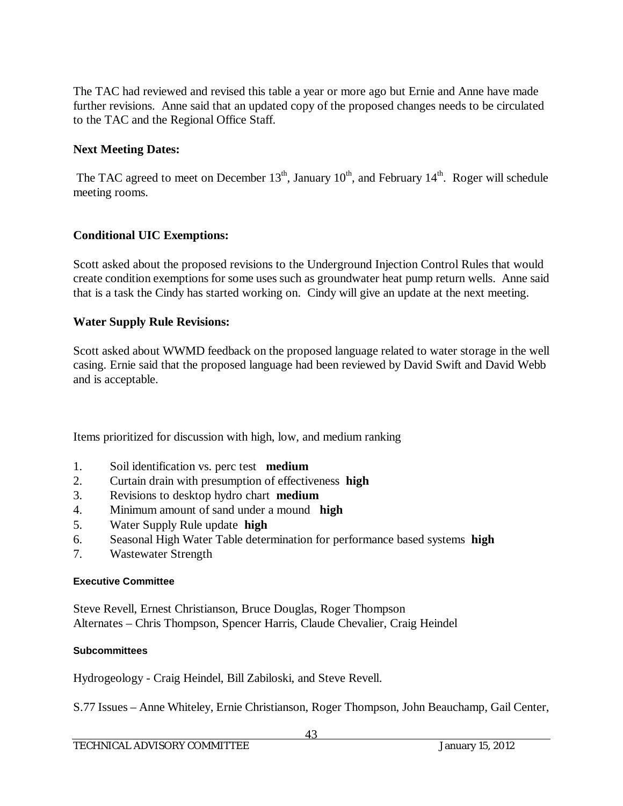The TAC had reviewed and revised this table a year or more ago but Ernie and Anne have made further revisions. Anne said that an updated copy of the proposed changes needs to be circulated to the TAC and the Regional Office Staff.

## **Next Meeting Dates:**

The TAC agreed to meet on December  $13<sup>th</sup>$ , January  $10<sup>th</sup>$ , and February  $14<sup>th</sup>$ . Roger will schedule meeting rooms.

## **Conditional UIC Exemptions:**

Scott asked about the proposed revisions to the Underground Injection Control Rules that would create condition exemptions for some uses such as groundwater heat pump return wells. Anne said that is a task the Cindy has started working on. Cindy will give an update at the next meeting.

## **Water Supply Rule Revisions:**

Scott asked about WWMD feedback on the proposed language related to water storage in the well casing. Ernie said that the proposed language had been reviewed by David Swift and David Webb and is acceptable.

Items prioritized for discussion with high, low, and medium ranking

- 1. Soil identification vs. perc test **medium**
- 2. Curtain drain with presumption of effectiveness **high**
- 3. Revisions to desktop hydro chart **medium**
- 4. Minimum amount of sand under a mound **high**
- 5. Water Supply Rule update **high**
- 6. Seasonal High Water Table determination for performance based systems **high**
- 7. Wastewater Strength

## **Executive Committee**

Steve Revell, Ernest Christianson, Bruce Douglas, Roger Thompson Alternates – Chris Thompson, Spencer Harris, Claude Chevalier, Craig Heindel

## **Subcommittees**

Hydrogeology - Craig Heindel, Bill Zabiloski, and Steve Revell.

S.77 Issues – Anne Whiteley, Ernie Christianson, Roger Thompson, John Beauchamp, Gail Center,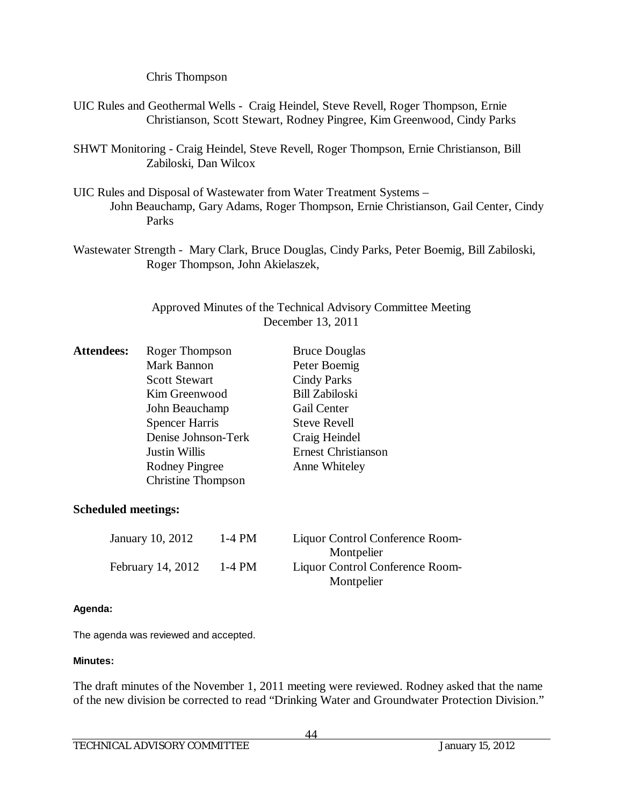Chris Thompson

- UIC Rules and Geothermal Wells Craig Heindel, Steve Revell, Roger Thompson, Ernie Christianson, Scott Stewart, Rodney Pingree, Kim Greenwood, Cindy Parks
- SHWT Monitoring Craig Heindel, Steve Revell, Roger Thompson, Ernie Christianson, Bill Zabiloski, Dan Wilcox
- UIC Rules and Disposal of Wastewater from Water Treatment Systems John Beauchamp, Gary Adams, Roger Thompson, Ernie Christianson, Gail Center, Cindy Parks
- Wastewater Strength Mary Clark, Bruce Douglas, Cindy Parks, Peter Boemig, Bill Zabiloski, Roger Thompson, John Akielaszek,

## Approved Minutes of the Technical Advisory Committee Meeting December 13, 2011

| <b>Attendees:</b> | Roger Thompson            | <b>Bruce Douglas</b>       |
|-------------------|---------------------------|----------------------------|
|                   | Mark Bannon               | Peter Boemig               |
|                   | <b>Scott Stewart</b>      | <b>Cindy Parks</b>         |
|                   | Kim Greenwood             | <b>Bill Zabiloski</b>      |
|                   | John Beauchamp            | Gail Center                |
|                   | <b>Spencer Harris</b>     | <b>Steve Revell</b>        |
|                   | Denise Johnson-Terk       | Craig Heindel              |
|                   | <b>Justin Willis</b>      | <b>Ernest Christianson</b> |
|                   | <b>Rodney Pingree</b>     | Anne Whiteley              |
|                   | <b>Christine Thompson</b> |                            |
|                   |                           |                            |

## **Scheduled meetings:**

| January 10, 2012  | 1-4 PM | Liquor Control Conference Room- |
|-------------------|--------|---------------------------------|
|                   |        | Montpelier                      |
| February 14, 2012 | 1-4 PM | Liquor Control Conference Room- |
|                   |        | Montpelier                      |

## **Agenda:**

The agenda was reviewed and accepted.

## **Minutes:**

The draft minutes of the November 1, 2011 meeting were reviewed. Rodney asked that the name of the new division be corrected to read "Drinking Water and Groundwater Protection Division."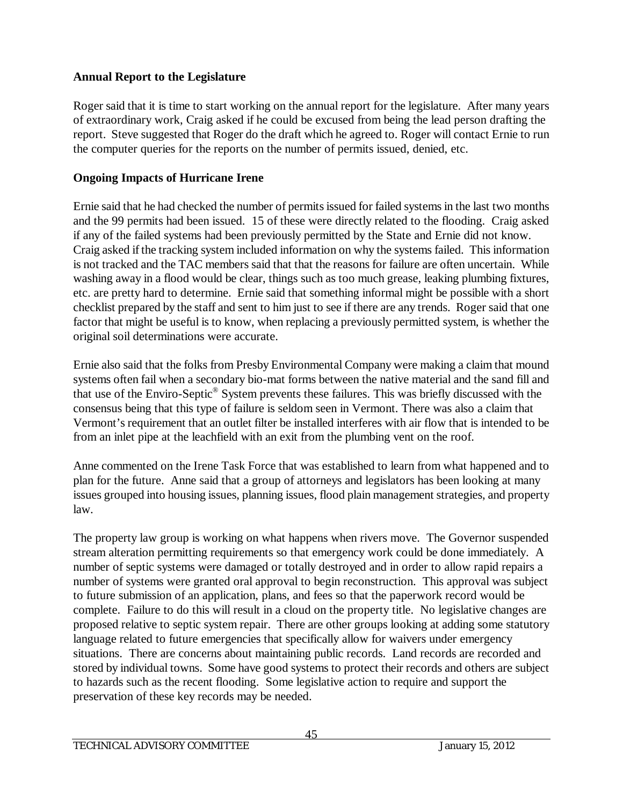## **Annual Report to the Legislature**

Roger said that it is time to start working on the annual report for the legislature. After many years of extraordinary work, Craig asked if he could be excused from being the lead person drafting the report. Steve suggested that Roger do the draft which he agreed to. Roger will contact Ernie to run the computer queries for the reports on the number of permits issued, denied, etc.

# **Ongoing Impacts of Hurricane Irene**

Ernie said that he had checked the number of permits issued for failed systems in the last two months and the 99 permits had been issued. 15 of these were directly related to the flooding. Craig asked if any of the failed systems had been previously permitted by the State and Ernie did not know. Craig asked if the tracking system included information on why the systems failed. This information is not tracked and the TAC members said that that the reasons for failure are often uncertain. While washing away in a flood would be clear, things such as too much grease, leaking plumbing fixtures, etc. are pretty hard to determine. Ernie said that something informal might be possible with a short checklist prepared by the staff and sent to him just to see if there are any trends. Roger said that one factor that might be useful is to know, when replacing a previously permitted system, is whether the original soil determinations were accurate.

Ernie also said that the folks from Presby Environmental Company were making a claim that mound systems often fail when a secondary bio-mat forms between the native material and the sand fill and that use of the Enviro-Septic® System prevents these failures. This was briefly discussed with the consensus being that this type of failure is seldom seen in Vermont. There was also a claim that Vermont's requirement that an outlet filter be installed interferes with air flow that is intended to be from an inlet pipe at the leachfield with an exit from the plumbing vent on the roof.

Anne commented on the Irene Task Force that was established to learn from what happened and to plan for the future. Anne said that a group of attorneys and legislators has been looking at many issues grouped into housing issues, planning issues, flood plain management strategies, and property law.

The property law group is working on what happens when rivers move. The Governor suspended stream alteration permitting requirements so that emergency work could be done immediately. A number of septic systems were damaged or totally destroyed and in order to allow rapid repairs a number of systems were granted oral approval to begin reconstruction. This approval was subject to future submission of an application, plans, and fees so that the paperwork record would be complete. Failure to do this will result in a cloud on the property title. No legislative changes are proposed relative to septic system repair. There are other groups looking at adding some statutory language related to future emergencies that specifically allow for waivers under emergency situations. There are concerns about maintaining public records. Land records are recorded and stored by individual towns. Some have good systems to protect their records and others are subject to hazards such as the recent flooding. Some legislative action to require and support the preservation of these key records may be needed.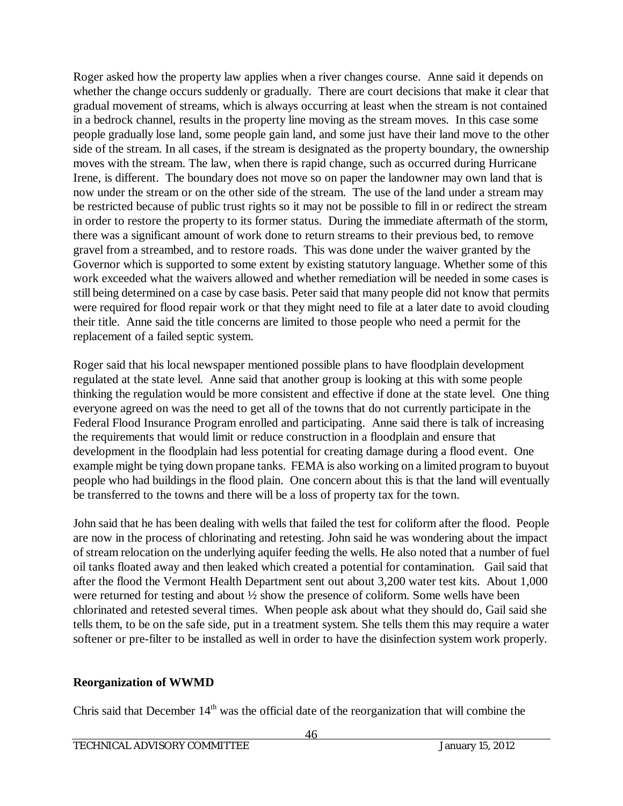Roger asked how the property law applies when a river changes course. Anne said it depends on whether the change occurs suddenly or gradually. There are court decisions that make it clear that gradual movement of streams, which is always occurring at least when the stream is not contained in a bedrock channel, results in the property line moving as the stream moves. In this case some people gradually lose land, some people gain land, and some just have their land move to the other side of the stream. In all cases, if the stream is designated as the property boundary, the ownership moves with the stream. The law, when there is rapid change, such as occurred during Hurricane Irene, is different. The boundary does not move so on paper the landowner may own land that is now under the stream or on the other side of the stream. The use of the land under a stream may be restricted because of public trust rights so it may not be possible to fill in or redirect the stream in order to restore the property to its former status. During the immediate aftermath of the storm, there was a significant amount of work done to return streams to their previous bed, to remove gravel from a streambed, and to restore roads. This was done under the waiver granted by the Governor which is supported to some extent by existing statutory language. Whether some of this work exceeded what the waivers allowed and whether remediation will be needed in some cases is still being determined on a case by case basis. Peter said that many people did not know that permits were required for flood repair work or that they might need to file at a later date to avoid clouding their title. Anne said the title concerns are limited to those people who need a permit for the replacement of a failed septic system.

Roger said that his local newspaper mentioned possible plans to have floodplain development regulated at the state level. Anne said that another group is looking at this with some people thinking the regulation would be more consistent and effective if done at the state level. One thing everyone agreed on was the need to get all of the towns that do not currently participate in the Federal Flood Insurance Program enrolled and participating. Anne said there is talk of increasing the requirements that would limit or reduce construction in a floodplain and ensure that development in the floodplain had less potential for creating damage during a flood event. One example might be tying down propane tanks. FEMA is also working on a limited program to buyout people who had buildings in the flood plain. One concern about this is that the land will eventually be transferred to the towns and there will be a loss of property tax for the town.

John said that he has been dealing with wells that failed the test for coliform after the flood. People are now in the process of chlorinating and retesting. John said he was wondering about the impact of stream relocation on the underlying aquifer feeding the wells. He also noted that a number of fuel oil tanks floated away and then leaked which created a potential for contamination. Gail said that after the flood the Vermont Health Department sent out about 3,200 water test kits. About 1,000 were returned for testing and about ½ show the presence of coliform. Some wells have been chlorinated and retested several times. When people ask about what they should do, Gail said she tells them, to be on the safe side, put in a treatment system. She tells them this may require a water softener or pre-filter to be installed as well in order to have the disinfection system work properly.

## **Reorganization of WWMD**

Chris said that December  $14<sup>th</sup>$  was the official date of the reorganization that will combine the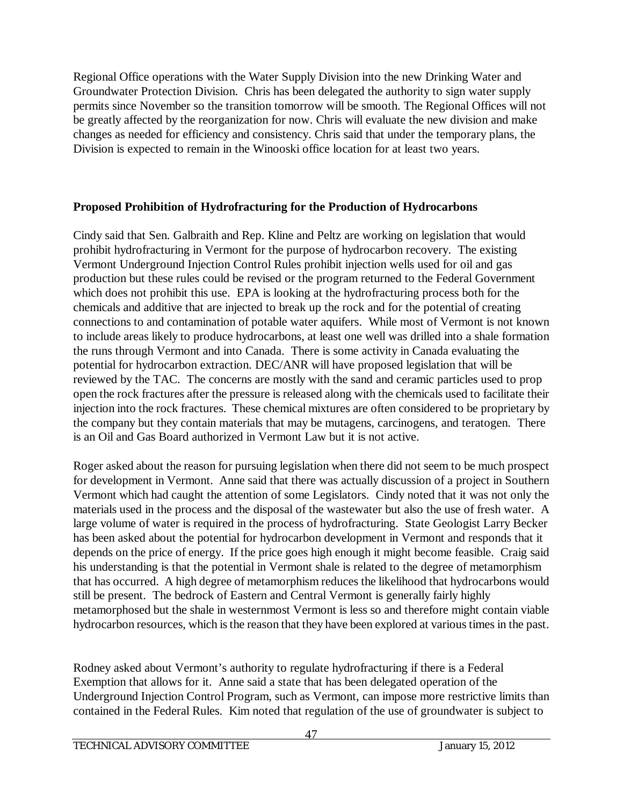Regional Office operations with the Water Supply Division into the new Drinking Water and Groundwater Protection Division. Chris has been delegated the authority to sign water supply permits since November so the transition tomorrow will be smooth. The Regional Offices will not be greatly affected by the reorganization for now. Chris will evaluate the new division and make changes as needed for efficiency and consistency. Chris said that under the temporary plans, the Division is expected to remain in the Winooski office location for at least two years.

## **Proposed Prohibition of Hydrofracturing for the Production of Hydrocarbons**

Cindy said that Sen. Galbraith and Rep. Kline and Peltz are working on legislation that would prohibit hydrofracturing in Vermont for the purpose of hydrocarbon recovery. The existing Vermont Underground Injection Control Rules prohibit injection wells used for oil and gas production but these rules could be revised or the program returned to the Federal Government which does not prohibit this use. EPA is looking at the hydrofracturing process both for the chemicals and additive that are injected to break up the rock and for the potential of creating connections to and contamination of potable water aquifers. While most of Vermont is not known to include areas likely to produce hydrocarbons, at least one well was drilled into a shale formation the runs through Vermont and into Canada. There is some activity in Canada evaluating the potential for hydrocarbon extraction. DEC/ANR will have proposed legislation that will be reviewed by the TAC. The concerns are mostly with the sand and ceramic particles used to prop open the rock fractures after the pressure is released along with the chemicals used to facilitate their injection into the rock fractures. These chemical mixtures are often considered to be proprietary by the company but they contain materials that may be mutagens, carcinogens, and teratogen. There is an Oil and Gas Board authorized in Vermont Law but it is not active.

Roger asked about the reason for pursuing legislation when there did not seem to be much prospect for development in Vermont. Anne said that there was actually discussion of a project in Southern Vermont which had caught the attention of some Legislators. Cindy noted that it was not only the materials used in the process and the disposal of the wastewater but also the use of fresh water. A large volume of water is required in the process of hydrofracturing. State Geologist Larry Becker has been asked about the potential for hydrocarbon development in Vermont and responds that it depends on the price of energy. If the price goes high enough it might become feasible. Craig said his understanding is that the potential in Vermont shale is related to the degree of metamorphism that has occurred. A high degree of metamorphism reduces the likelihood that hydrocarbons would still be present. The bedrock of Eastern and Central Vermont is generally fairly highly metamorphosed but the shale in westernmost Vermont is less so and therefore might contain viable hydrocarbon resources, which is the reason that they have been explored at various times in the past.

Rodney asked about Vermont's authority to regulate hydrofracturing if there is a Federal Exemption that allows for it. Anne said a state that has been delegated operation of the Underground Injection Control Program, such as Vermont, can impose more restrictive limits than contained in the Federal Rules. Kim noted that regulation of the use of groundwater is subject to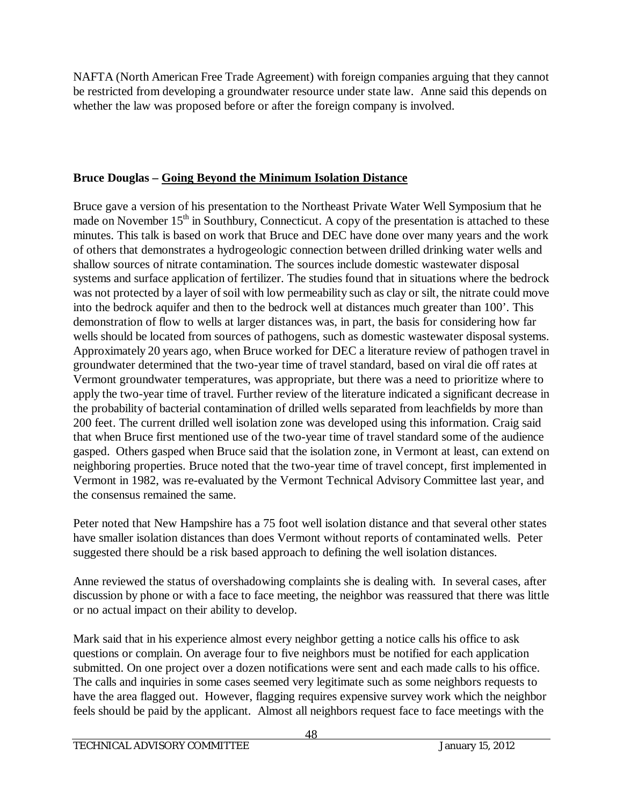NAFTA (North American Free Trade Agreement) with foreign companies arguing that they cannot be restricted from developing a groundwater resource under state law. Anne said this depends on whether the law was proposed before or after the foreign company is involved.

## **Bruce Douglas – Going Beyond the Minimum Isolation Distance**

Bruce gave a version of his presentation to the Northeast Private Water Well Symposium that he made on November  $15<sup>th</sup>$  in Southbury, Connecticut. A copy of the presentation is attached to these minutes. This talk is based on work that Bruce and DEC have done over many years and the work of others that demonstrates a hydrogeologic connection between drilled drinking water wells and shallow sources of nitrate contamination. The sources include domestic wastewater disposal systems and surface application of fertilizer. The studies found that in situations where the bedrock was not protected by a layer of soil with low permeability such as clay or silt, the nitrate could move into the bedrock aquifer and then to the bedrock well at distances much greater than 100'. This demonstration of flow to wells at larger distances was, in part, the basis for considering how far wells should be located from sources of pathogens, such as domestic wastewater disposal systems. Approximately 20 years ago, when Bruce worked for DEC a literature review of pathogen travel in groundwater determined that the two-year time of travel standard, based on viral die off rates at Vermont groundwater temperatures, was appropriate, but there was a need to prioritize where to apply the two-year time of travel. Further review of the literature indicated a significant decrease in the probability of bacterial contamination of drilled wells separated from leachfields by more than 200 feet. The current drilled well isolation zone was developed using this information. Craig said that when Bruce first mentioned use of the two-year time of travel standard some of the audience gasped. Others gasped when Bruce said that the isolation zone, in Vermont at least, can extend on neighboring properties. Bruce noted that the two-year time of travel concept, first implemented in Vermont in 1982, was re-evaluated by the Vermont Technical Advisory Committee last year, and the consensus remained the same.

Peter noted that New Hampshire has a 75 foot well isolation distance and that several other states have smaller isolation distances than does Vermont without reports of contaminated wells. Peter suggested there should be a risk based approach to defining the well isolation distances.

Anne reviewed the status of overshadowing complaints she is dealing with. In several cases, after discussion by phone or with a face to face meeting, the neighbor was reassured that there was little or no actual impact on their ability to develop.

Mark said that in his experience almost every neighbor getting a notice calls his office to ask questions or complain. On average four to five neighbors must be notified for each application submitted. On one project over a dozen notifications were sent and each made calls to his office. The calls and inquiries in some cases seemed very legitimate such as some neighbors requests to have the area flagged out. However, flagging requires expensive survey work which the neighbor feels should be paid by the applicant. Almost all neighbors request face to face meetings with the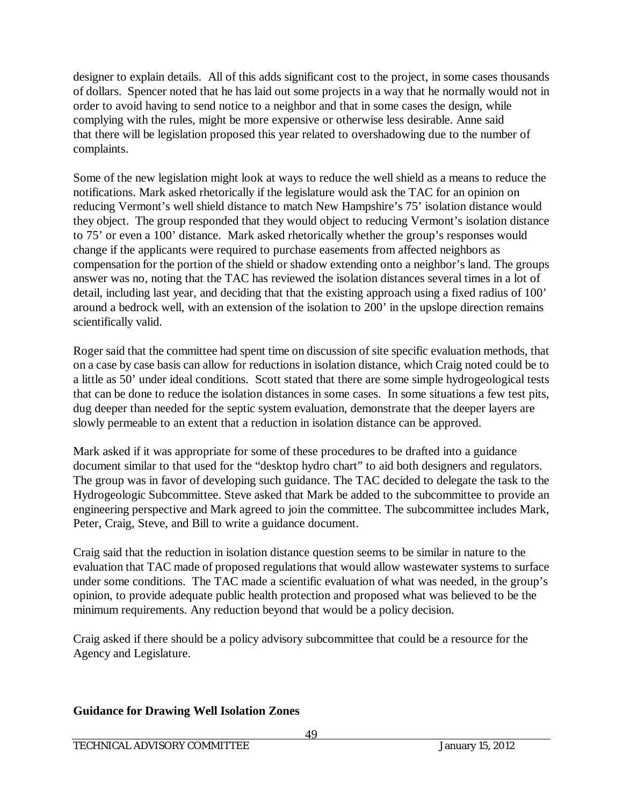designer to explain details. All of this adds significant cost to the project, in some cases thousands of dollars. Spencer noted that he has laid out some projects in a way that he normally would not in order to avoid having to send notice to a neighbor and that in some cases the design, while complying with the rules, might be more expensive or otherwise less desirable. Anne said that there will be legislation proposed this year related to overshadowing due to the number of complaints.

Some of the new legislation might look at ways to reduce the well shield as a means to reduce the notifications. Mark asked rhetorically if the legislature would ask the TAC for an opinion on reducing Vermont's well shield distance to match New Hampshire's 75' isolation distance would they object. The group responded that they would object to reducing Vermont's isolation distance to 75' or even a 100' distance. Mark asked rhetorically whether the group's responses would change if the applicants were required to purchase easements from affected neighbors as compensation for the portion of the shield or shadow extending onto a neighbor's land. The groups answer was no, noting that the TAC has reviewed the isolation distances several times in a lot of detail, including last year, and deciding that that the existing approach using a fixed radius of 100' around a bedrock well, with an extension of the isolation to 200' in the upslope direction remains scientifically valid.

Roger said that the committee had spent time on discussion of site specific evaluation methods, that on a case by case basis can allow for reductions in isolation distance, which Craig noted could be to a little as 50' under ideal conditions. Scott stated that there are some simple hydrogeological tests that can be done to reduce the isolation distances in some cases. In some situations a few test pits, dug deeper than needed for the septic system evaluation, demonstrate that the deeper layers are slowly permeable to an extent that a reduction in isolation distance can be approved.

Mark asked if it was appropriate for some of these procedures to be drafted into a guidance document similar to that used for the "desktop hydro chart" to aid both designers and regulators. The group was in favor of developing such guidance. The TAC decided to delegate the task to the Hydrogeologic Subcommittee. Steve asked that Mark be added to the subcommittee to provide an engineering perspective and Mark agreed to join the committee. The subcommittee includes Mark, Peter, Craig, Steve, and Bill to write a guidance document.

Craig said that the reduction in isolation distance question seems to be similar in nature to the evaluation that TAC made of proposed regulations that would allow wastewater systems to surface under some conditions. The TAC made a scientific evaluation of what was needed, in the group's opinion, to provide adequate public health protection and proposed what was believed to be the minimum requirements. Any reduction beyond that would be a policy decision.

Craig asked if there should be a policy advisory subcommittee that could be a resource for the Agency and Legislature.

# **Guidance for Drawing Well Isolation Zones**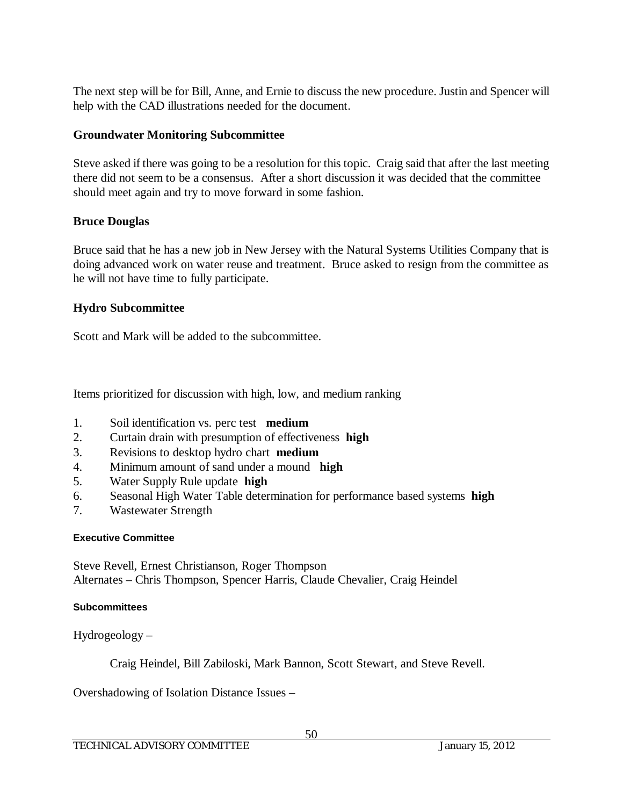The next step will be for Bill, Anne, and Ernie to discuss the new procedure. Justin and Spencer will help with the CAD illustrations needed for the document.

## **Groundwater Monitoring Subcommittee**

Steve asked if there was going to be a resolution for this topic. Craig said that after the last meeting there did not seem to be a consensus. After a short discussion it was decided that the committee should meet again and try to move forward in some fashion.

## **Bruce Douglas**

Bruce said that he has a new job in New Jersey with the Natural Systems Utilities Company that is doing advanced work on water reuse and treatment. Bruce asked to resign from the committee as he will not have time to fully participate.

## **Hydro Subcommittee**

Scott and Mark will be added to the subcommittee.

Items prioritized for discussion with high, low, and medium ranking

- 1. Soil identification vs. perc test **medium**
- 2. Curtain drain with presumption of effectiveness **high**
- 3. Revisions to desktop hydro chart **medium**
- 4. Minimum amount of sand under a mound **high**
- 5. Water Supply Rule update **high**
- 6. Seasonal High Water Table determination for performance based systems **high**
- 7. Wastewater Strength

## **Executive Committee**

Steve Revell, Ernest Christianson, Roger Thompson Alternates – Chris Thompson, Spencer Harris, Claude Chevalier, Craig Heindel

## **Subcommittees**

Hydrogeology –

Craig Heindel, Bill Zabiloski, Mark Bannon, Scott Stewart, and Steve Revell.

Overshadowing of Isolation Distance Issues –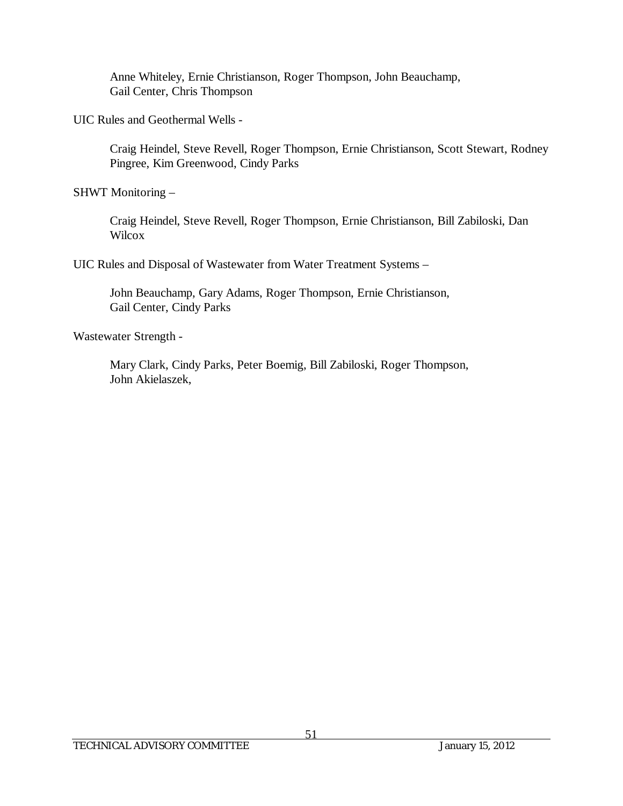Anne Whiteley, Ernie Christianson, Roger Thompson, John Beauchamp, Gail Center, Chris Thompson

UIC Rules and Geothermal Wells -

Craig Heindel, Steve Revell, Roger Thompson, Ernie Christianson, Scott Stewart, Rodney Pingree, Kim Greenwood, Cindy Parks

SHWT Monitoring –

Craig Heindel, Steve Revell, Roger Thompson, Ernie Christianson, Bill Zabiloski, Dan **Wilcox** 

UIC Rules and Disposal of Wastewater from Water Treatment Systems –

John Beauchamp, Gary Adams, Roger Thompson, Ernie Christianson, Gail Center, Cindy Parks

Wastewater Strength -

Mary Clark, Cindy Parks, Peter Boemig, Bill Zabiloski, Roger Thompson, John Akielaszek,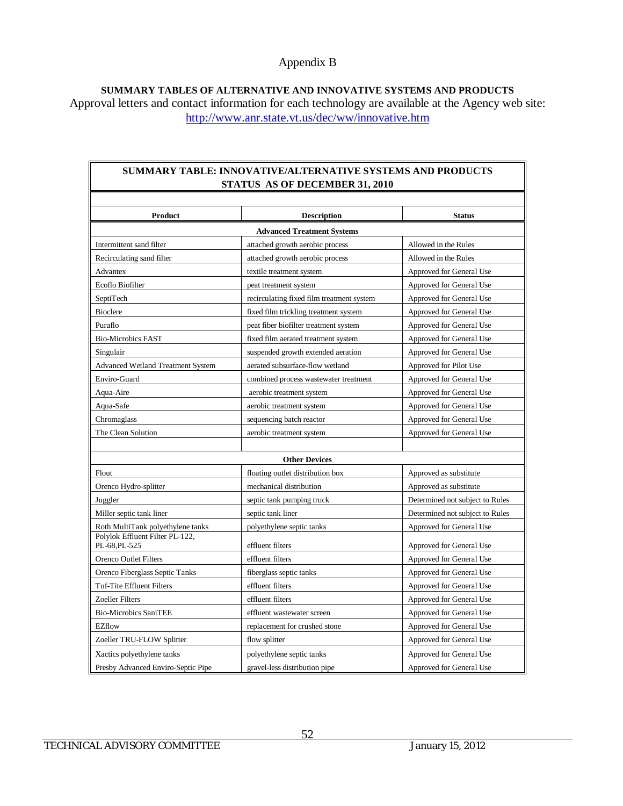**SUMMARY TABLES OF ALTERNATIVE AND INNOVATIVE SYSTEMS AND PRODUCTS** Approval letters and contact information for each technology are available at the Agency web site: <http://www.anr.state.vt.us/dec/ww/innovative.htm>

#### **SUMMARY TABLE: INNOVATIVE/ALTERNATIVE SYSTEMS AND PRODUCTS STATUS AS OF DECEMBER 31, 2010**

| Product                                         | <b>Description</b>                        | <b>Status</b>                   |
|-------------------------------------------------|-------------------------------------------|---------------------------------|
| <b>Advanced Treatment Systems</b>               |                                           |                                 |
| Intermittent sand filter                        | attached growth aerobic process           | Allowed in the Rules            |
| Recirculating sand filter                       | attached growth aerobic process           | Allowed in the Rules            |
| Advantex                                        | textile treatment system                  | Approved for General Use        |
| Ecoflo Biofilter                                | peat treatment system                     | Approved for General Use        |
| SeptiTech                                       | recirculating fixed film treatment system | Approved for General Use        |
| <b>Bioclere</b>                                 | fixed film trickling treatment system     | Approved for General Use        |
| Puraflo                                         | peat fiber biofilter treatment system     | Approved for General Use        |
| <b>Bio-Microbics FAST</b>                       | fixed film aerated treatment system       | Approved for General Use        |
| Singulair                                       | suspended growth extended aeration        | Approved for General Use        |
| <b>Advanced Wetland Treatment System</b>        | aerated subsurface-flow wetland           | Approved for Pilot Use          |
| Enviro-Guard                                    | combined process wastewater treatment     | Approved for General Use        |
| Aqua-Aire                                       | aerobic treatment system                  | Approved for General Use        |
| Aqua-Safe                                       | aerobic treatment system                  | Approved for General Use        |
| Chromaglass                                     | sequencing batch reactor                  | Approved for General Use        |
| The Clean Solution                              | aerobic treatment system                  | Approved for General Use        |
|                                                 |                                           |                                 |
|                                                 | <b>Other Devices</b>                      |                                 |
| Flout                                           | floating outlet distribution box          | Approved as substitute          |
| Orenco Hydro-splitter                           | mechanical distribution                   | Approved as substitute          |
| Juggler                                         | septic tank pumping truck                 | Determined not subject to Rules |
| Miller septic tank liner                        | septic tank liner                         | Determined not subject to Rules |
| Roth MultiTank polyethylene tanks               | polyethylene septic tanks                 | Approved for General Use        |
| Polylok Effluent Filter PL-122,<br>PL-68.PL-525 | effluent filters                          | Approved for General Use        |
| Orenco Outlet Filters                           | effluent filters                          | Approved for General Use        |
| Orenco Fiberglass Septic Tanks                  | fiberglass septic tanks                   | Approved for General Use        |
| Tuf-Tite Effluent Filters                       | effluent filters                          | Approved for General Use        |
| <b>Zoeller Filters</b>                          | effluent filters                          | Approved for General Use        |
| <b>Bio-Microbics SaniTEE</b>                    | effluent wastewater screen                | Approved for General Use        |
| EZflow                                          | replacement for crushed stone             | Approved for General Use        |
| Zoeller TRU-FLOW Splitter                       | flow splitter                             | Approved for General Use        |
| Xactics polyethylene tanks                      | polyethylene septic tanks                 | Approved for General Use        |
| Presby Advanced Enviro-Septic Pipe              | gravel-less distribution pipe             | Approved for General Use        |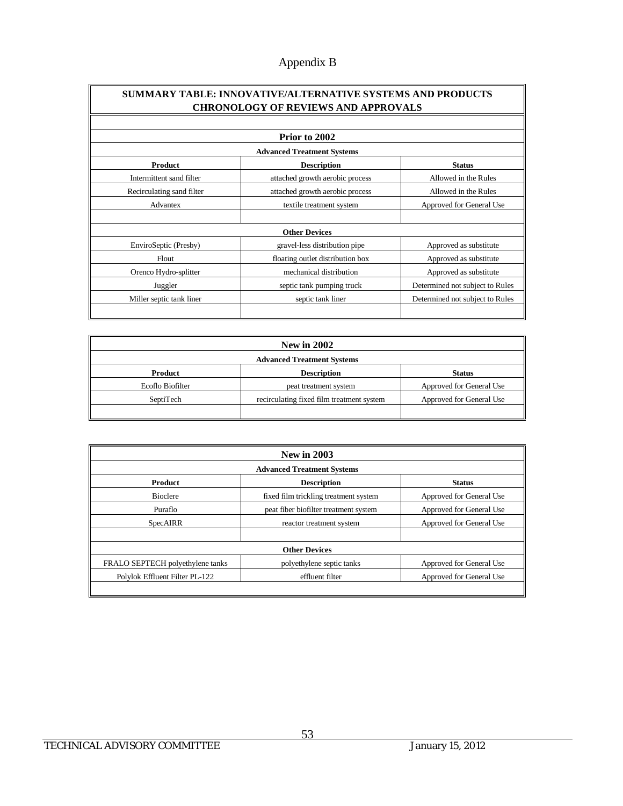#### **SUMMARY TABLE: INNOVATIVE/ALTERNATIVE SYSTEMS AND PRODUCTS CHRONOLOGY OF REVIEWS AND APPROVALS**

|                                   | Prior to 2002                    |                                 |  |
|-----------------------------------|----------------------------------|---------------------------------|--|
| <b>Advanced Treatment Systems</b> |                                  |                                 |  |
| <b>Product</b>                    | <b>Description</b>               | <b>Status</b>                   |  |
| Intermittent sand filter          | attached growth aerobic process  | Allowed in the Rules            |  |
| Recirculating sand filter         | attached growth aerobic process  | Allowed in the Rules            |  |
| Advantex                          | textile treatment system         | Approved for General Use        |  |
|                                   |                                  |                                 |  |
|                                   | <b>Other Devices</b>             |                                 |  |
| EnviroSeptic (Presby)             | gravel-less distribution pipe    | Approved as substitute          |  |
| Flout                             | floating outlet distribution box | Approved as substitute          |  |
| Orenco Hydro-splitter             | mechanical distribution          | Approved as substitute          |  |
| Juggler                           | septic tank pumping truck        | Determined not subject to Rules |  |
| Miller septic tank liner          | septic tank liner                | Determined not subject to Rules |  |
|                                   |                                  |                                 |  |

| <b>New in 2002</b>                |                                           |                          |
|-----------------------------------|-------------------------------------------|--------------------------|
| <b>Advanced Treatment Systems</b> |                                           |                          |
| Product                           | <b>Description</b>                        | <b>Status</b>            |
| Ecoflo Biofilter                  | peat treatment system                     | Approved for General Use |
| SeptiTech                         | recirculating fixed film treatment system | Approved for General Use |
|                                   |                                           |                          |

| <b>New in 2003</b><br><b>Advanced Treatment Systems</b> |                                       |                          |
|---------------------------------------------------------|---------------------------------------|--------------------------|
|                                                         |                                       |                          |
| <b>Bioclere</b>                                         | fixed film trickling treatment system | Approved for General Use |
| Puraflo                                                 | peat fiber biofilter treatment system | Approved for General Use |
| <b>SpecAIRR</b>                                         | reactor treatment system              | Approved for General Use |
| <b>Other Devices</b>                                    |                                       |                          |
| FRALO SEPTECH polyethylene tanks                        | polyethylene septic tanks             | Approved for General Use |
| Polylok Effluent Filter PL-122                          | effluent filter                       | Approved for General Use |
|                                                         |                                       |                          |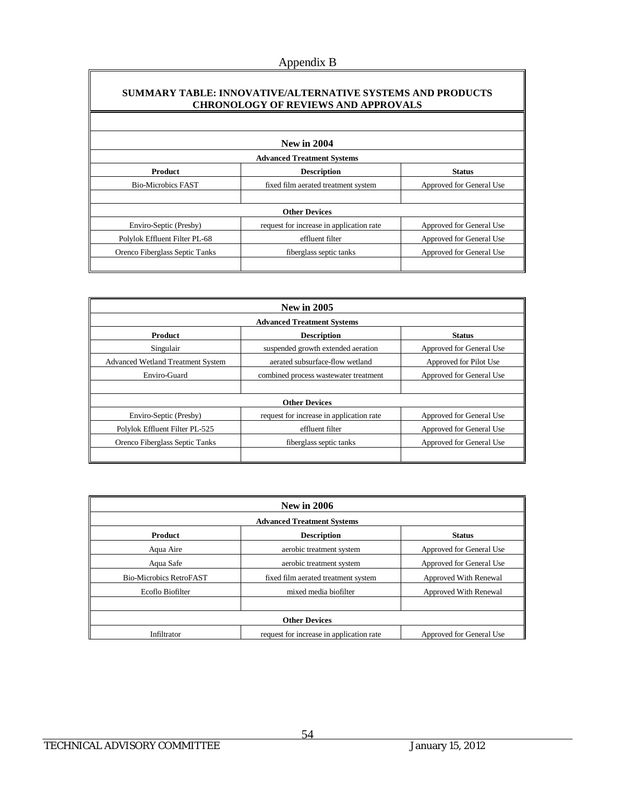#### **SUMMARY TABLE: INNOVATIVE/ALTERNATIVE SYSTEMS AND PRODUCTS CHRONOLOGY OF REVIEWS AND APPROVALS**

| <b>New in 2004</b><br><b>Advanced Treatment Systems</b> |                                          |                          |
|---------------------------------------------------------|------------------------------------------|--------------------------|
|                                                         |                                          |                          |
| <b>Bio-Microbics FAST</b>                               | fixed film aerated treatment system      | Approved for General Use |
|                                                         |                                          |                          |
|                                                         | <b>Other Devices</b>                     |                          |
| Enviro-Septic (Presby)                                  | request for increase in application rate | Approved for General Use |
| Polylok Effluent Filter PL-68                           | effluent filter                          | Approved for General Use |
| Orenco Fiberglass Septic Tanks                          | fiberglass septic tanks                  | Approved for General Use |
|                                                         |                                          |                          |

| <b>New in 2005</b>                       |                                          |                          |
|------------------------------------------|------------------------------------------|--------------------------|
| <b>Advanced Treatment Systems</b>        |                                          |                          |
| <b>Product</b>                           | <b>Description</b>                       | <b>Status</b>            |
| Singulair                                | suspended growth extended aeration       | Approved for General Use |
| <b>Advanced Wetland Treatment System</b> | aerated subsurface-flow wetland          | Approved for Pilot Use   |
| Enviro-Guard                             | combined process wastewater treatment    | Approved for General Use |
|                                          |                                          |                          |
|                                          | <b>Other Devices</b>                     |                          |
| Enviro-Septic (Presby)                   | request for increase in application rate | Approved for General Use |
| Polylok Effluent Filter PL-525           | effluent filter                          | Approved for General Use |
| Orenco Fiberglass Septic Tanks           | fiberglass septic tanks                  | Approved for General Use |
|                                          |                                          |                          |

| <b>New in 2006</b><br><b>Advanced Treatment Systems</b> |                                          |                          |
|---------------------------------------------------------|------------------------------------------|--------------------------|
|                                                         |                                          |                          |
| Aqua Aire                                               | aerobic treatment system                 | Approved for General Use |
| Aqua Safe                                               | aerobic treatment system                 | Approved for General Use |
| <b>Bio-Microbics RetroFAST</b>                          | fixed film aerated treatment system      | Approved With Renewal    |
| Ecoflo Biofilter                                        | mixed media biofilter                    | Approved With Renewal    |
|                                                         |                                          |                          |
| <b>Other Devices</b>                                    |                                          |                          |
| Infiltrator                                             | request for increase in application rate | Approved for General Use |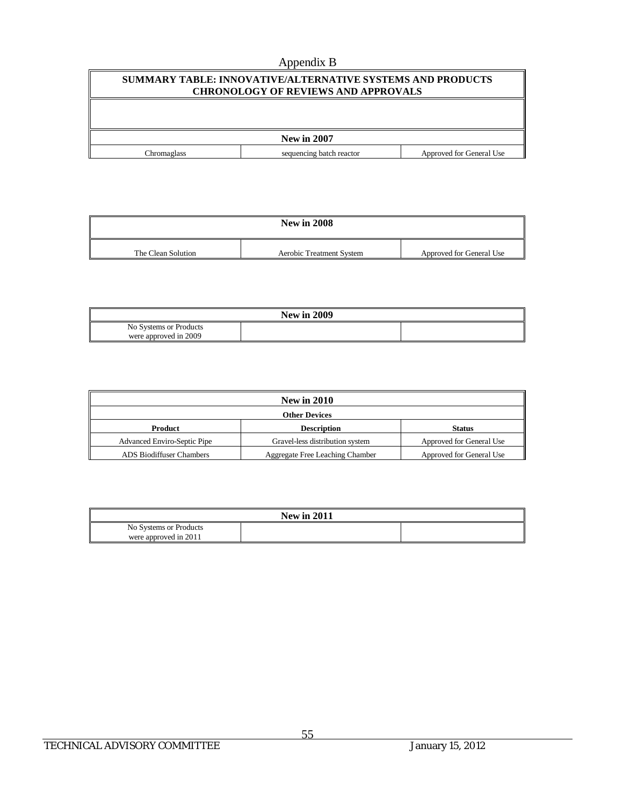| SUMMARY TABLE: INNOVATIVE/ALTERNATIVE SYSTEMS AND PRODUCTS<br><b>CHRONOLOGY OF REVIEWS AND APPROVALS</b> |                          |                          |
|----------------------------------------------------------------------------------------------------------|--------------------------|--------------------------|
|                                                                                                          |                          |                          |
| <b>New in 2007</b>                                                                                       |                          |                          |
| Chromaglass                                                                                              | sequencing batch reactor | Approved for General Use |

| <b>New in 2008</b> |                          |                          |
|--------------------|--------------------------|--------------------------|
| The Clean Solution | Aerobic Treatment System | Approved for General Use |

| <b>New in 2009</b>     |  |  |
|------------------------|--|--|
| No Systems or Products |  |  |
| were approved in 2009  |  |  |

| <b>New in 2010</b>                 |                                        |                          |
|------------------------------------|----------------------------------------|--------------------------|
| Other Devices                      |                                        |                          |
| Product                            | <b>Description</b>                     | <b>Status</b>            |
| <b>Advanced Enviro-Septic Pipe</b> | Gravel-less distribution system        | Approved for General Use |
| <b>ADS Biodiffuser Chambers</b>    | <b>Aggregate Free Leaching Chamber</b> | Approved for General Use |

| <b>New in 2011</b>     |  |  |
|------------------------|--|--|
| No Systems or Products |  |  |
| were approved in 2011  |  |  |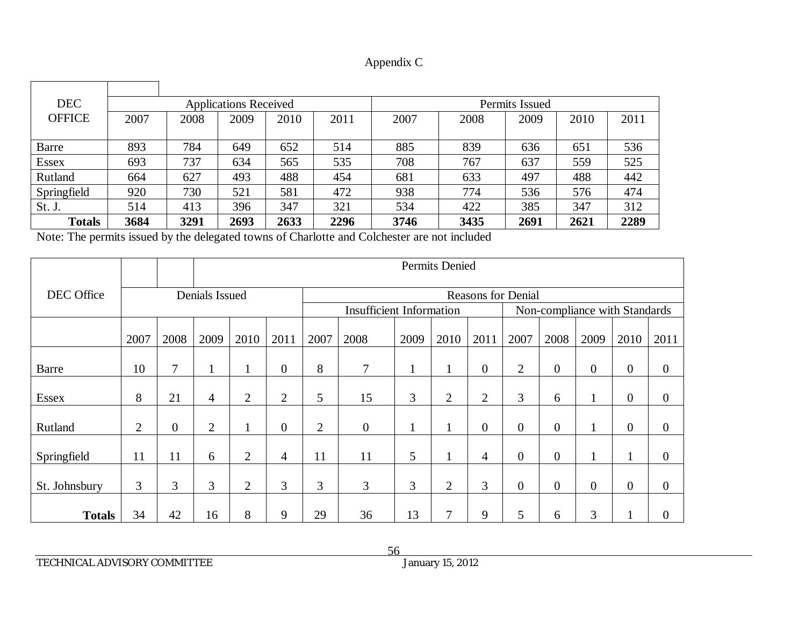| Appendix C |
|------------|
|------------|

| <b>DEC</b>    |      |      | <b>Applications Received</b> |      |      | Permits Issued |      |      |      |      |  |  |
|---------------|------|------|------------------------------|------|------|----------------|------|------|------|------|--|--|
| <b>OFFICE</b> | 2007 | 2008 | 2009                         | 2010 | 2011 | 2007           | 2008 | 2009 | 2010 | 2011 |  |  |
|               |      |      |                              |      |      |                |      |      |      |      |  |  |
| Barre         | 893  | 784  | 649                          | 652  | 514  | 885            | 839  | 636  | 651  | 536  |  |  |
| <b>Essex</b>  | 693  | 737  | 634                          | 565  | 535  | 708            | 767  | 637  | 559  | 525  |  |  |
| Rutland       | 664  | 627  | 493                          | 488  | 454  | 681            | 633  | 497  | 488  | 442  |  |  |
| Springfield   | 920  | 730  | 521                          | 581  | 472  | 938            | 774  | 536  | 576  | 474  |  |  |
| St. J.        | 514  | 413  | 396                          | 347  | 321  | 534            | 422  | 385  | 347  | 312  |  |  |
| <b>Totals</b> | 3684 | 3291 | 2693                         | 2633 | 2296 | 3746           | 3435 | 2691 | 2621 | 2289 |  |  |

Note: The permits issued by the delegated towns of Charlotte and Colchester are not included

|                              |                |                |                | Permits Denied |                |                                 |                  |                           |                |                               |                |                  |                  |                  |                  |
|------------------------------|----------------|----------------|----------------|----------------|----------------|---------------------------------|------------------|---------------------------|----------------|-------------------------------|----------------|------------------|------------------|------------------|------------------|
| DEC Office<br>Denials Issued |                |                |                |                |                |                                 |                  | <b>Reasons for Denial</b> |                |                               |                |                  |                  |                  |                  |
|                              |                |                |                |                |                | <b>Insufficient Information</b> |                  |                           |                | Non-compliance with Standards |                |                  |                  |                  |                  |
|                              | 2007           | 2008           | 2009           | 2010           | 2011           | 2007                            | 2008             | 2009                      | 2010           | 2011                          | 2007           | 2008             | 2009             | 2010             | 2011             |
| <b>Barre</b>                 | 10             | 7              | $\mathbf{1}$   | $\mathbf{I}$   | $\overline{0}$ | 8                               | 7                |                           | $\mathbf 1$    | $\boldsymbol{0}$              | $\overline{2}$ | $\boldsymbol{0}$ | $\boldsymbol{0}$ | $\boldsymbol{0}$ | $\boldsymbol{0}$ |
| Essex                        | 8              | 21             | $\overline{4}$ | $\overline{2}$ | 2              | 5                               | 15               | 3                         | $\overline{2}$ | $\overline{2}$                | 3              | 6                | 1                | $\overline{0}$   | $\theta$         |
| Rutland                      | $\overline{2}$ | $\overline{0}$ | $\overline{2}$ | $\bf{l}$       | $\overline{0}$ | $\overline{2}$                  | $\boldsymbol{0}$ |                           |                | $\overline{0}$                | $\overline{0}$ | $\boldsymbol{0}$ | 1<br>$\bf{l}$    | $\overline{0}$   | $\theta$         |
| Springfield                  | 11             | 11             | 6              | $\overline{2}$ | 4              | 11                              | 11               | 5                         |                | 4                             | $\overline{0}$ | $\boldsymbol{0}$ | 1                |                  | $\mathbf{0}$     |
| St. Johnsbury                | 3              | 3              | 3              | $\overline{2}$ | 3              | 3                               | 3                | 3                         | $\overline{2}$ | 3                             | $\overline{0}$ | $\overline{0}$   | $\overline{0}$   | $\overline{0}$   | $\mathbf{0}$     |
| <b>Totals</b>                | 34             | 42             | 16             | 8              | 9              | 29                              | 36               | 13                        | 7              | 9                             | 5              | 6                | 3                | T                | $\boldsymbol{0}$ |

TECHNICAL ADVISORY COMMITTEE January 15, 2012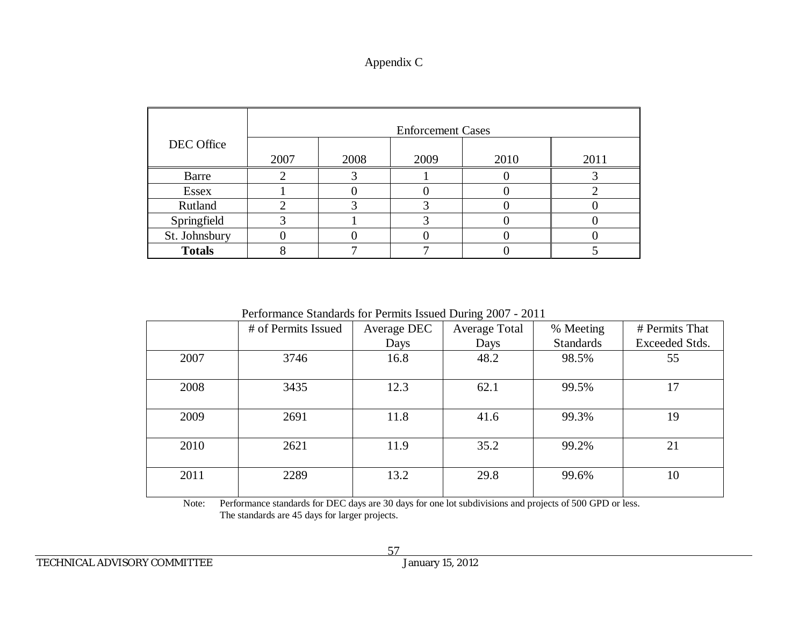## Appendix C

|               |      |      | <b>Enforcement Cases</b> |      |      |
|---------------|------|------|--------------------------|------|------|
| DEC Office    | 2007 | 2008 | 2009                     | 2010 | 2011 |
| Barre         |      |      |                          |      |      |
| <b>Essex</b>  |      |      |                          |      |      |
| Rutland       |      |      |                          |      |      |
| Springfield   |      |      |                          |      |      |
| St. Johnsbury |      |      |                          |      |      |
| <b>Totals</b> |      |      |                          |      |      |

Performance Standards for Permits Issued During 2007 - 2011

|      | # of Permits Issued | Average DEC | ັ<br>Average Total | % Meeting        | # Permits That |
|------|---------------------|-------------|--------------------|------------------|----------------|
|      |                     | Days        | Days               | <b>Standards</b> | Exceeded Stds. |
| 2007 | 3746                | 16.8        | 48.2               | 98.5%            | 55             |
|      |                     |             |                    |                  |                |
| 2008 | 3435                | 12.3        | 62.1               | 99.5%            | 17             |
|      |                     |             |                    |                  |                |
| 2009 | 2691                | 11.8        | 41.6               | 99.3%            | 19             |
|      |                     |             |                    |                  |                |
| 2010 | 2621                | 11.9        | 35.2               | 99.2%            | 21             |
|      |                     |             |                    |                  |                |
| 2011 | 2289                | 13.2        | 29.8               | 99.6%            | 10             |
|      |                     |             |                    |                  |                |

Note: Performance standards for DEC days are 30 days for one lot subdivisions and projects of 500 GPD or less. The standards are 45 days for larger projects.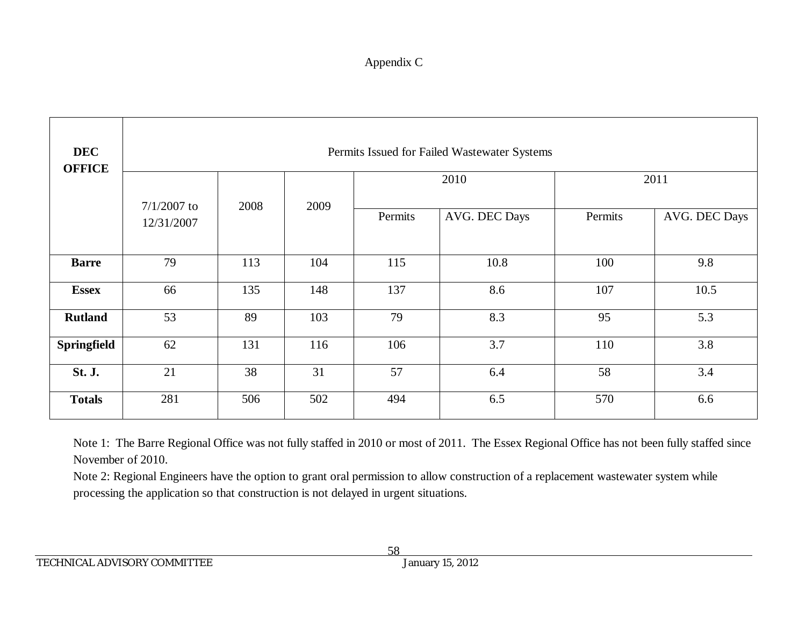# Appendix C

| <b>DEC</b><br><b>OFFICE</b> |                                     | Permits Issued for Failed Wastewater Systems |      |         |               |         |               |  |  |  |  |
|-----------------------------|-------------------------------------|----------------------------------------------|------|---------|---------------|---------|---------------|--|--|--|--|
|                             |                                     |                                              | 2009 |         | 2010          | 2011    |               |  |  |  |  |
|                             | $7/1/2007$ to<br>2008<br>12/31/2007 |                                              |      | Permits | AVG. DEC Days | Permits | AVG. DEC Days |  |  |  |  |
| <b>Barre</b>                | 79                                  | 113                                          | 104  | 115     | 10.8          | 100     | 9.8           |  |  |  |  |
| <b>Essex</b>                | 66                                  | 135                                          | 148  | 137     | 8.6           | 107     | 10.5          |  |  |  |  |
| <b>Rutland</b>              | 53                                  | 89                                           | 103  | 79      | 8.3           | 95      | 5.3           |  |  |  |  |
| Springfield                 | 62                                  | 131                                          | 116  | 106     | 3.7           | 110     | 3.8           |  |  |  |  |
| <b>St. J.</b>               | 21                                  | 38                                           | 31   | 57      | 6.4           | 58      | 3.4           |  |  |  |  |
| <b>Totals</b>               | 281                                 | 506                                          | 502  | 494     | 6.5           | 570     | 6.6           |  |  |  |  |

Note 1: The Barre Regional Office was not fully staffed in 2010 or most of 2011. The Essex Regional Office has not been fully staffed since November of 2010.

Note 2: Regional Engineers have the option to grant oral permission to allow construction of a replacement wastewater system while processing the application so that construction is not delayed in urgent situations.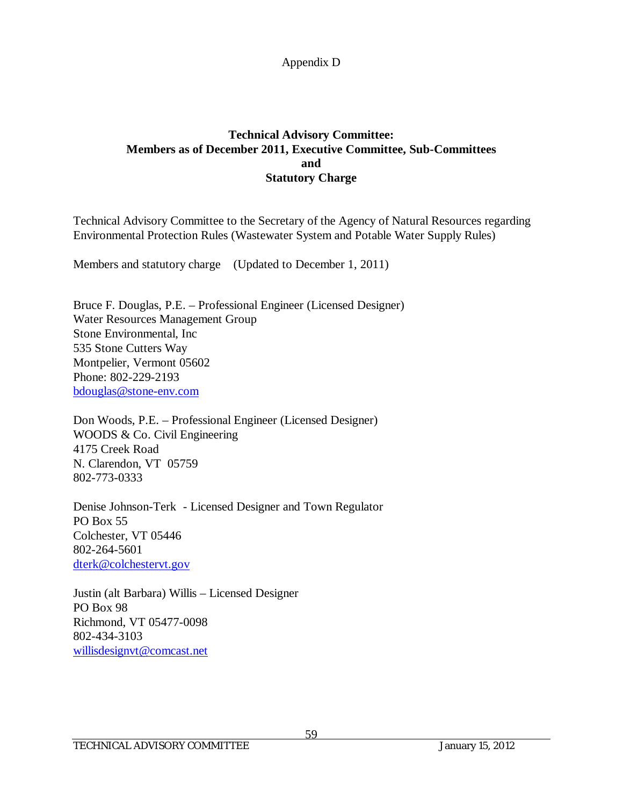## **Technical Advisory Committee: Members as of December 2011, Executive Committee, Sub-Committees and Statutory Charge**

Technical Advisory Committee to the Secretary of the Agency of Natural Resources regarding Environmental Protection Rules (Wastewater System and Potable Water Supply Rules)

Members and statutory charge (Updated to December 1, 2011)

Bruce F. Douglas, P.E. – Professional Engineer (Licensed Designer) Water Resources Management Group Stone Environmental, Inc 535 Stone Cutters Way Montpelier, Vermont 05602 Phone: 802-229-2193 [bdouglas@stone-env.com](mailto:bdouglas@stone-env.com)

Don Woods, P.E. – Professional Engineer (Licensed Designer) WOODS & Co. Civil Engineering 4175 Creek Road N. Clarendon, VT 05759 802-773-0333

Denise Johnson-Terk - Licensed Designer and Town Regulator PO Box 55 Colchester, VT 05446 802-264-5601 [dterk@colchestervt.gov](mailto:dterk@colchestervt.gov)

Justin (alt Barbara) Willis – Licensed Designer PO Box 98 Richmond, VT 05477-0098 802-434-3103 [willisdesignvt@comcast.net](mailto:willisdesignvt@comcast.net)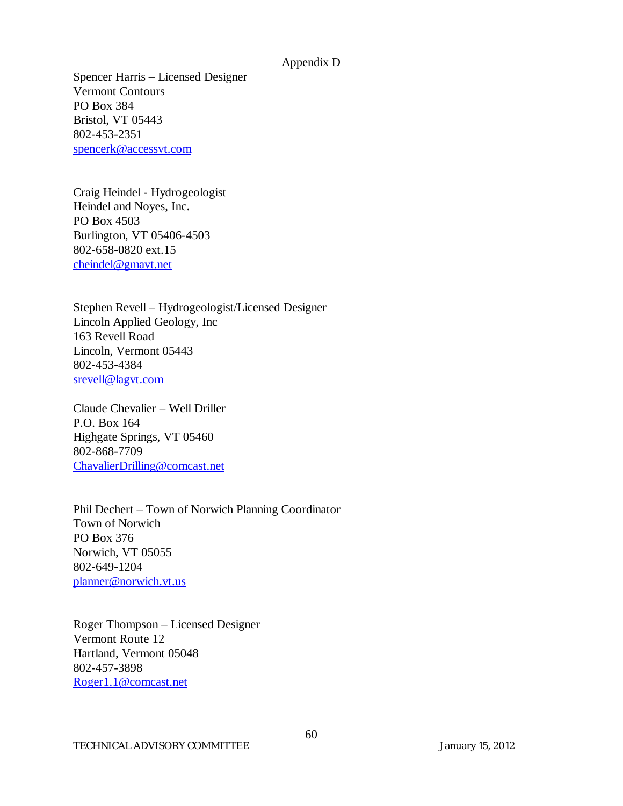Spencer Harris – Licensed Designer Vermont Contours PO Box 384 Bristol, VT 05443 802-453-2351 [spencerk@accessvt.com](mailto:spencerk@accessvt.com)

Craig Heindel - Hydrogeologist Heindel and Noyes, Inc. PO Box 4503 Burlington, VT 05406-4503 802-658-0820 ext.15 [cheindel@gmavt.net](mailto:cheindel@gmavt.net)

Stephen Revell – Hydrogeologist/Licensed Designer Lincoln Applied Geology, Inc 163 Revell Road Lincoln, Vermont 05443 802-453-4384 [srevell@lagvt.com](mailto:srevell@lagvt.com)

Claude Chevalier – Well Driller P.O. Box 164 Highgate Springs, VT 05460 802-868-7709 [ChavalierDrilling@comcast.net](mailto:ChavalierDrilling@comcast.net)

Phil Dechert – Town of Norwich Planning Coordinator Town of Norwich PO Box 376 Norwich, VT 05055 802-649-1204 [planner@norwich.vt.us](mailto:planner@norwich.vt.us)

Roger Thompson – Licensed Designer Vermont Route 12 Hartland, Vermont 05048 802-457-3898 [Roger1.1@comcast.net](mailto:Roger1.1@comcast.net)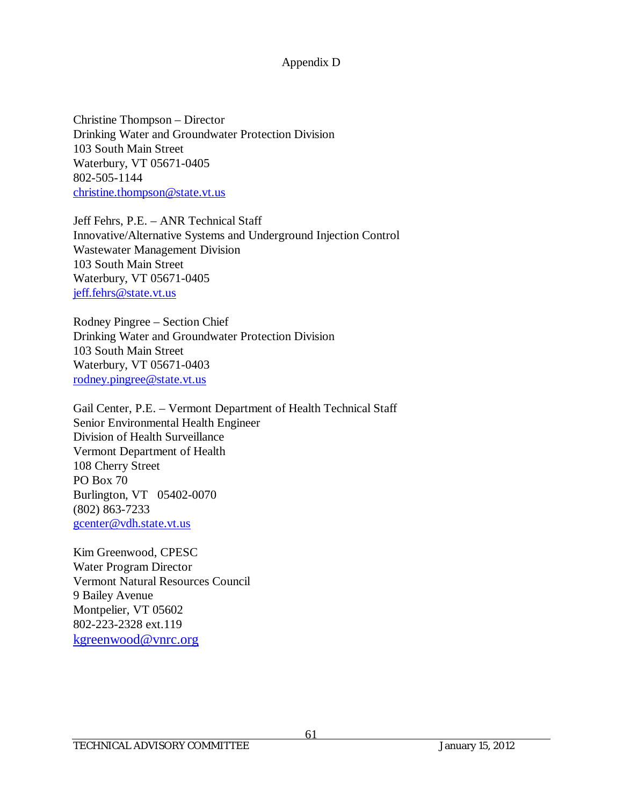Christine Thompson – Director Drinking Water and Groundwater Protection Division 103 South Main Street Waterbury, VT 05671-0405 802-505-1144 [christine.thompson@state.vt.us](mailto:christine.thompson@state.vt.us)

Jeff Fehrs, P.E. – ANR Technical Staff Innovative/Alternative Systems and Underground Injection Control Wastewater Management Division 103 South Main Street Waterbury, VT 05671-0405 [jeff.fehrs@state.vt.us](mailto:jeff.fehrs@state.vt.us)

Rodney Pingree – Section Chief Drinking Water and Groundwater Protection Division 103 South Main Street Waterbury, VT 05671-0403 [rodney.pingree@state.vt.us](mailto:rodney.pingree@state.vt.us)

Gail Center, P.E. – Vermont Department of Health Technical Staff Senior Environmental Health Engineer Division of Health Surveillance Vermont Department of Health 108 Cherry Street PO Box 70 Burlington, VT 05402-0070 (802) 863-7233 [gcenter@vdh.state.vt.us](mailto:gcenter@vdh.state.vt.us)

Kim Greenwood, CPESC Water Program Director Vermont Natural Resources Council 9 Bailey Avenue Montpelier, VT 05602 802-223-2328 ext.119 [kgreenwood@vnrc.org](mailto:kgreenwood@vnrc.org)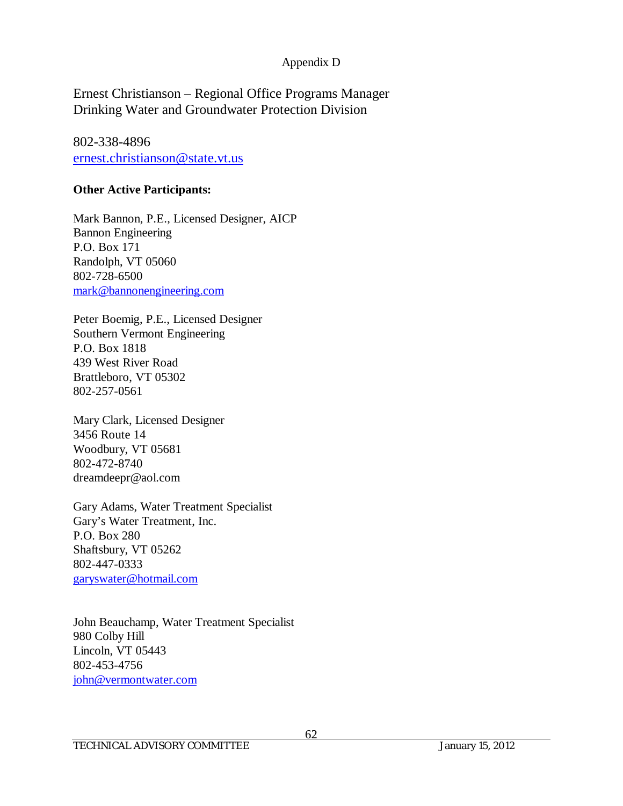Ernest Christianson – Regional Office Programs Manager Drinking Water and Groundwater Protection Division

802-338-4896 [ernest.christianson@state.vt.us](mailto:ernest.christianson@state.vt.us)

## **Other Active Participants:**

Mark Bannon, P.E., Licensed Designer, AICP Bannon Engineering P.O. Box 171 Randolph, VT 05060 802-728-6500 [mark@bannonengineering.com](mailto:mark@bannonengineering.com)

Peter Boemig, P.E., Licensed Designer Southern Vermont Engineering P.O. Box 1818 439 West River Road Brattleboro, VT 05302 802-257-0561

Mary Clark, Licensed Designer 3456 Route 14 Woodbury, VT 05681 802-472-8740 dreamdeepr@aol.com

Gary Adams, Water Treatment Specialist Gary's Water Treatment, Inc. P.O. Box 280 Shaftsbury, VT 05262 802-447-0333 [garyswater@hotmail.com](mailto:garyswater@hotmail.com)

John Beauchamp, Water Treatment Specialist 980 Colby Hill Lincoln, VT 05443 802-453-4756 [john@vermontwater.com](mailto:john@vermontwater.com)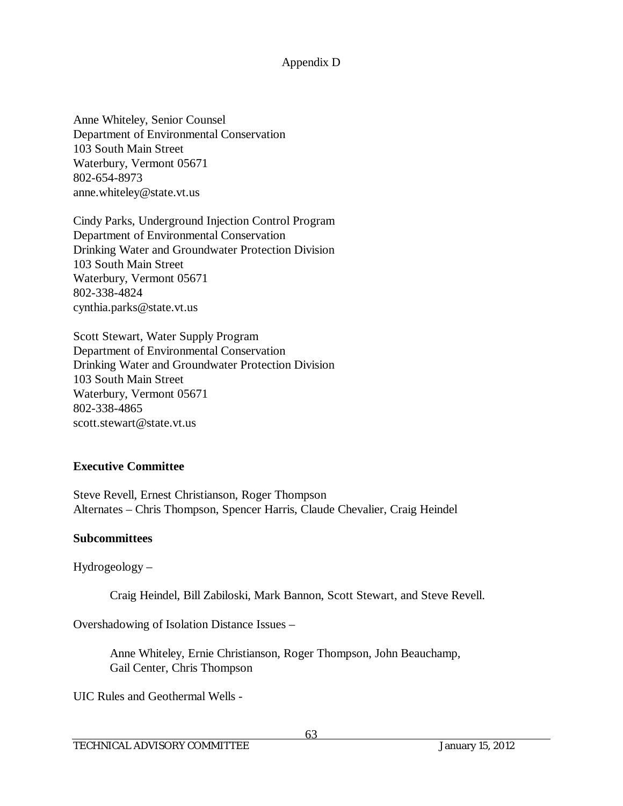Anne Whiteley, Senior Counsel Department of Environmental Conservation 103 South Main Street Waterbury, Vermont 05671 802-654-8973 anne.whiteley@state.vt.us

Cindy Parks, Underground Injection Control Program Department of Environmental Conservation Drinking Water and Groundwater Protection Division 103 South Main Street Waterbury, Vermont 05671 802-338-4824 cynthia.parks@state.vt.us

Scott Stewart, Water Supply Program Department of Environmental Conservation Drinking Water and Groundwater Protection Division 103 South Main Street Waterbury, Vermont 05671 802-338-4865 scott.stewart@state.vt.us

## **Executive Committee**

Steve Revell, Ernest Christianson, Roger Thompson Alternates – Chris Thompson, Spencer Harris, Claude Chevalier, Craig Heindel

#### **Subcommittees**

Hydrogeology –

Craig Heindel, Bill Zabiloski, Mark Bannon, Scott Stewart, and Steve Revell.

Overshadowing of Isolation Distance Issues –

Anne Whiteley, Ernie Christianson, Roger Thompson, John Beauchamp, Gail Center, Chris Thompson

UIC Rules and Geothermal Wells -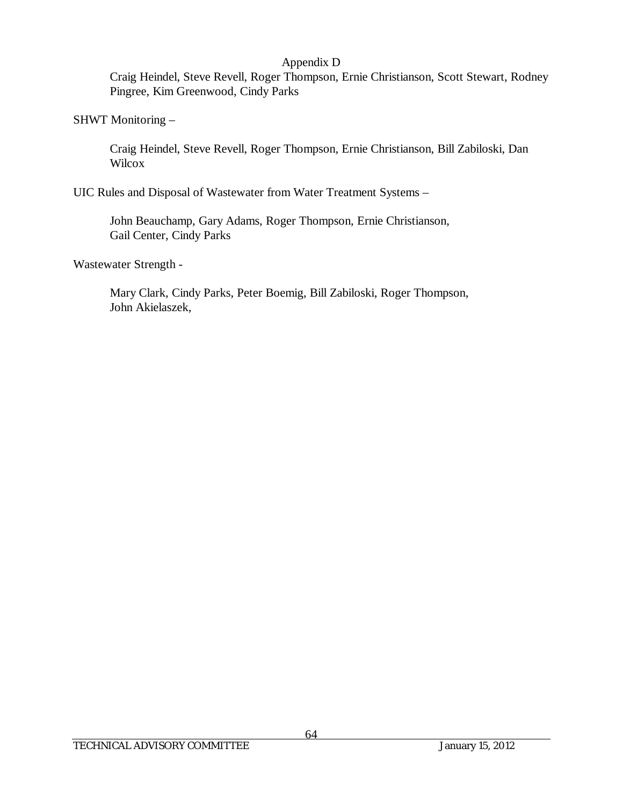Craig Heindel, Steve Revell, Roger Thompson, Ernie Christianson, Scott Stewart, Rodney Pingree, Kim Greenwood, Cindy Parks

#### SHWT Monitoring –

Craig Heindel, Steve Revell, Roger Thompson, Ernie Christianson, Bill Zabiloski, Dan **Wilcox** 

UIC Rules and Disposal of Wastewater from Water Treatment Systems –

John Beauchamp, Gary Adams, Roger Thompson, Ernie Christianson, Gail Center, Cindy Parks

Wastewater Strength -

Mary Clark, Cindy Parks, Peter Boemig, Bill Zabiloski, Roger Thompson, John Akielaszek,